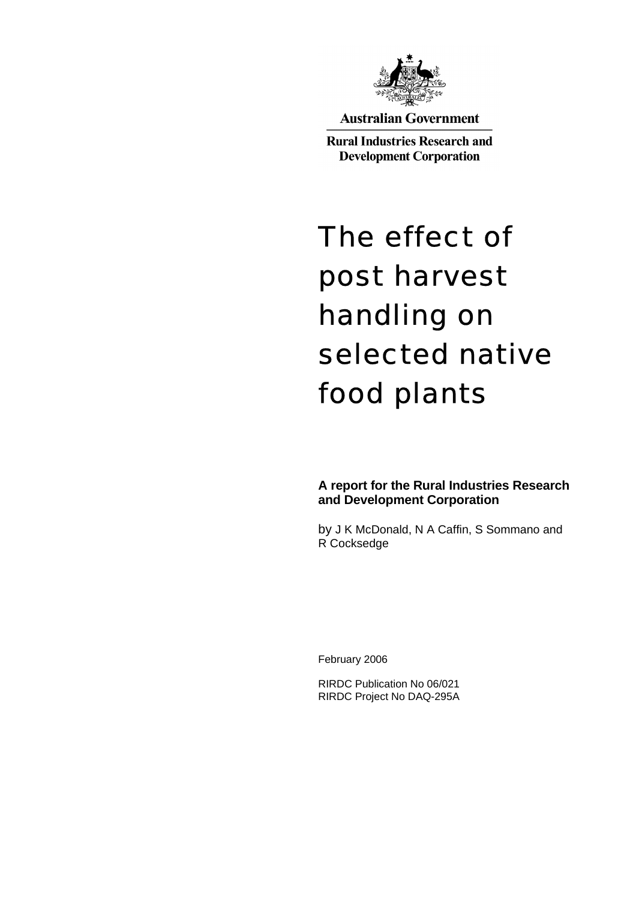

**Australian Government** 

**Rural Industries Research and Development Corporation** 

# The effect of post harvest handling on selected native food plants

**A report for the Rural Industries Research and Development Corporation** 

by J K McDonald, N A Caffin, S Sommano and R Cocksedge

February 2006

RIRDC Publication No 06/021 RIRDC Project No DAQ-295A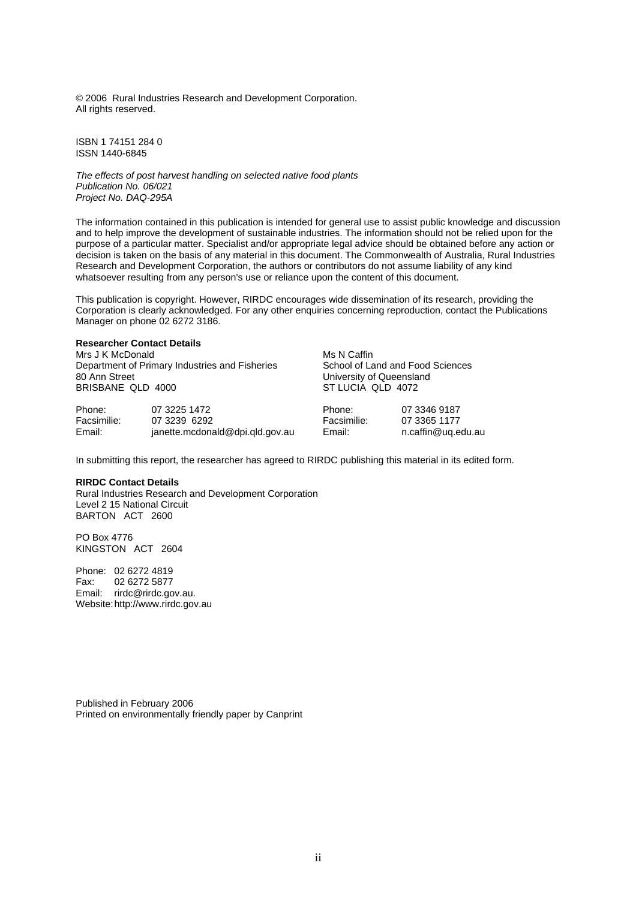© 2006 Rural Industries Research and Development Corporation. All rights reserved.

ISBN 1 74151 284 0 ISSN 1440-6845

*The effects of post harvest handling on selected native food plants Publication No. 06/021 Project No. DAQ-295A* 

The information contained in this publication is intended for general use to assist public knowledge and discussion and to help improve the development of sustainable industries. The information should not be relied upon for the purpose of a particular matter. Specialist and/or appropriate legal advice should be obtained before any action or decision is taken on the basis of any material in this document. The Commonwealth of Australia, Rural Industries Research and Development Corporation, the authors or contributors do not assume liability of any kind whatsoever resulting from any person's use or reliance upon the content of this document.

This publication is copyright. However, RIRDC encourages wide dissemination of its research, providing the Corporation is clearly acknowledged. For any other enquiries concerning reproduction, contact the Publications Manager on phone 02 6272 3186.

#### **Researcher Contact Details**

Mrs J K McDonald Department of Primary Industries and Fisheries 80 Ann Street BRISBANE QLD 4000

Phone: 07 3225 1472<br>
Facsimilie: 07 3239 6292 07 3239 6292 Email: janette.mcdonald@dpi.qld.gov.au Ms N Caffin School of Land and Food Sciences University of Queensland ST LUCIA QLD 4072

| Phone:      |  |
|-------------|--|
| Facsimilie: |  |
| Email:      |  |

07 3346 9187 07 3365 1177 n.caffin@uq.edu.au

In submitting this report, the researcher has agreed to RIRDC publishing this material in its edited form.

#### **RIRDC Contact Details**

Rural Industries Research and Development Corporation Level 2 15 National Circuit BARTON ACT 2600

PO Box 4776 KINGSTON ACT 2604

Phone: 02 6272 4819 Fax: 02 6272 5877 Email: rirdc@rirdc.gov.au. Website: http://www.rirdc.gov.au

Published in February 2006 Printed on environmentally friendly paper by Canprint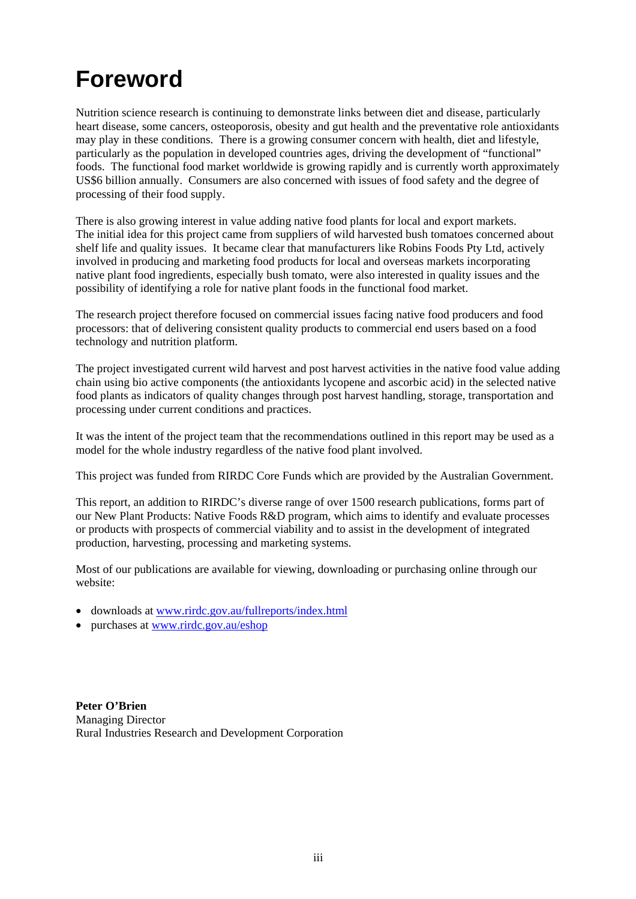## **Foreword**

Nutrition science research is continuing to demonstrate links between diet and disease, particularly heart disease, some cancers, osteoporosis, obesity and gut health and the preventative role antioxidants may play in these conditions. There is a growing consumer concern with health, diet and lifestyle, particularly as the population in developed countries ages, driving the development of "functional" foods. The functional food market worldwide is growing rapidly and is currently worth approximately US\$6 billion annually. Consumers are also concerned with issues of food safety and the degree of processing of their food supply.

There is also growing interest in value adding native food plants for local and export markets. The initial idea for this project came from suppliers of wild harvested bush tomatoes concerned about shelf life and quality issues. It became clear that manufacturers like Robins Foods Pty Ltd, actively involved in producing and marketing food products for local and overseas markets incorporating native plant food ingredients, especially bush tomato, were also interested in quality issues and the possibility of identifying a role for native plant foods in the functional food market.

The research project therefore focused on commercial issues facing native food producers and food processors: that of delivering consistent quality products to commercial end users based on a food technology and nutrition platform.

The project investigated current wild harvest and post harvest activities in the native food value adding chain using bio active components (the antioxidants lycopene and ascorbic acid) in the selected native food plants as indicators of quality changes through post harvest handling, storage, transportation and processing under current conditions and practices.

It was the intent of the project team that the recommendations outlined in this report may be used as a model for the whole industry regardless of the native food plant involved.

This project was funded from RIRDC Core Funds which are provided by the Australian Government.

This report, an addition to RIRDC's diverse range of over 1500 research publications, forms part of our New Plant Products: Native Foods R&D program, which aims to identify and evaluate processes or products with prospects of commercial viability and to assist in the development of integrated production, harvesting, processing and marketing systems.

Most of our publications are available for viewing, downloading or purchasing online through our website:

- downloads at www.rirdc.gov.au/fullreports/index.html
- purchases at www.rirdc.gov.au/eshop

**Peter O'Brien**  Managing Director Rural Industries Research and Development Corporation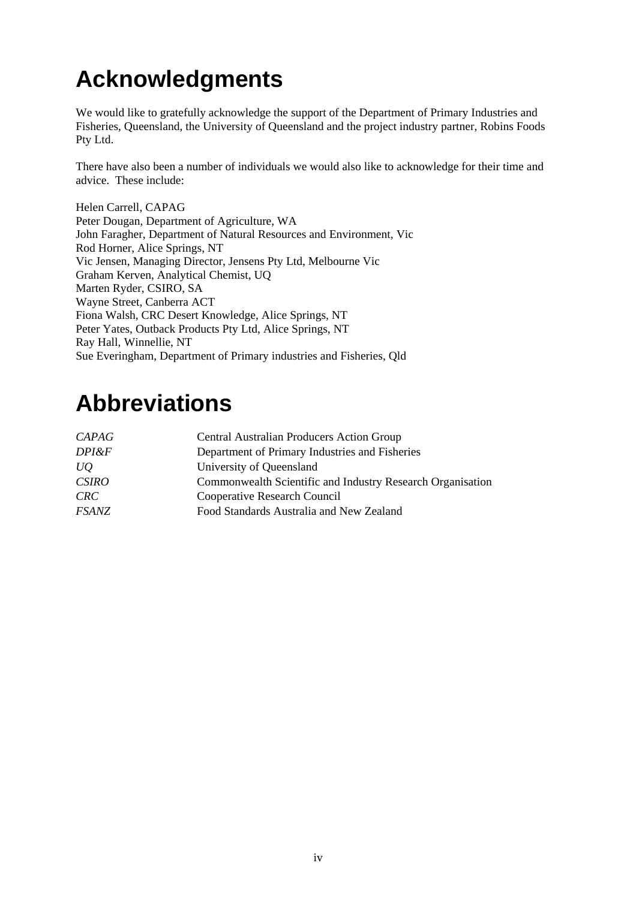## **Acknowledgments**

We would like to gratefully acknowledge the support of the Department of Primary Industries and Fisheries, Queensland, the University of Queensland and the project industry partner, Robins Foods Pty Ltd.

There have also been a number of individuals we would also like to acknowledge for their time and advice. These include:

Helen Carrell, CAPAG Peter Dougan, Department of Agriculture, WA John Faragher, Department of Natural Resources and Environment, Vic Rod Horner, Alice Springs, NT Vic Jensen, Managing Director, Jensens Pty Ltd, Melbourne Vic Graham Kerven, Analytical Chemist, UQ Marten Ryder, CSIRO, SA Wayne Street, Canberra ACT Fiona Walsh, CRC Desert Knowledge, Alice Springs, NT Peter Yates, Outback Products Pty Ltd, Alice Springs, NT Ray Hall, Winnellie, NT Sue Everingham, Department of Primary industries and Fisheries, Qld

## **Abbreviations**

| <b>CAPAG</b> | <b>Central Australian Producers Action Group</b>           |
|--------------|------------------------------------------------------------|
|              |                                                            |
| DPI&F        | Department of Primary Industries and Fisheries             |
| UQ           | University of Queensland                                   |
| <b>CSIRO</b> | Commonwealth Scientific and Industry Research Organisation |
| <b>CRC</b>   | Cooperative Research Council                               |
| <b>FSANZ</b> | Food Standards Australia and New Zealand                   |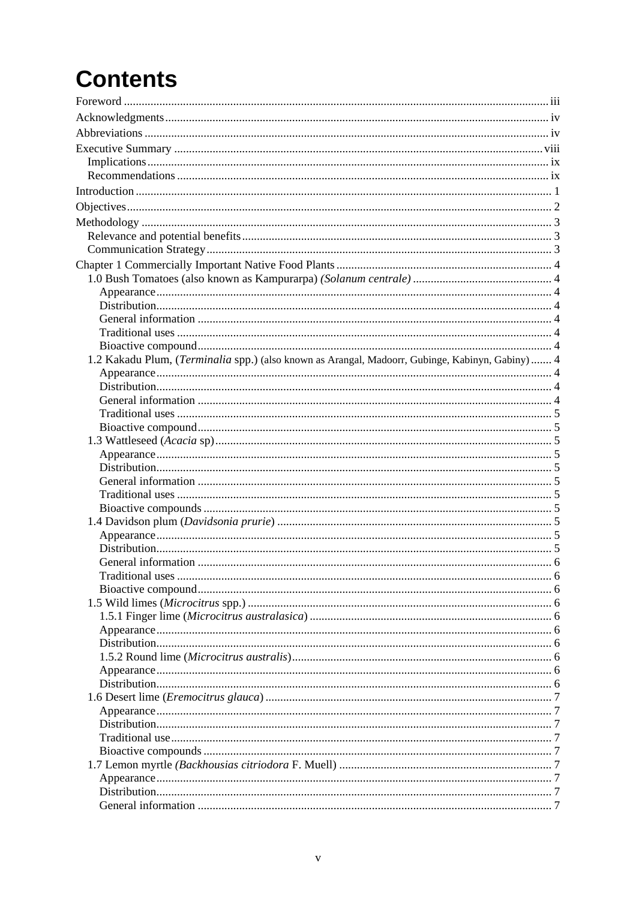## **Contents**

| 1.2 Kakadu Plum, (Terminalia spp.) (also known as Arangal, Madoorr, Gubinge, Kabinyn, Gabiny)  4 |  |
|--------------------------------------------------------------------------------------------------|--|
|                                                                                                  |  |
|                                                                                                  |  |
|                                                                                                  |  |
|                                                                                                  |  |
|                                                                                                  |  |
|                                                                                                  |  |
|                                                                                                  |  |
|                                                                                                  |  |
|                                                                                                  |  |
|                                                                                                  |  |
|                                                                                                  |  |
|                                                                                                  |  |
|                                                                                                  |  |
|                                                                                                  |  |
|                                                                                                  |  |
|                                                                                                  |  |
|                                                                                                  |  |
|                                                                                                  |  |
|                                                                                                  |  |
|                                                                                                  |  |
|                                                                                                  |  |
|                                                                                                  |  |
|                                                                                                  |  |
|                                                                                                  |  |
|                                                                                                  |  |
|                                                                                                  |  |
|                                                                                                  |  |
|                                                                                                  |  |
|                                                                                                  |  |
|                                                                                                  |  |
|                                                                                                  |  |
|                                                                                                  |  |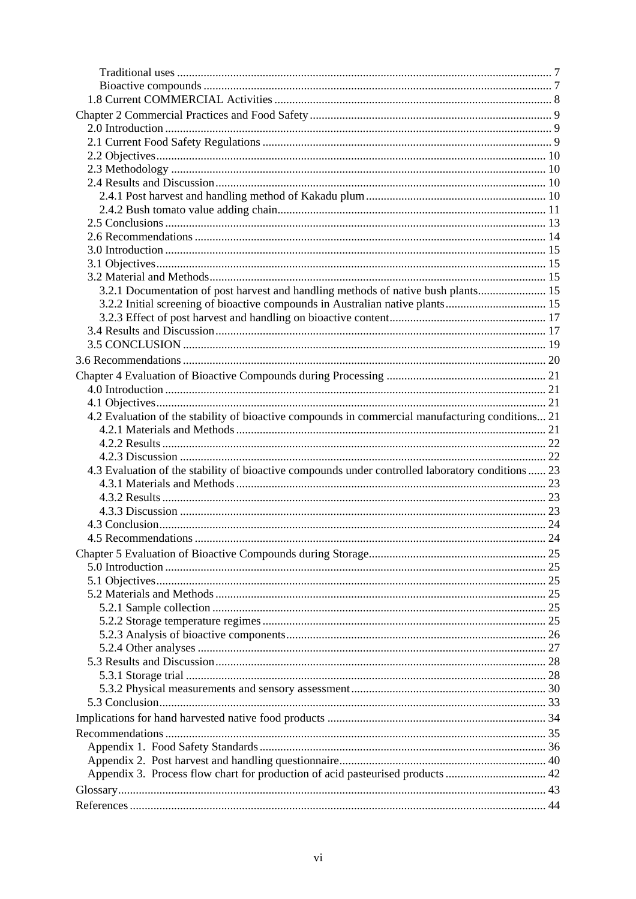| 3.2.1 Documentation of post harvest and handling methods of native bush plants 15                 |  |
|---------------------------------------------------------------------------------------------------|--|
| 3.2.2 Initial screening of bioactive compounds in Australian native plants 15                     |  |
|                                                                                                   |  |
|                                                                                                   |  |
|                                                                                                   |  |
|                                                                                                   |  |
|                                                                                                   |  |
|                                                                                                   |  |
|                                                                                                   |  |
| 4.2 Evaluation of the stability of bioactive compounds in commercial manufacturing conditions 21  |  |
|                                                                                                   |  |
|                                                                                                   |  |
|                                                                                                   |  |
| 4.3 Evaluation of the stability of bioactive compounds under controlled laboratory conditions  23 |  |
|                                                                                                   |  |
|                                                                                                   |  |
|                                                                                                   |  |
|                                                                                                   |  |
|                                                                                                   |  |
|                                                                                                   |  |
|                                                                                                   |  |
|                                                                                                   |  |
|                                                                                                   |  |
|                                                                                                   |  |
|                                                                                                   |  |
|                                                                                                   |  |
|                                                                                                   |  |
|                                                                                                   |  |
|                                                                                                   |  |
|                                                                                                   |  |
|                                                                                                   |  |
|                                                                                                   |  |
|                                                                                                   |  |
|                                                                                                   |  |
|                                                                                                   |  |
| Appendix 3. Process flow chart for production of acid pasteurised products  42                    |  |
|                                                                                                   |  |
|                                                                                                   |  |
|                                                                                                   |  |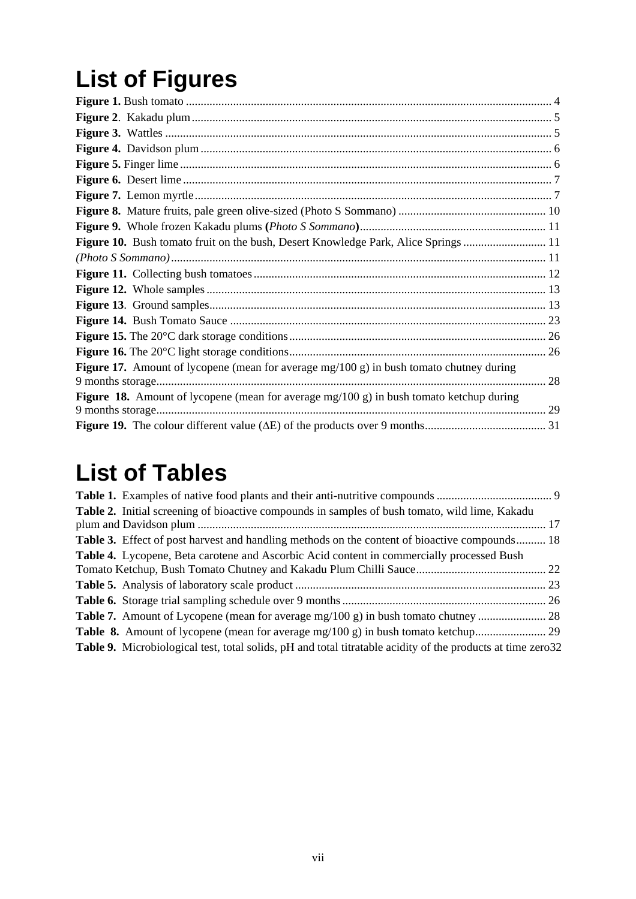## **List of Figures**

| <b>Figure 10.</b> Bush tomato fruit on the bush, Desert Knowledge Park, Alice Springs  11         |
|---------------------------------------------------------------------------------------------------|
|                                                                                                   |
|                                                                                                   |
|                                                                                                   |
|                                                                                                   |
|                                                                                                   |
|                                                                                                   |
|                                                                                                   |
| <b>Figure 17.</b> Amount of lycopene (mean for average $mg/100 g$ ) in bush tomato chutney during |
| 28                                                                                                |
| Figure 18. Amount of lycopene (mean for average $mg/100 g$ ) in bush tomato ketchup during        |
|                                                                                                   |
|                                                                                                   |

## **List of Tables**

| <b>Table 2.</b> Initial screening of bioactive compounds in samples of bush tomato, wild lime, Kakadu              |  |
|--------------------------------------------------------------------------------------------------------------------|--|
|                                                                                                                    |  |
| <b>Table 3.</b> Effect of post harvest and handling methods on the content of bioactive compounds 18               |  |
| <b>Table 4.</b> Lycopene, Beta carotene and Ascorbic Acid content in commercially processed Bush                   |  |
|                                                                                                                    |  |
|                                                                                                                    |  |
|                                                                                                                    |  |
|                                                                                                                    |  |
|                                                                                                                    |  |
| <b>Table 9.</b> Microbiological test, total solids, pH and total titratable acidity of the products at time zero32 |  |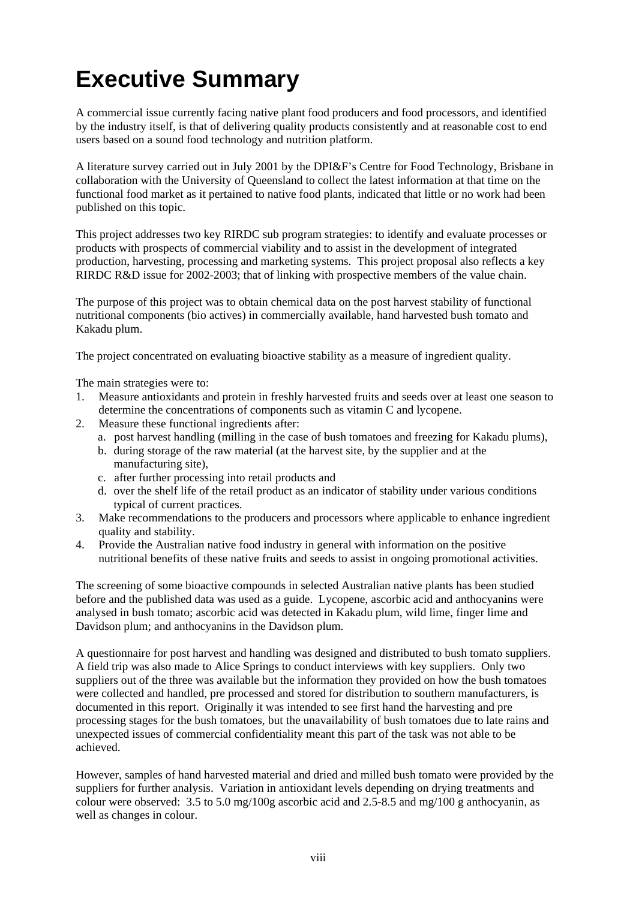## **Executive Summary**

A commercial issue currently facing native plant food producers and food processors, and identified by the industry itself, is that of delivering quality products consistently and at reasonable cost to end users based on a sound food technology and nutrition platform.

A literature survey carried out in July 2001 by the DPI&F's Centre for Food Technology, Brisbane in collaboration with the University of Queensland to collect the latest information at that time on the functional food market as it pertained to native food plants, indicated that little or no work had been published on this topic.

This project addresses two key RIRDC sub program strategies: to identify and evaluate processes or products with prospects of commercial viability and to assist in the development of integrated production, harvesting, processing and marketing systems. This project proposal also reflects a key RIRDC R&D issue for 2002-2003; that of linking with prospective members of the value chain.

The purpose of this project was to obtain chemical data on the post harvest stability of functional nutritional components (bio actives) in commercially available, hand harvested bush tomato and Kakadu plum.

The project concentrated on evaluating bioactive stability as a measure of ingredient quality.

The main strategies were to:

- 1. Measure antioxidants and protein in freshly harvested fruits and seeds over at least one season to determine the concentrations of components such as vitamin C and lycopene.
- 2. Measure these functional ingredients after:
	- a. post harvest handling (milling in the case of bush tomatoes and freezing for Kakadu plums),
	- b. during storage of the raw material (at the harvest site, by the supplier and at the manufacturing site),
	- c. after further processing into retail products and
	- d. over the shelf life of the retail product as an indicator of stability under various conditions typical of current practices.
- 3. Make recommendations to the producers and processors where applicable to enhance ingredient quality and stability.
- 4. Provide the Australian native food industry in general with information on the positive nutritional benefits of these native fruits and seeds to assist in ongoing promotional activities.

The screening of some bioactive compounds in selected Australian native plants has been studied before and the published data was used as a guide. Lycopene, ascorbic acid and anthocyanins were analysed in bush tomato; ascorbic acid was detected in Kakadu plum, wild lime, finger lime and Davidson plum; and anthocyanins in the Davidson plum.

A questionnaire for post harvest and handling was designed and distributed to bush tomato suppliers. A field trip was also made to Alice Springs to conduct interviews with key suppliers. Only two suppliers out of the three was available but the information they provided on how the bush tomatoes were collected and handled, pre processed and stored for distribution to southern manufacturers, is documented in this report. Originally it was intended to see first hand the harvesting and pre processing stages for the bush tomatoes, but the unavailability of bush tomatoes due to late rains and unexpected issues of commercial confidentiality meant this part of the task was not able to be achieved.

However, samples of hand harvested material and dried and milled bush tomato were provided by the suppliers for further analysis. Variation in antioxidant levels depending on drying treatments and colour were observed:  $3.5$  to  $5.0$  mg/100g ascorbic acid and  $2.5$ -8.5 and mg/100g anthocyanin, as well as changes in colour.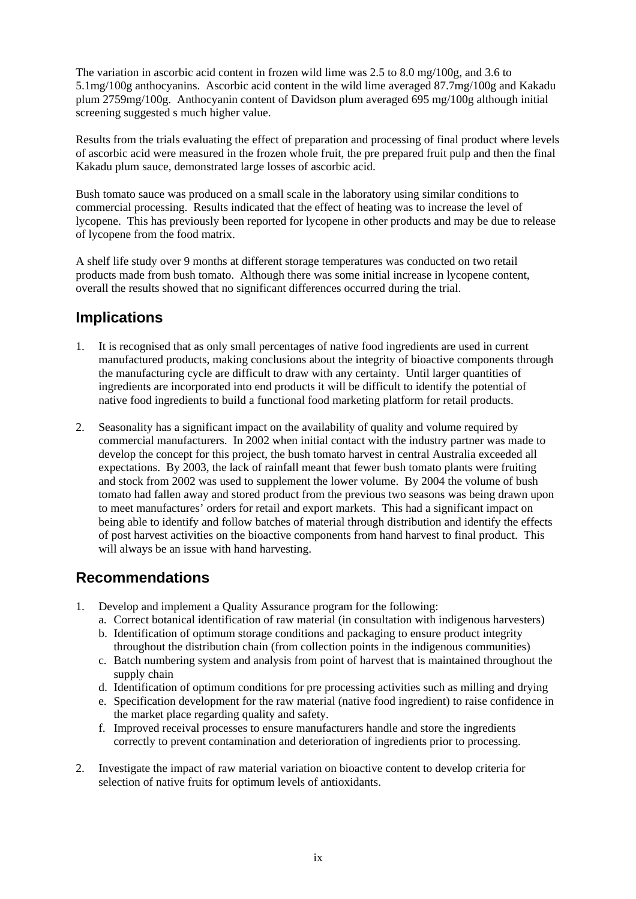The variation in ascorbic acid content in frozen wild lime was 2.5 to 8.0 mg/100g, and 3.6 to 5.1mg/100g anthocyanins. Ascorbic acid content in the wild lime averaged 87.7mg/100g and Kakadu plum 2759mg/100g. Anthocyanin content of Davidson plum averaged 695 mg/100g although initial screening suggested s much higher value.

Results from the trials evaluating the effect of preparation and processing of final product where levels of ascorbic acid were measured in the frozen whole fruit, the pre prepared fruit pulp and then the final Kakadu plum sauce, demonstrated large losses of ascorbic acid.

Bush tomato sauce was produced on a small scale in the laboratory using similar conditions to commercial processing. Results indicated that the effect of heating was to increase the level of lycopene. This has previously been reported for lycopene in other products and may be due to release of lycopene from the food matrix.

A shelf life study over 9 months at different storage temperatures was conducted on two retail products made from bush tomato. Although there was some initial increase in lycopene content, overall the results showed that no significant differences occurred during the trial.

#### **Implications**

- 1. It is recognised that as only small percentages of native food ingredients are used in current manufactured products, making conclusions about the integrity of bioactive components through the manufacturing cycle are difficult to draw with any certainty. Until larger quantities of ingredients are incorporated into end products it will be difficult to identify the potential of native food ingredients to build a functional food marketing platform for retail products.
- 2. Seasonality has a significant impact on the availability of quality and volume required by commercial manufacturers. In 2002 when initial contact with the industry partner was made to develop the concept for this project, the bush tomato harvest in central Australia exceeded all expectations. By 2003, the lack of rainfall meant that fewer bush tomato plants were fruiting and stock from 2002 was used to supplement the lower volume. By 2004 the volume of bush tomato had fallen away and stored product from the previous two seasons was being drawn upon to meet manufactures' orders for retail and export markets. This had a significant impact on being able to identify and follow batches of material through distribution and identify the effects of post harvest activities on the bioactive components from hand harvest to final product. This will always be an issue with hand harvesting.

#### **Recommendations**

- 1. Develop and implement a Quality Assurance program for the following:
	- a. Correct botanical identification of raw material (in consultation with indigenous harvesters)
	- b. Identification of optimum storage conditions and packaging to ensure product integrity throughout the distribution chain (from collection points in the indigenous communities)
	- c. Batch numbering system and analysis from point of harvest that is maintained throughout the supply chain
	- d. Identification of optimum conditions for pre processing activities such as milling and drying
	- e. Specification development for the raw material (native food ingredient) to raise confidence in the market place regarding quality and safety.
	- f. Improved receival processes to ensure manufacturers handle and store the ingredients correctly to prevent contamination and deterioration of ingredients prior to processing.
- 2. Investigate the impact of raw material variation on bioactive content to develop criteria for selection of native fruits for optimum levels of antioxidants.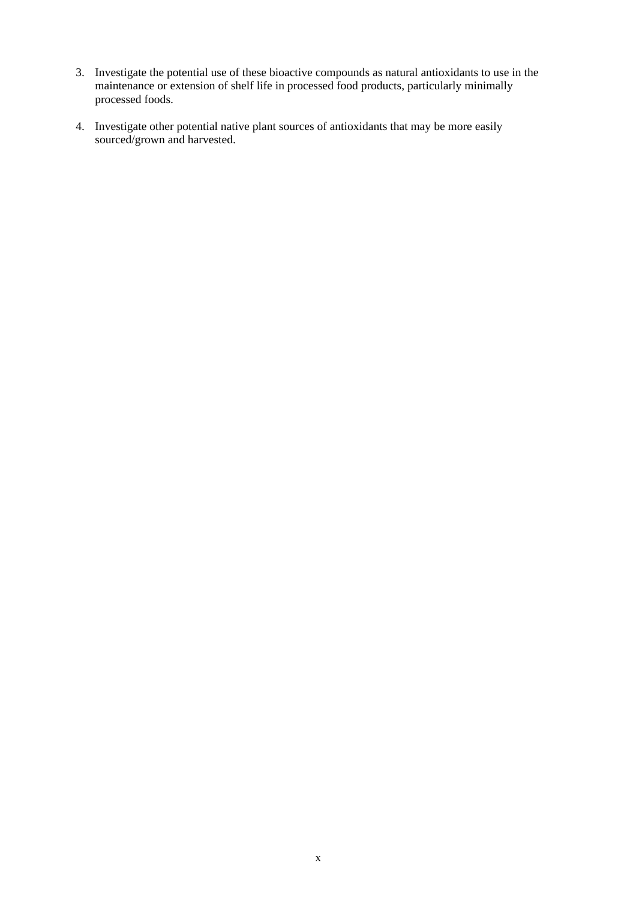- 3. Investigate the potential use of these bioactive compounds as natural antioxidants to use in the maintenance or extension of shelf life in processed food products, particularly minimally processed foods.
- 4. Investigate other potential native plant sources of antioxidants that may be more easily sourced/grown and harvested.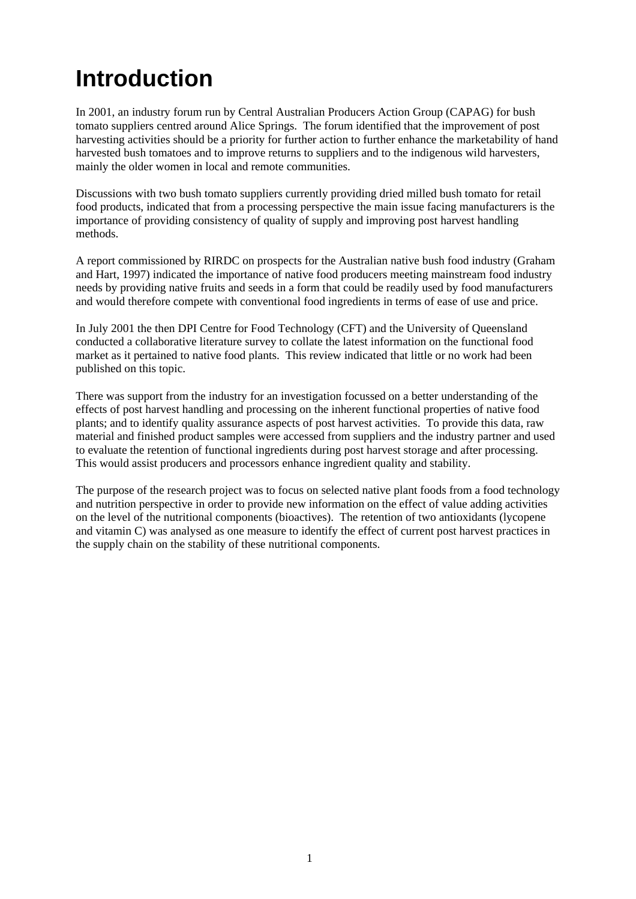## **Introduction**

In 2001, an industry forum run by Central Australian Producers Action Group (CAPAG) for bush tomato suppliers centred around Alice Springs. The forum identified that the improvement of post harvesting activities should be a priority for further action to further enhance the marketability of hand harvested bush tomatoes and to improve returns to suppliers and to the indigenous wild harvesters, mainly the older women in local and remote communities.

Discussions with two bush tomato suppliers currently providing dried milled bush tomato for retail food products, indicated that from a processing perspective the main issue facing manufacturers is the importance of providing consistency of quality of supply and improving post harvest handling methods.

A report commissioned by RIRDC on prospects for the Australian native bush food industry (Graham and Hart, 1997) indicated the importance of native food producers meeting mainstream food industry needs by providing native fruits and seeds in a form that could be readily used by food manufacturers and would therefore compete with conventional food ingredients in terms of ease of use and price.

In July 2001 the then DPI Centre for Food Technology (CFT) and the University of Queensland conducted a collaborative literature survey to collate the latest information on the functional food market as it pertained to native food plants. This review indicated that little or no work had been published on this topic.

There was support from the industry for an investigation focussed on a better understanding of the effects of post harvest handling and processing on the inherent functional properties of native food plants; and to identify quality assurance aspects of post harvest activities. To provide this data, raw material and finished product samples were accessed from suppliers and the industry partner and used to evaluate the retention of functional ingredients during post harvest storage and after processing. This would assist producers and processors enhance ingredient quality and stability.

The purpose of the research project was to focus on selected native plant foods from a food technology and nutrition perspective in order to provide new information on the effect of value adding activities on the level of the nutritional components (bioactives). The retention of two antioxidants (lycopene and vitamin C) was analysed as one measure to identify the effect of current post harvest practices in the supply chain on the stability of these nutritional components.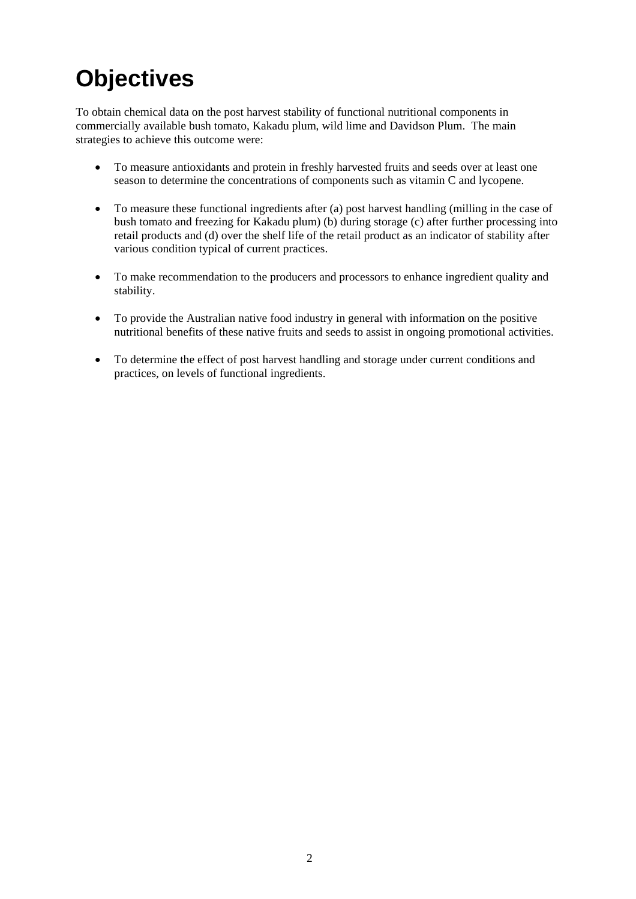## **Objectives**

To obtain chemical data on the post harvest stability of functional nutritional components in commercially available bush tomato, Kakadu plum, wild lime and Davidson Plum. The main strategies to achieve this outcome were:

- To measure antioxidants and protein in freshly harvested fruits and seeds over at least one season to determine the concentrations of components such as vitamin C and lycopene.
- To measure these functional ingredients after (a) post harvest handling (milling in the case of bush tomato and freezing for Kakadu plum) (b) during storage (c) after further processing into retail products and (d) over the shelf life of the retail product as an indicator of stability after various condition typical of current practices.
- To make recommendation to the producers and processors to enhance ingredient quality and stability.
- To provide the Australian native food industry in general with information on the positive nutritional benefits of these native fruits and seeds to assist in ongoing promotional activities.
- To determine the effect of post harvest handling and storage under current conditions and practices, on levels of functional ingredients.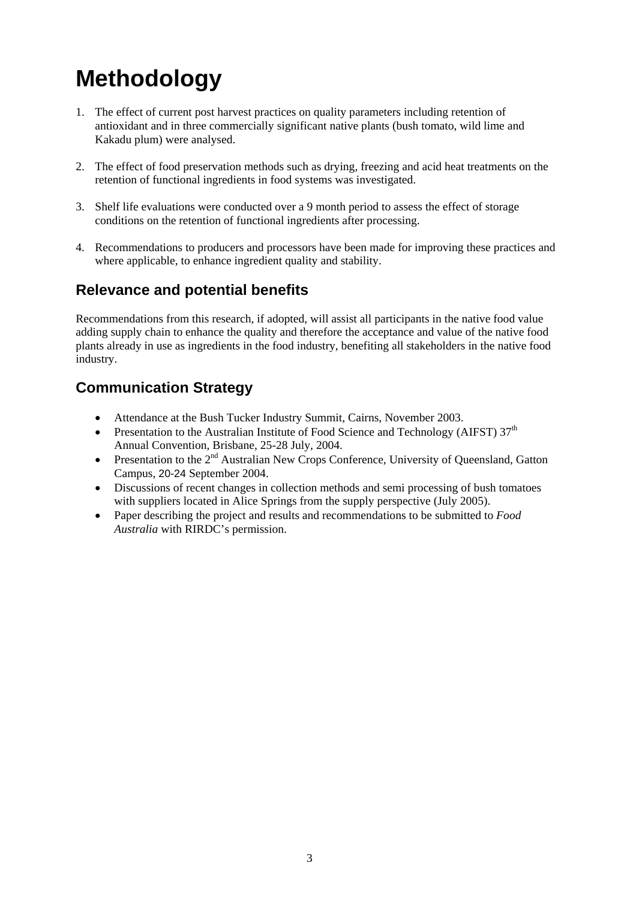## **Methodology**

- 1. The effect of current post harvest practices on quality parameters including retention of antioxidant and in three commercially significant native plants (bush tomato, wild lime and Kakadu plum) were analysed.
- 2. The effect of food preservation methods such as drying, freezing and acid heat treatments on the retention of functional ingredients in food systems was investigated.
- 3. Shelf life evaluations were conducted over a 9 month period to assess the effect of storage conditions on the retention of functional ingredients after processing.
- 4. Recommendations to producers and processors have been made for improving these practices and where applicable, to enhance ingredient quality and stability.

#### **Relevance and potential benefits**

Recommendations from this research, if adopted, will assist all participants in the native food value adding supply chain to enhance the quality and therefore the acceptance and value of the native food plants already in use as ingredients in the food industry, benefiting all stakeholders in the native food industry.

#### **Communication Strategy**

- Attendance at the Bush Tucker Industry Summit, Cairns, November 2003.
- Presentation to the Australian Institute of Food Science and Technology (AIFST)  $37<sup>th</sup>$ Annual Convention, Brisbane, 25-28 July, 2004.
- Presentation to the  $2<sup>nd</sup>$  Australian New Crops Conference, University of Queensland, Gatton Campus, 20-24 September 2004.
- Discussions of recent changes in collection methods and semi processing of bush tomatoes with suppliers located in Alice Springs from the supply perspective (July 2005).
- Paper describing the project and results and recommendations to be submitted to *Food Australia* with RIRDC's permission.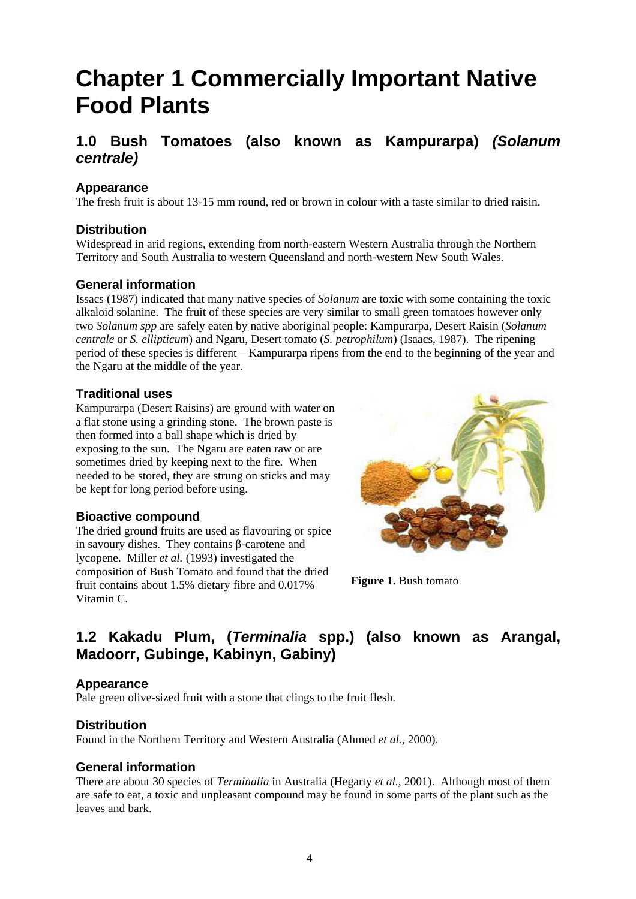## **Chapter 1 Commercially Important Native Food Plants**

#### **1.0 Bush Tomatoes (also known as Kampurarpa)** *(Solanum centrale)*

#### **Appearance**

The fresh fruit is about 13-15 mm round, red or brown in colour with a taste similar to dried raisin.

#### **Distribution**

Widespread in arid regions, extending from north-eastern Western Australia through the Northern Territory and South Australia to western Queensland and north-western New South Wales.

#### **General information**

Issacs (1987) indicated that many native species of *Solanum* are toxic with some containing the toxic alkaloid solanine. The fruit of these species are very similar to small green tomatoes however only two *Solanum spp* are safely eaten by native aboriginal people: Kampurarpa, Desert Raisin (*Solanum centrale* or *S. ellipticum*) and Ngaru, Desert tomato (*S. petrophilum*) (Isaacs, 1987). The ripening period of these species is different – Kampurarpa ripens from the end to the beginning of the year and the Ngaru at the middle of the year.

#### **Traditional uses**

Kampurarpa (Desert Raisins) are ground with water on a flat stone using a grinding stone. The brown paste is then formed into a ball shape which is dried by exposing to the sun. The Ngaru are eaten raw or are sometimes dried by keeping next to the fire. When needed to be stored, they are strung on sticks and may be kept for long period before using.

#### **Bioactive compound**

The dried ground fruits are used as flavouring or spice in savoury dishes. They contains β-carotene and lycopene. Miller *et al.* (1993) investigated the composition of Bush Tomato and found that the dried fruit contains about 1.5% dietary fibre and 0.017% Vitamin C.



**Figure 1. Bush tomato** 

#### **1.2 Kakadu Plum, (***Terminalia* **spp.) (also known as Arangal, Madoorr, Gubinge, Kabinyn, Gabiny)**

#### **Appearance**

Pale green olive-sized fruit with a stone that clings to the fruit flesh.

#### **Distribution**

Found in the Northern Territory and Western Australia (Ahmed *et al.,* 2000).

#### **General information**

There are about 30 species of *Terminalia* in Australia (Hegarty *et al.,* 2001). Although most of them are safe to eat, a toxic and unpleasant compound may be found in some parts of the plant such as the leaves and bark.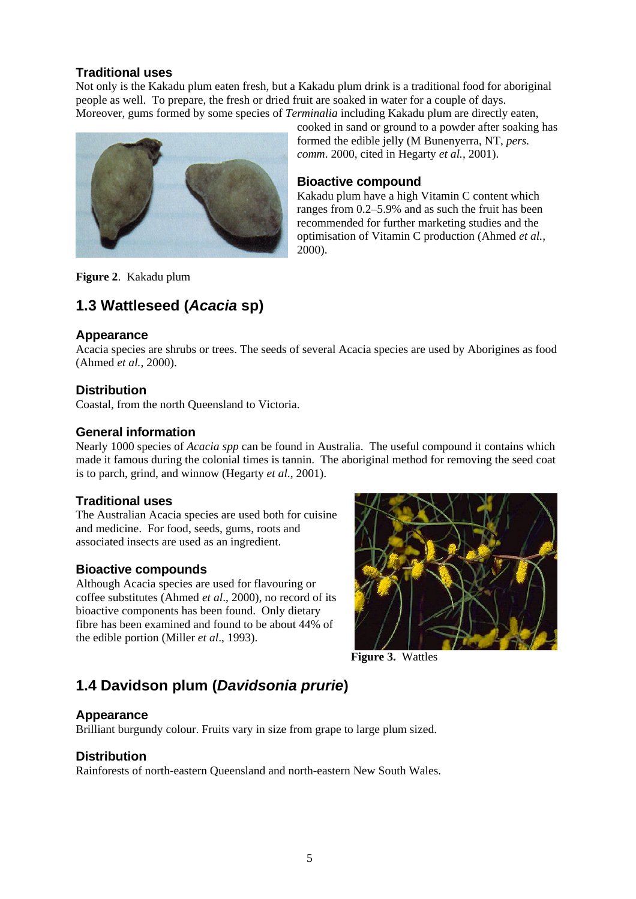#### **Traditional uses**

Not only is the Kakadu plum eaten fresh, but a Kakadu plum drink is a traditional food for aboriginal people as well. To prepare, the fresh or dried fruit are soaked in water for a couple of days. Moreover, gums formed by some species of *Terminalia* including Kakadu plum are directly eaten,



cooked in sand or ground to a powder after soaking has formed the edible jelly (M Bunenyerra, NT, *pers. comm*. 2000, cited in Hegarty *et al.,* 2001).

#### **Bioactive compound**

Kakadu plum have a high Vitamin C content which ranges from 0.2–5.9% and as such the fruit has been recommended for further marketing studies and the optimisation of Vitamin C production (Ahmed *et al.,* 2000).

**Figure 2**. Kakadu plum

#### **1.3 Wattleseed (***Acacia* **sp)**

#### **Appearance**

Acacia species are shrubs or trees. The seeds of several Acacia species are used by Aborigines as food (Ahmed *et al.*, 2000).

#### **Distribution**

Coastal, from the north Queensland to Victoria.

#### **General information**

Nearly 1000 species of *Acacia spp* can be found in Australia. The useful compound it contains which made it famous during the colonial times is tannin. The aboriginal method for removing the seed coat is to parch, grind, and winnow (Hegarty *et al*., 2001).

#### **Traditional uses**

The Australian Acacia species are used both for cuisine and medicine. For food, seeds, gums, roots and associated insects are used as an ingredient.

#### **Bioactive compounds**

Although Acacia species are used for flavouring or coffee substitutes (Ahmed *et al*., 2000), no record of its bioactive components has been found. Only dietary fibre has been examined and found to be about 44% of the edible portion (Miller *et al*., 1993).



**Figure 3.** Wattles

#### **1.4 Davidson plum (***Davidsonia prurie***)**

#### **Appearance**

Brilliant burgundy colour. Fruits vary in size from grape to large plum sized.

#### **Distribution**

Rainforests of north-eastern Queensland and north-eastern New South Wales.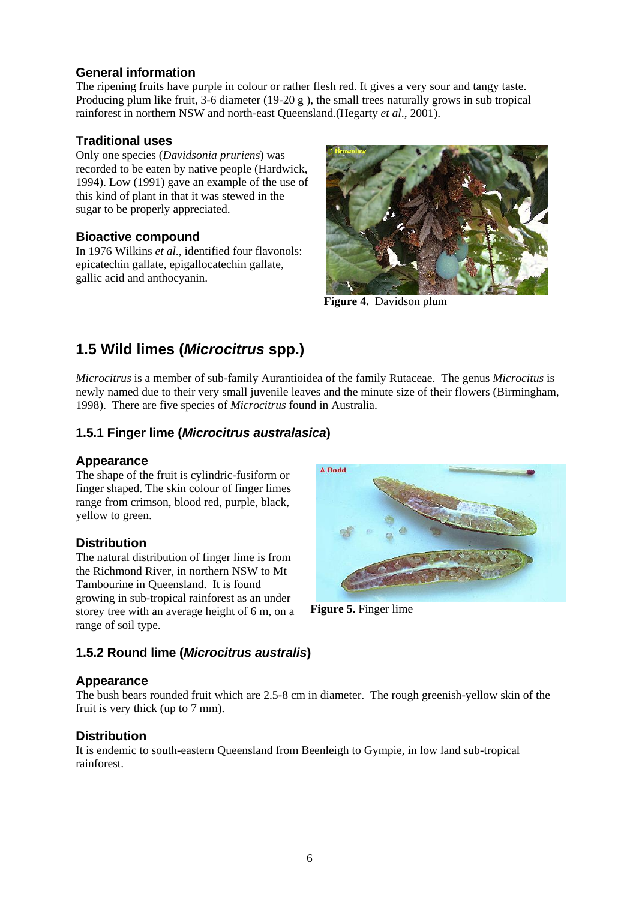#### **General information**

The ripening fruits have purple in colour or rather flesh red. It gives a very sour and tangy taste. Producing plum like fruit, 3-6 diameter (19-20 g ), the small trees naturally grows in sub tropical rainforest in northern NSW and north-east Queensland.(Hegarty *et al*., 2001).

#### **Traditional uses**

Only one species (*Davidsonia pruriens*) was recorded to be eaten by native people (Hardwick, 1994). Low (1991) gave an example of the use of this kind of plant in that it was stewed in the sugar to be properly appreciated.

#### **Bioactive compound**

In 1976 Wilkins *et al*., identified four flavonols: epicatechin gallate, epigallocatechin gallate, gallic acid and anthocyanin.



**Figure 4.** Davidson plum

#### **1.5 Wild limes (***Microcitrus* **spp.)**

*Microcitrus* is a member of sub-family Aurantioidea of the family Rutaceae. The genus *Microcitus* is newly named due to their very small juvenile leaves and the minute size of their flowers (Birmingham, 1998). There are five species of *Microcitrus* found in Australia.

#### **1.5.1 Finger lime (***Microcitrus australasica***)**

#### **Appearance**

The shape of the fruit is cylindric-fusiform or finger shaped. The skin colour of finger limes range from crimson, blood red, purple, black, yellow to green.

#### **Distribution**

The natural distribution of finger lime is from the Richmond River, in northern NSW to Mt Tambourine in Queensland. It is found growing in sub-tropical rainforest as an under storey tree with an average height of 6 m, on a range of soil type.

# A Dodd

**Figure 5.** Finger lime

#### **1.5.2 Round lime (***Microcitrus australis***)**

#### **Appearance**

The bush bears rounded fruit which are 2.5-8 cm in diameter. The rough greenish-yellow skin of the fruit is very thick (up to 7 mm).

#### **Distribution**

It is endemic to south-eastern Queensland from Beenleigh to Gympie, in low land sub-tropical rainforest.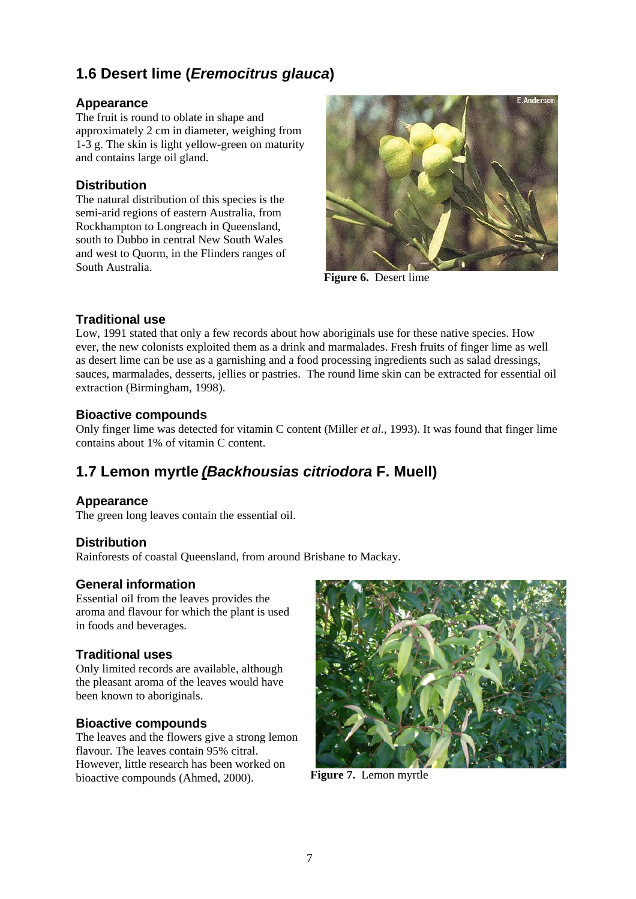#### **1.6 Desert lime (***Eremocitrus glauca***)**

#### **Appearance**

The fruit is round to oblate in shape and approximately 2 cm in diameter, weighing from 1-3 g. The skin is light yellow-green on maturity and contains large oil gland.

#### **Distribution**

The natural distribution of this species is the semi-arid regions of eastern Australia, from Rockhampton to Longreach in Queensland, south to Dubbo in central New South Wales and west to Quorm, in the Flinders ranges of South Australia.



**Figure 6.** Desert lime

#### **Traditional use**

Low, 1991 stated that only a few records about how aboriginals use for these native species. How ever, the new colonists exploited them as a drink and marmalades. Fresh fruits of finger lime as well as desert lime can be use as a garnishing and a food processing ingredients such as salad dressings, sauces, marmalades, desserts, jellies or pastries. The round lime skin can be extracted for essential oil extraction (Birmingham, 1998).

#### **Bioactive compounds**

Only finger lime was detected for vitamin C content (Miller *et al.*, 1993). It was found that finger lime contains about 1% of vitamin C content.

## **1.7 Lemon myrtle** *(Backhousias citriodora* **F. Muell)**

#### **Appearance**

The green long leaves contain the essential oil.

#### **Distribution**

Rainforests of coastal Queensland, from around Brisbane to Mackay.

#### **General information**

Essential oil from the leaves provides the aroma and flavour for which the plant is used in foods and beverages.

#### **Traditional uses**

Only limited records are available, although the pleasant aroma of the leaves would have been known to aboriginals.

#### **Bioactive compounds**

The leaves and the flowers give a strong lemon flavour. The leaves contain 95% citral. However, little research has been worked on bioactive compounds (Ahmed, 2000). **Figure 7.** Lemon myrtle

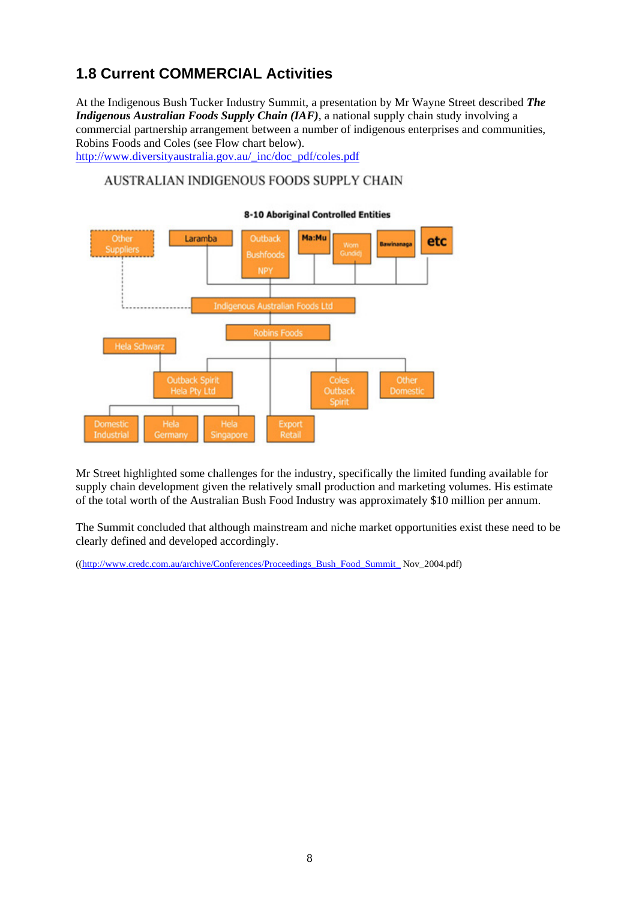#### **1.8 Current COMMERCIAL Activities**

At the Indigenous Bush Tucker Industry Summit, a presentation by Mr Wayne Street described *The Indigenous Australian Foods Supply Chain (IAF)*, a national supply chain study involving a commercial partnership arrangement between a number of indigenous enterprises and communities, Robins Foods and Coles (see Flow chart below).

http://www.diversityaustralia.gov.au/\_inc/doc\_pdf/coles.pdf

#### AUSTRALIAN INDIGENOUS FOODS SUPPLY CHAIN



Mr Street highlighted some challenges for the industry, specifically the limited funding available for supply chain development given the relatively small production and marketing volumes. His estimate of the total worth of the Australian Bush Food Industry was approximately \$10 million per annum.

The Summit concluded that although mainstream and niche market opportunities exist these need to be clearly defined and developed accordingly.

((http://www.credc.com.au/archive/Conferences/Proceedings\_Bush\_Food\_Summit\_ Nov\_2004.pdf)

#### **8-10 Aboriginal Controlled Entities**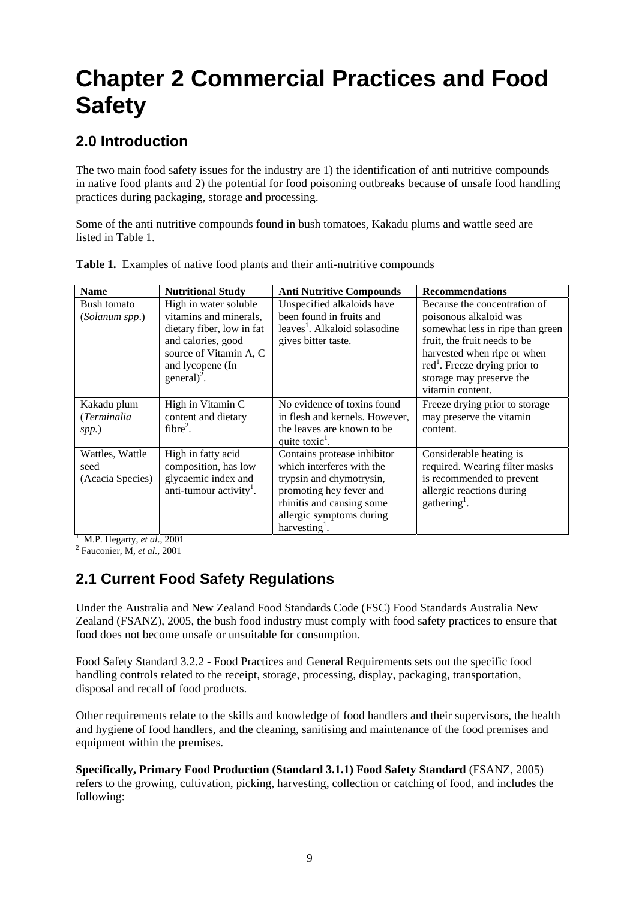## **Chapter 2 Commercial Practices and Food Safety**

#### **2.0 Introduction**

The two main food safety issues for the industry are 1) the identification of anti nutritive compounds in native food plants and 2) the potential for food poisoning outbreaks because of unsafe food handling practices during packaging, storage and processing.

Some of the anti nutritive compounds found in bush tomatoes, Kakadu plums and wattle seed are listed in Table 1.

| <b>Name</b>      | <b>Nutritional Study</b>            | <b>Anti Nutritive Compounds</b>           | <b>Recommendations</b>                  |
|------------------|-------------------------------------|-------------------------------------------|-----------------------------------------|
| Bush tomato      | High in water soluble               | Unspecified alkaloids have                | Because the concentration of            |
| (Solanum spp.)   | vitamins and minerals,              | been found in fruits and                  | poisonous alkaloid was                  |
|                  | dietary fiber, low in fat           | leaves <sup>1</sup> . Alkaloid solasodine | somewhat less in ripe than green        |
|                  | and calories, good                  | gives bitter taste.                       | fruit, the fruit needs to be            |
|                  | source of Vitamin A, C              |                                           | harvested when ripe or when             |
|                  | and lycopene (In                    |                                           | $\text{red}^1$ . Freeze drying prior to |
|                  | general) <sup>2</sup> .             |                                           | storage may preserve the                |
|                  |                                     |                                           | vitamin content.                        |
| Kakadu plum      | High in Vitamin C                   | No evidence of toxins found               | Freeze drying prior to storage          |
| (Terminalia      | content and dietary                 | in flesh and kernels. However,            | may preserve the vitamin                |
| spp.)            | $fibre2$ .                          | the leaves are known to be                | content.                                |
|                  |                                     | quite toxic <sup>1</sup> .                |                                         |
| Wattles, Wattle  | High in fatty acid                  | Contains protease inhibitor               | Considerable heating is                 |
| seed             | composition, has low                | which interferes with the                 | required. Wearing filter masks          |
| (Acacia Species) | glycaemic index and                 | trypsin and chymotrysin,                  | is recommended to prevent               |
|                  | anti-tumour activity <sup>1</sup> . | promoting hey fever and                   | allergic reactions during               |
|                  |                                     | rhinitis and causing some                 | gathering <sup>1</sup> .                |
|                  |                                     | allergic symptoms during                  |                                         |
|                  |                                     | harvesting <sup>1</sup> .                 |                                         |

**Table 1.** Examples of native food plants and their anti-nutritive compounds

<sup>1</sup> M.P. Hegarty, *et al.*, 2001

Fauconier, M, *et al*., 2001

#### **2.1 Current Food Safety Regulations**

Under the Australia and New Zealand Food Standards Code (FSC) Food Standards Australia New Zealand (FSANZ), 2005, the bush food industry must comply with food safety practices to ensure that food does not become unsafe or unsuitable for consumption.

Food Safety Standard 3.2.2 - Food Practices and General Requirements sets out the specific food handling controls related to the receipt, storage, processing, display, packaging, transportation, disposal and recall of food products.

Other requirements relate to the skills and knowledge of food handlers and their supervisors, the health and hygiene of food handlers, and the cleaning, sanitising and maintenance of the food premises and equipment within the premises.

**Specifically, Primary Food Production (Standard 3.1.1) Food Safety Standard** (FSANZ, 2005) refers to the growing, cultivation, picking, harvesting, collection or catching of food, and includes the following: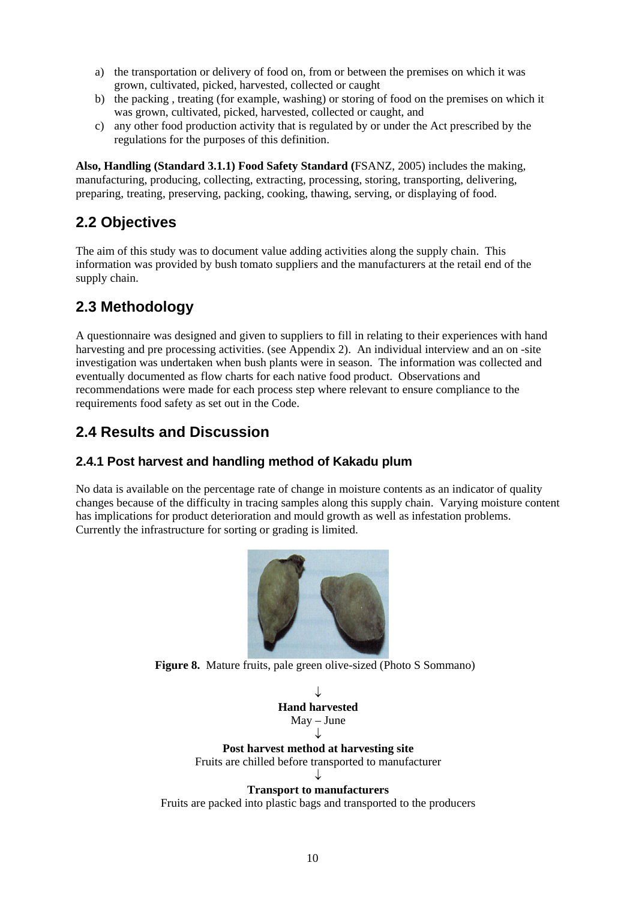- a) the transportation or delivery of food on, from or between the premises on which it was grown, cultivated, picked, harvested, collected or caught
- b) the packing , treating (for example, washing) or storing of food on the premises on which it was grown, cultivated, picked, harvested, collected or caught, and
- c) any other food production activity that is regulated by or under the Act prescribed by the regulations for the purposes of this definition.

**Also, Handling (Standard 3.1.1) Food Safety Standard (**FSANZ, 2005) includes the making, manufacturing, producing, collecting, extracting, processing, storing, transporting, delivering, preparing, treating, preserving, packing, cooking, thawing, serving, or displaying of food.

#### **2.2 Objectives**

The aim of this study was to document value adding activities along the supply chain. This information was provided by bush tomato suppliers and the manufacturers at the retail end of the supply chain.

#### **2.3 Methodology**

A questionnaire was designed and given to suppliers to fill in relating to their experiences with hand harvesting and pre processing activities. (see Appendix 2). An individual interview and an on-site investigation was undertaken when bush plants were in season. The information was collected and eventually documented as flow charts for each native food product. Observations and recommendations were made for each process step where relevant to ensure compliance to the requirements food safety as set out in the Code.

#### **2.4 Results and Discussion**

#### **2.4.1 Post harvest and handling method of Kakadu plum**

No data is available on the percentage rate of change in moisture contents as an indicator of quality changes because of the difficulty in tracing samples along this supply chain. Varying moisture content has implications for product deterioration and mould growth as well as infestation problems. Currently the infrastructure for sorting or grading is limited.



**Figure 8.** Mature fruits, pale green olive-sized (Photo S Sommano)

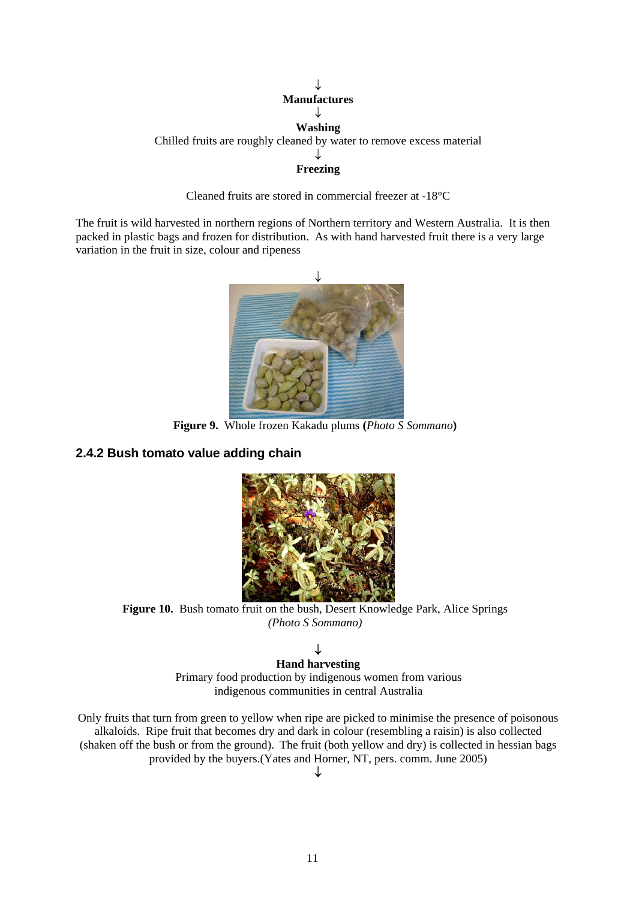#### ↓ **Manufactures**  ↓ **Washing**  Chilled fruits are roughly cleaned by water to remove excess material ↓ **Freezing**

Cleaned fruits are stored in commercial freezer at -18°C

The fruit is wild harvested in northern regions of Northern territory and Western Australia. It is then packed in plastic bags and frozen for distribution. As with hand harvested fruit there is a very large variation in the fruit in size, colour and ripeness



**Figure 9.** Whole frozen Kakadu plums **(***Photo S Sommano***)** 

#### **2.4.2 Bush tomato value adding chain**



Figure 10. Bush tomato fruit on the bush, Desert Knowledge Park, Alice Springs *(Photo S Sommano)* 

#### ↓

**Hand harvesting**  Primary food production by indigenous women from various indigenous communities in central Australia

Only fruits that turn from green to yellow when ripe are picked to minimise the presence of poisonous alkaloids. Ripe fruit that becomes dry and dark in colour (resembling a raisin) is also collected (shaken off the bush or from the ground). The fruit (both yellow and dry) is collected in hessian bags provided by the buyers.(Yates and Horner, NT, pers. comm. June 2005)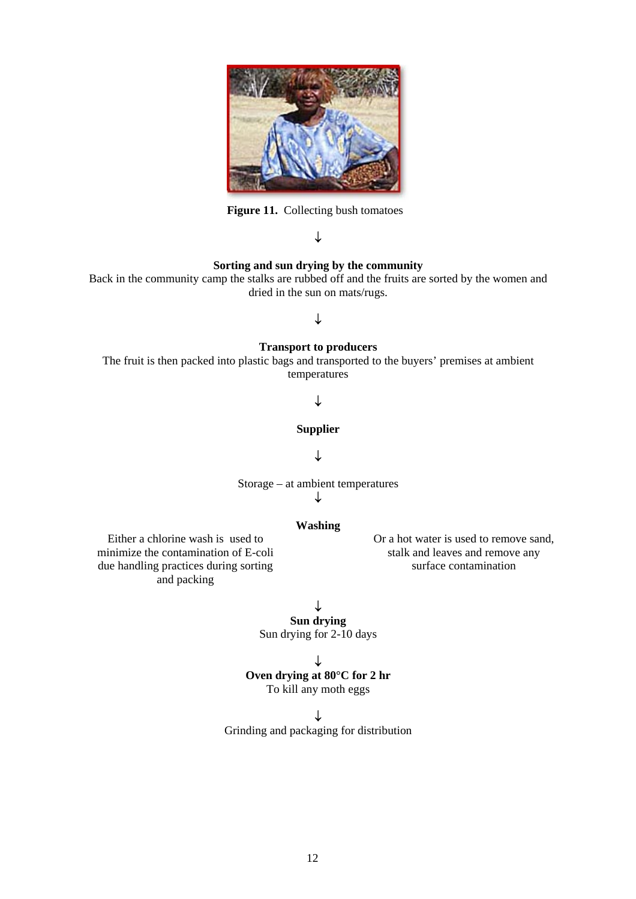

**Figure 11.** Collecting bush tomatoes

#### ↓

#### **Sorting and sun drying by the community**

Back in the community camp the stalks are rubbed off and the fruits are sorted by the women and dried in the sun on mats/rugs.

#### ↓

#### **Transport to producers**

The fruit is then packed into plastic bags and transported to the buyers' premises at ambient temperatures

#### ↓

#### **Supplier**

#### ↓

Storage – at ambient temperatures ↓

#### **Washing**

Either a chlorine wash is used to minimize the contamination of E-coli due handling practices during sorting and packing

Or a hot water is used to remove sand, stalk and leaves and remove any surface contamination

#### ↓

**Sun drying**  Sun drying for 2-10 days

#### ↓

#### **Oven drying at 80°C for 2 hr**

To kill any moth eggs

#### ↓

Grinding and packaging for distribution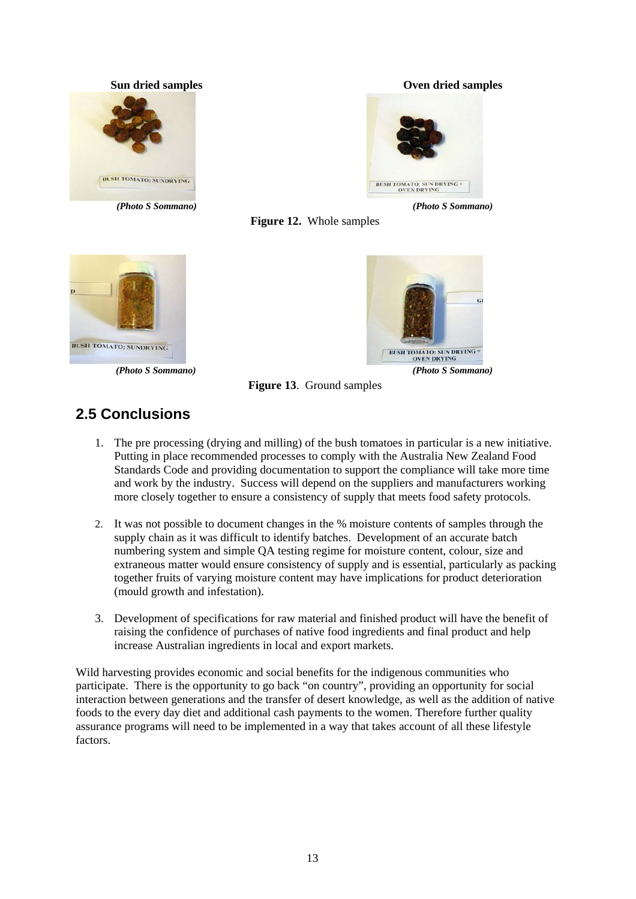

#### **Sun dried samples Oven dried samples**



*(Photo S Sommano) (Photo S Sommano)*





*(Photo S Sommano) (Photo S Sommano)*



**Figure 13**. Ground samples

#### **2.5 Conclusions**

- 1. The pre processing (drying and milling) of the bush tomatoes in particular is a new initiative. Putting in place recommended processes to comply with the Australia New Zealand Food Standards Code and providing documentation to support the compliance will take more time and work by the industry. Success will depend on the suppliers and manufacturers working more closely together to ensure a consistency of supply that meets food safety protocols.
- 2. It was not possible to document changes in the % moisture contents of samples through the supply chain as it was difficult to identify batches. Development of an accurate batch numbering system and simple QA testing regime for moisture content, colour, size and extraneous matter would ensure consistency of supply and is essential, particularly as packing together fruits of varying moisture content may have implications for product deterioration (mould growth and infestation).
- 3. Development of specifications for raw material and finished product will have the benefit of raising the confidence of purchases of native food ingredients and final product and help increase Australian ingredients in local and export markets.

Wild harvesting provides economic and social benefits for the indigenous communities who participate. There is the opportunity to go back "on country", providing an opportunity for social interaction between generations and the transfer of desert knowledge, as well as the addition of native foods to the every day diet and additional cash payments to the women. Therefore further quality assurance programs will need to be implemented in a way that takes account of all these lifestyle factors.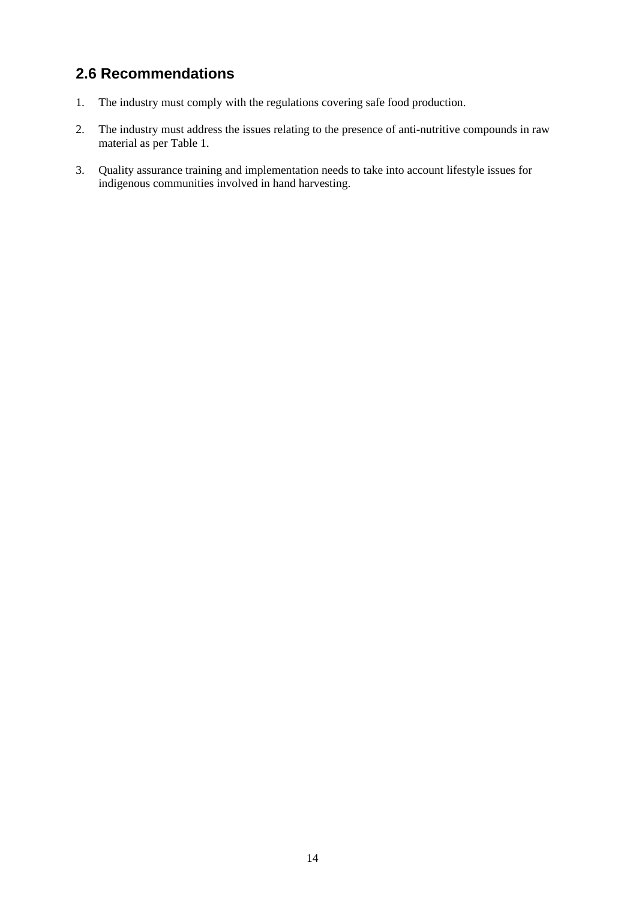#### **2.6 Recommendations**

- 1. The industry must comply with the regulations covering safe food production.
- 2. The industry must address the issues relating to the presence of anti-nutritive compounds in raw material as per Table 1.
- 3. Quality assurance training and implementation needs to take into account lifestyle issues for indigenous communities involved in hand harvesting.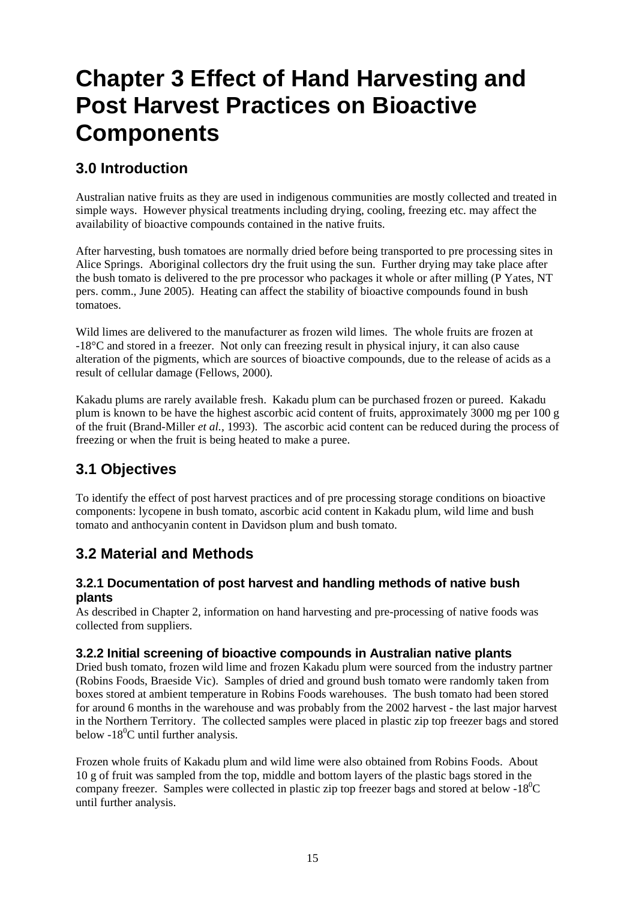## **Chapter 3 Effect of Hand Harvesting and Post Harvest Practices on Bioactive Components**

#### **3.0 Introduction**

Australian native fruits as they are used in indigenous communities are mostly collected and treated in simple ways. However physical treatments including drying, cooling, freezing etc. may affect the availability of bioactive compounds contained in the native fruits.

After harvesting, bush tomatoes are normally dried before being transported to pre processing sites in Alice Springs. Aboriginal collectors dry the fruit using the sun. Further drying may take place after the bush tomato is delivered to the pre processor who packages it whole or after milling (P Yates, NT pers. comm., June 2005). Heating can affect the stability of bioactive compounds found in bush tomatoes.

Wild limes are delivered to the manufacturer as frozen wild limes. The whole fruits are frozen at -18°C and stored in a freezer. Not only can freezing result in physical injury, it can also cause alteration of the pigments, which are sources of bioactive compounds, due to the release of acids as a result of cellular damage (Fellows, 2000).

Kakadu plums are rarely available fresh. Kakadu plum can be purchased frozen or pureed. Kakadu plum is known to be have the highest ascorbic acid content of fruits, approximately 3000 mg per 100 g of the fruit (Brand-Miller *et al.,* 1993). The ascorbic acid content can be reduced during the process of freezing or when the fruit is being heated to make a puree.

#### **3.1 Objectives**

To identify the effect of post harvest practices and of pre processing storage conditions on bioactive components: lycopene in bush tomato, ascorbic acid content in Kakadu plum, wild lime and bush tomato and anthocyanin content in Davidson plum and bush tomato.

#### **3.2 Material and Methods**

#### **3.2.1 Documentation of post harvest and handling methods of native bush plants**

As described in Chapter 2, information on hand harvesting and pre-processing of native foods was collected from suppliers.

#### **3.2.2 Initial screening of bioactive compounds in Australian native plants**

Dried bush tomato, frozen wild lime and frozen Kakadu plum were sourced from the industry partner (Robins Foods, Braeside Vic). Samples of dried and ground bush tomato were randomly taken from boxes stored at ambient temperature in Robins Foods warehouses. The bush tomato had been stored for around 6 months in the warehouse and was probably from the 2002 harvest - the last major harvest in the Northern Territory. The collected samples were placed in plastic zip top freezer bags and stored below -18<sup>0</sup>C until further analysis.

Frozen whole fruits of Kakadu plum and wild lime were also obtained from Robins Foods. About 10 g of fruit was sampled from the top, middle and bottom layers of the plastic bags stored in the company freezer. Samples were collected in plastic zip top freezer bags and stored at below -18 $^0C$ until further analysis.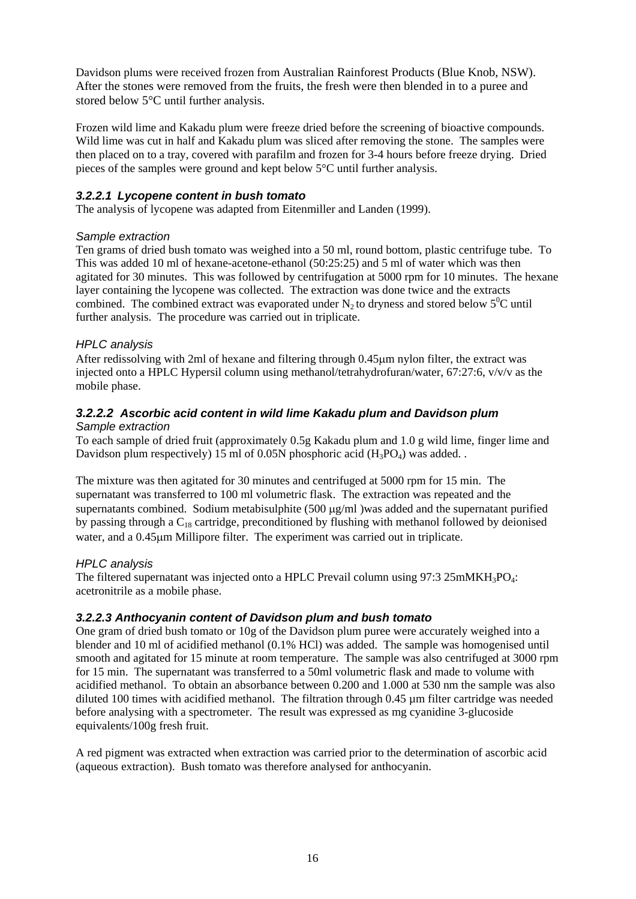Davidson plums were received frozen from Australian Rainforest Products (Blue Knob, NSW). After the stones were removed from the fruits, the fresh were then blended in to a puree and stored below 5°C until further analysis.

Frozen wild lime and Kakadu plum were freeze dried before the screening of bioactive compounds. Wild lime was cut in half and Kakadu plum was sliced after removing the stone. The samples were then placed on to a tray, covered with parafilm and frozen for 3-4 hours before freeze drying. Dried pieces of the samples were ground and kept below 5°C until further analysis.

#### *3.2.2.1 Lycopene content in bush tomato*

The analysis of lycopene was adapted from Eitenmiller and Landen (1999).

#### *Sample extraction*

Ten grams of dried bush tomato was weighed into a 50 ml, round bottom, plastic centrifuge tube. To This was added 10 ml of hexane-acetone-ethanol (50:25:25) and 5 ml of water which was then agitated for 30 minutes. This was followed by centrifugation at 5000 rpm for 10 minutes. The hexane layer containing the lycopene was collected. The extraction was done twice and the extracts combined. The combined extract was evaporated under  $N_2$  to dryness and stored below  $5^0C$  until further analysis. The procedure was carried out in triplicate.

#### *HPLC analysis*

After redissolving with 2ml of hexane and filtering through 0.45µm nylon filter, the extract was injected onto a HPLC Hypersil column using methanol/tetrahydrofuran/water,  $67:27:6$ ,  $v/v/v$  as the mobile phase.

#### *3.2.2.2 Ascorbic acid content in wild lime Kakadu plum and Davidson plum Sample extraction*

To each sample of dried fruit (approximately 0.5g Kakadu plum and 1.0 g wild lime, finger lime and Davidson plum respectively) 15 ml of 0.05N phosphoric acid  $(H_3PO_4)$  was added.

The mixture was then agitated for 30 minutes and centrifuged at 5000 rpm for 15 min. The supernatant was transferred to 100 ml volumetric flask. The extraction was repeated and the supernatants combined. Sodium metabisulphite (500 µg/ml) was added and the supernatant purified by passing through a  $C_{18}$  cartridge, preconditioned by flushing with methanol followed by deionised water, and a 0.45um Millipore filter. The experiment was carried out in triplicate.

#### *HPLC analysis*

The filtered supernatant was injected onto a HPLC Prevail column using  $97:3 25 \text{mM} \text{K} \text{H}_3 \text{PO}_4$ : acetronitrile as a mobile phase.

#### *3.2.2.3 Anthocyanin content of Davidson plum and bush tomato*

One gram of dried bush tomato or 10g of the Davidson plum puree were accurately weighed into a blender and 10 ml of acidified methanol (0.1% HCl) was added. The sample was homogenised until smooth and agitated for 15 minute at room temperature. The sample was also centrifuged at 3000 rpm for 15 min. The supernatant was transferred to a 50ml volumetric flask and made to volume with acidified methanol. To obtain an absorbance between 0.200 and 1.000 at 530 nm the sample was also diluted 100 times with acidified methanol. The filtration through 0.45  $\mu$ m filter cartridge was needed before analysing with a spectrometer. The result was expressed as mg cyanidine 3-glucoside equivalents/100g fresh fruit.

A red pigment was extracted when extraction was carried prior to the determination of ascorbic acid (aqueous extraction). Bush tomato was therefore analysed for anthocyanin.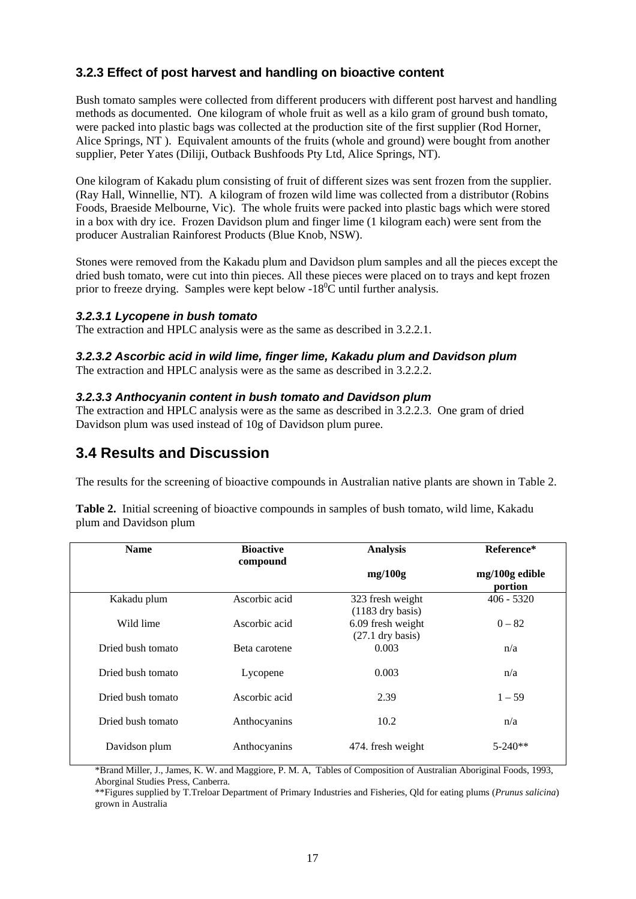#### **3.2.3 Effect of post harvest and handling on bioactive content**

Bush tomato samples were collected from different producers with different post harvest and handling methods as documented. One kilogram of whole fruit as well as a kilo gram of ground bush tomato, were packed into plastic bags was collected at the production site of the first supplier (Rod Horner, Alice Springs, NT). Equivalent amounts of the fruits (whole and ground) were bought from another supplier, Peter Yates (Diliji, Outback Bushfoods Pty Ltd, Alice Springs, NT).

One kilogram of Kakadu plum consisting of fruit of different sizes was sent frozen from the supplier. (Ray Hall, Winnellie, NT). A kilogram of frozen wild lime was collected from a distributor (Robins Foods, Braeside Melbourne, Vic). The whole fruits were packed into plastic bags which were stored in a box with dry ice. Frozen Davidson plum and finger lime (1 kilogram each) were sent from the producer Australian Rainforest Products (Blue Knob, NSW).

Stones were removed from the Kakadu plum and Davidson plum samples and all the pieces except the dried bush tomato, were cut into thin pieces. All these pieces were placed on to trays and kept frozen prior to freeze drying. Samples were kept below -18 ${}^{0}C$  until further analysis.

#### *3.2.3.1 Lycopene in bush tomato*

The extraction and HPLC analysis were as the same as described in 3.2.2.1.

#### *3.2.3.2 Ascorbic acid in wild lime, finger lime, Kakadu plum and Davidson plum*

The extraction and HPLC analysis were as the same as described in 3.2.2.2.

#### *3.2.3.3 Anthocyanin content in bush tomato and Davidson plum*

The extraction and HPLC analysis were as the same as described in 3.2.2.3. One gram of dried Davidson plum was used instead of 10g of Davidson plum puree.

#### **3.4 Results and Discussion**

The results for the screening of bioactive compounds in Australian native plants are shown in Table 2.

| Table 2. Initial screening of bioactive compounds in samples of bush tomato, wild lime, Kakadu |  |  |
|------------------------------------------------------------------------------------------------|--|--|
| plum and Davidson plum                                                                         |  |  |

| <b>Name</b>       | <b>Bioactive</b><br>compound | <b>Analysis</b>                         | Reference*                |
|-------------------|------------------------------|-----------------------------------------|---------------------------|
|                   |                              | mg/100g                                 | mg/100g edible<br>portion |
| Kakadu plum       | Ascorbic acid                | 323 fresh weight<br>$(1183$ dry basis)  | $406 - 5320$              |
| Wild lime         | Ascorbic acid                | 6.09 fresh weight<br>$(27.1$ dry basis) | $0 - 82$                  |
| Dried bush tomato | Beta carotene                | 0.003                                   | n/a                       |
| Dried bush tomato | Lycopene                     | 0.003                                   | n/a                       |
| Dried bush tomato | Ascorbic acid                | 2.39                                    | $1 - 59$                  |
| Dried bush tomato | Anthocyanins                 | 10.2                                    | n/a                       |
| Davidson plum     | Anthocyanins                 | 474. fresh weight                       | $5 - 240**$               |

\*Brand Miller, J., James, K. W. and Maggiore, P. M. A, Tables of Composition of Australian Aboriginal Foods, 1993, Aborginal Studies Press, Canberra.

\*\*Figures supplied by T.Treloar Department of Primary Industries and Fisheries, Qld for eating plums (*Prunus salicina*) grown in Australia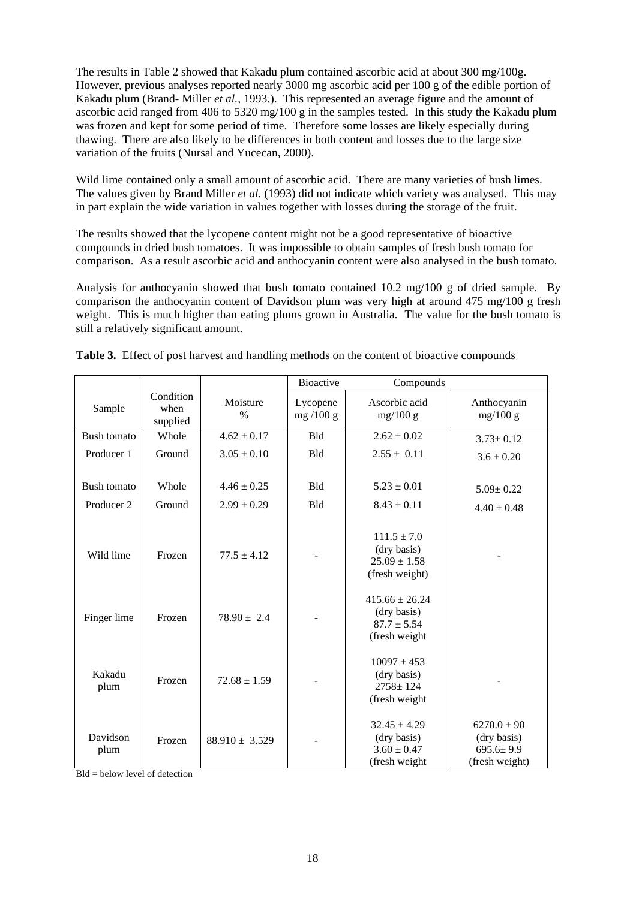The results in Table 2 showed that Kakadu plum contained ascorbic acid at about 300 mg/100g. However, previous analyses reported nearly 3000 mg ascorbic acid per 100 g of the edible portion of Kakadu plum (Brand- Miller *et al.,* 1993.). This represented an average figure and the amount of ascorbic acid ranged from 406 to 5320 mg/100 g in the samples tested. In this study the Kakadu plum was frozen and kept for some period of time. Therefore some losses are likely especially during thawing. There are also likely to be differences in both content and losses due to the large size variation of the fruits (Nursal and Yucecan, 2000).

Wild lime contained only a small amount of ascorbic acid. There are many varieties of bush limes. The values given by Brand Miller *et al.* (1993) did not indicate which variety was analysed. This may in part explain the wide variation in values together with losses during the storage of the fruit.

The results showed that the lycopene content might not be a good representative of bioactive compounds in dried bush tomatoes. It was impossible to obtain samples of fresh bush tomato for comparison. As a result ascorbic acid and anthocyanin content were also analysed in the bush tomato.

Analysis for anthocyanin showed that bush tomato contained 10.2 mg/100 g of dried sample. By comparison the anthocyanin content of Davidson plum was very high at around 475 mg/100 g fresh weight. This is much higher than eating plums grown in Australia. The value for the bush tomato is still a relatively significant amount.

|                           |                               |                                    | <b>Bioactive</b>         | Compounds                                                             |                                                                     |
|---------------------------|-------------------------------|------------------------------------|--------------------------|-----------------------------------------------------------------------|---------------------------------------------------------------------|
| Sample                    | Condition<br>when<br>supplied | Moisture<br>$\%$                   | Lycopene<br>mg $/100$ g  | Ascorbic acid<br>mg/100 g                                             | Anthocyanin<br>mg/100 g                                             |
| Bush tomato               | Whole                         | $4.62 \pm 0.17$                    | <b>Bld</b>               | $2.62 \pm 0.02$                                                       | $3.73 \pm 0.12$                                                     |
| Producer 1                | Ground                        | $3.05 \pm 0.10$                    | <b>Bld</b>               | $2.55 \pm 0.11$                                                       | $3.6 \pm 0.20$                                                      |
| Bush tomato<br>Producer 2 | Whole<br>Ground               | $4.46 \pm 0.25$<br>$2.99 \pm 0.29$ | <b>Bld</b><br><b>Bld</b> | $5.23 \pm 0.01$<br>$8.43 \pm 0.11$                                    | $5.09 \pm 0.22$<br>$4.40 \pm 0.48$                                  |
| Wild lime                 | Frozen                        | $77.5 \pm 4.12$                    |                          | $111.5 \pm 7.0$<br>(dry basis)<br>$25.09 \pm 1.58$<br>(fresh weight)  |                                                                     |
| Finger lime               | Frozen                        | $78.90 \pm 2.4$                    |                          | $415.66 \pm 26.24$<br>(dry basis)<br>$87.7 \pm 5.54$<br>(fresh weight |                                                                     |
| Kakadu<br>plum            | Frozen                        | $72.68 \pm 1.59$                   |                          | $10097 \pm 453$<br>(dry basis)<br>$2758 \pm 124$<br>(fresh weight     |                                                                     |
| Davidson<br>plum          | Frozen                        | $88.910 \pm 3.529$                 |                          | $32.45 \pm 4.29$<br>(dry basis)<br>$3.60 \pm 0.47$<br>(fresh weight   | $6270.0 \pm 90$<br>(dry basis)<br>$695.6 \pm 9.9$<br>(fresh weight) |

|  | <b>Table 3.</b> Effect of post harvest and handling methods on the content of bioactive compounds |  |  |
|--|---------------------------------------------------------------------------------------------------|--|--|
|  |                                                                                                   |  |  |

 $Bld =$  below level of detection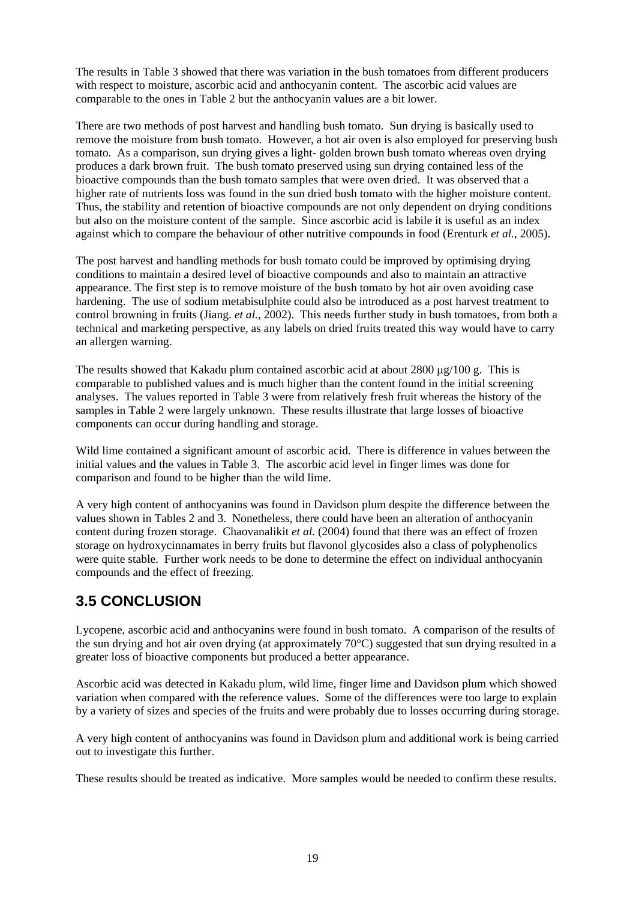The results in Table 3 showed that there was variation in the bush tomatoes from different producers with respect to moisture, ascorbic acid and anthocyanin content. The ascorbic acid values are comparable to the ones in Table 2 but the anthocyanin values are a bit lower.

There are two methods of post harvest and handling bush tomato. Sun drying is basically used to remove the moisture from bush tomato. However, a hot air oven is also employed for preserving bush tomato. As a comparison, sun drying gives a light- golden brown bush tomato whereas oven drying produces a dark brown fruit. The bush tomato preserved using sun drying contained less of the bioactive compounds than the bush tomato samples that were oven dried. It was observed that a higher rate of nutrients loss was found in the sun dried bush tomato with the higher moisture content. Thus, the stability and retention of bioactive compounds are not only dependent on drying conditions but also on the moisture content of the sample. Since ascorbic acid is labile it is useful as an index against which to compare the behaviour of other nutritive compounds in food (Erenturk *et al.*, 2005).

The post harvest and handling methods for bush tomato could be improved by optimising drying conditions to maintain a desired level of bioactive compounds and also to maintain an attractive appearance. The first step is to remove moisture of the bush tomato by hot air oven avoiding case hardening. The use of sodium metabisulphite could also be introduced as a post harvest treatment to control browning in fruits (Jiang. *et al.,* 2002). This needs further study in bush tomatoes, from both a technical and marketing perspective, as any labels on dried fruits treated this way would have to carry an allergen warning.

The results showed that Kakadu plum contained ascorbic acid at about  $2800 \mu g/100 g$ . This is comparable to published values and is much higher than the content found in the initial screening analyses. The values reported in Table 3 were from relatively fresh fruit whereas the history of the samples in Table 2 were largely unknown. These results illustrate that large losses of bioactive components can occur during handling and storage.

Wild lime contained a significant amount of ascorbic acid. There is difference in values between the initial values and the values in Table 3. The ascorbic acid level in finger limes was done for comparison and found to be higher than the wild lime.

A very high content of anthocyanins was found in Davidson plum despite the difference between the values shown in Tables 2 and 3. Nonetheless, there could have been an alteration of anthocyanin content during frozen storage. Chaovanalikit *et al.* (2004) found that there was an effect of frozen storage on hydroxycinnamates in berry fruits but flavonol glycosides also a class of polyphenolics were quite stable. Further work needs to be done to determine the effect on individual anthocyanin compounds and the effect of freezing.

#### **3.5 CONCLUSION**

Lycopene, ascorbic acid and anthocyanins were found in bush tomato. A comparison of the results of the sun drying and hot air oven drying (at approximately  $70^{\circ}$ C) suggested that sun drying resulted in a greater loss of bioactive components but produced a better appearance.

Ascorbic acid was detected in Kakadu plum, wild lime, finger lime and Davidson plum which showed variation when compared with the reference values. Some of the differences were too large to explain by a variety of sizes and species of the fruits and were probably due to losses occurring during storage.

A very high content of anthocyanins was found in Davidson plum and additional work is being carried out to investigate this further.

These results should be treated as indicative. More samples would be needed to confirm these results.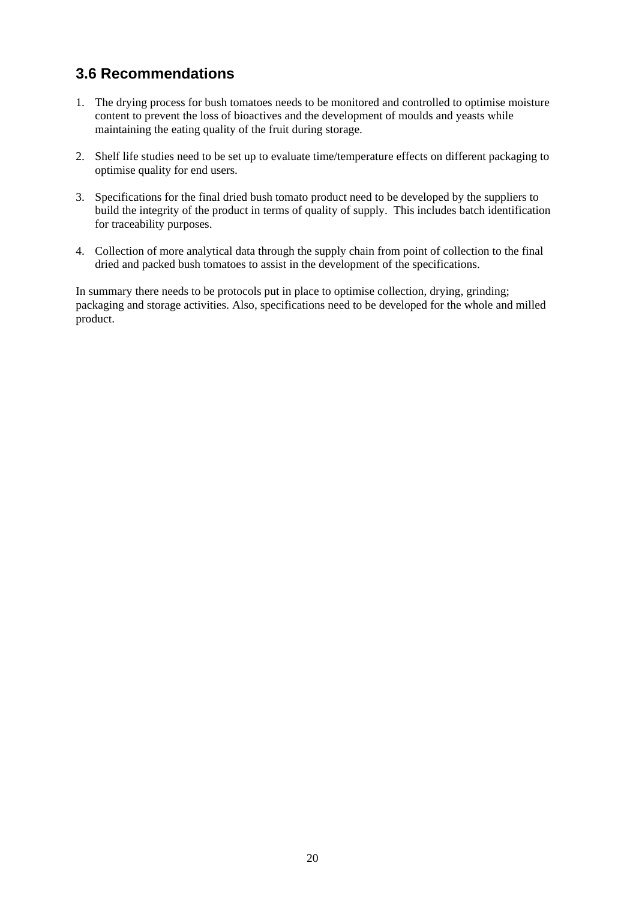#### **3.6 Recommendations**

- 1. The drying process for bush tomatoes needs to be monitored and controlled to optimise moisture content to prevent the loss of bioactives and the development of moulds and yeasts while maintaining the eating quality of the fruit during storage.
- 2. Shelf life studies need to be set up to evaluate time/temperature effects on different packaging to optimise quality for end users.
- 3. Specifications for the final dried bush tomato product need to be developed by the suppliers to build the integrity of the product in terms of quality of supply. This includes batch identification for traceability purposes.
- 4. Collection of more analytical data through the supply chain from point of collection to the final dried and packed bush tomatoes to assist in the development of the specifications.

In summary there needs to be protocols put in place to optimise collection, drying, grinding; packaging and storage activities. Also, specifications need to be developed for the whole and milled product.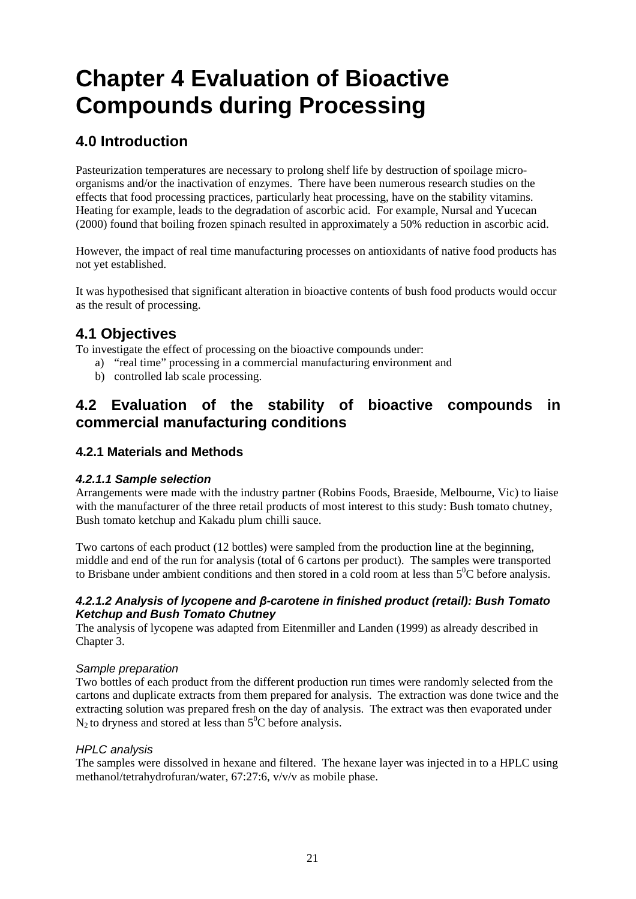## **Chapter 4 Evaluation of Bioactive Compounds during Processing**

#### **4.0 Introduction**

Pasteurization temperatures are necessary to prolong shelf life by destruction of spoilage microorganisms and/or the inactivation of enzymes. There have been numerous research studies on the effects that food processing practices, particularly heat processing, have on the stability vitamins. Heating for example, leads to the degradation of ascorbic acid. For example, Nursal and Yucecan (2000) found that boiling frozen spinach resulted in approximately a 50% reduction in ascorbic acid.

However, the impact of real time manufacturing processes on antioxidants of native food products has not yet established.

It was hypothesised that significant alteration in bioactive contents of bush food products would occur as the result of processing.

#### **4.1 Objectives**

To investigate the effect of processing on the bioactive compounds under:

- a) "real time" processing in a commercial manufacturing environment and
- b) controlled lab scale processing.

#### **4.2 Evaluation of the stability of bioactive compounds in commercial manufacturing conditions**

#### **4.2.1 Materials and Methods**

#### *4.2.1.1 Sample selection*

Arrangements were made with the industry partner (Robins Foods, Braeside, Melbourne, Vic) to liaise with the manufacturer of the three retail products of most interest to this study: Bush tomato chutney, Bush tomato ketchup and Kakadu plum chilli sauce.

Two cartons of each product (12 bottles) were sampled from the production line at the beginning, middle and end of the run for analysis (total of 6 cartons per product). The samples were transported to Brisbane under ambient conditions and then stored in a cold room at less than  $5^{\circ}$ C before analysis.

#### *4.2.1.2 Analysis of lycopene and β-carotene in finished product (retail): Bush Tomato Ketchup and Bush Tomato Chutney*

The analysis of lycopene was adapted from Eitenmiller and Landen (1999) as already described in Chapter 3.

#### *Sample preparation*

Two bottles of each product from the different production run times were randomly selected from the cartons and duplicate extracts from them prepared for analysis. The extraction was done twice and the extracting solution was prepared fresh on the day of analysis. The extract was then evaporated under  $N_2$  to dryness and stored at less than  $5^0C$  before analysis.

#### *HPLC analysis*

The samples were dissolved in hexane and filtered. The hexane layer was injected in to a HPLC using methanol/tetrahydrofuran/water, 67:27:6, v/v/v as mobile phase.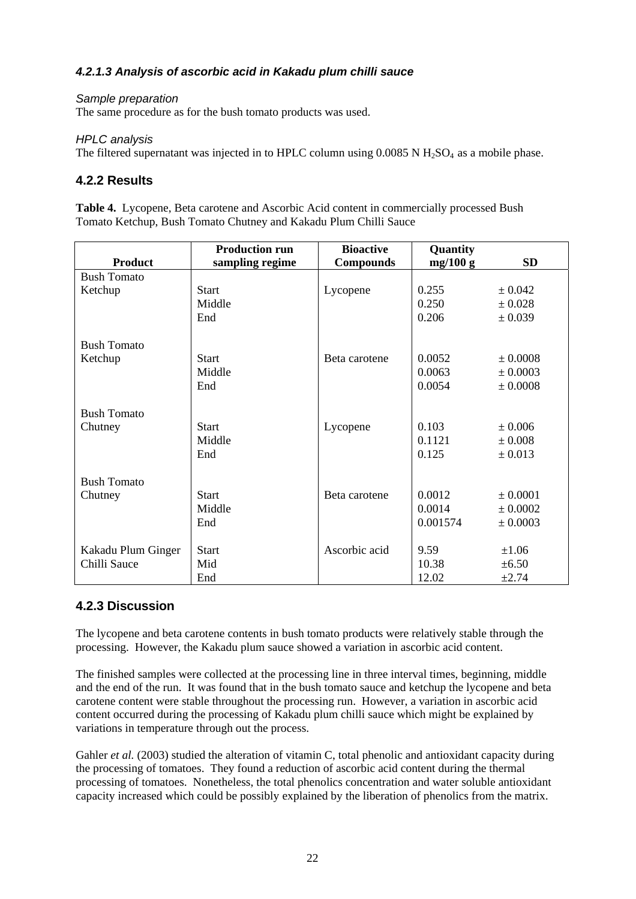#### *4.2.1.3 Analysis of ascorbic acid in Kakadu plum chilli sauce*

#### *Sample preparation*

The same procedure as for the bush tomato products was used.

#### *HPLC analysis*

The filtered supernatant was injected in to HPLC column using  $0.0085$  N  $H<sub>2</sub>SO<sub>4</sub>$  as a mobile phase.

#### **4.2.2 Results**

**Table 4.** Lycopene, Beta carotene and Ascorbic Acid content in commercially processed Bush Tomato Ketchup, Bush Tomato Chutney and Kakadu Plum Chilli Sauce

|                    | <b>Production run</b> | <b>Bioactive</b> | Quantity |              |
|--------------------|-----------------------|------------------|----------|--------------|
| <b>Product</b>     | sampling regime       | <b>Compounds</b> | mg/100 g | <b>SD</b>    |
| <b>Bush Tomato</b> |                       |                  |          |              |
| Ketchup            | <b>Start</b>          | Lycopene         | 0.255    | $\pm 0.042$  |
|                    | Middle                |                  | 0.250    | $\pm 0.028$  |
|                    | End                   |                  | 0.206    | $\pm 0.039$  |
| <b>Bush Tomato</b> |                       |                  |          |              |
| Ketchup            | <b>Start</b>          | Beta carotene    | 0.0052   | ± 0.0008     |
|                    | Middle                |                  | 0.0063   | ± 0.0003     |
|                    | End                   |                  | 0.0054   | $\pm 0.0008$ |
|                    |                       |                  |          |              |
| <b>Bush Tomato</b> |                       |                  |          |              |
| Chutney            | <b>Start</b>          | Lycopene         | 0.103    | ± 0.006      |
|                    | Middle                |                  | 0.1121   | $\pm 0.008$  |
|                    | End                   |                  | 0.125    | $\pm 0.013$  |
| <b>Bush Tomato</b> |                       |                  |          |              |
|                    | <b>Start</b>          | Beta carotene    | 0.0012   | ± 0.0001     |
| Chutney            | Middle                |                  | 0.0014   | $\pm 0.0002$ |
|                    |                       |                  |          |              |
|                    | End                   |                  | 0.001574 | ± 0.0003     |
| Kakadu Plum Ginger | <b>Start</b>          | Ascorbic acid    | 9.59     | $\pm 1.06$   |
| Chilli Sauce       | Mid                   |                  | 10.38    | $\pm 6.50$   |
|                    | End                   |                  | 12.02    | ±2.74        |

#### **4.2.3 Discussion**

The lycopene and beta carotene contents in bush tomato products were relatively stable through the processing. However, the Kakadu plum sauce showed a variation in ascorbic acid content.

The finished samples were collected at the processing line in three interval times, beginning, middle and the end of the run. It was found that in the bush tomato sauce and ketchup the lycopene and beta carotene content were stable throughout the processing run. However, a variation in ascorbic acid content occurred during the processing of Kakadu plum chilli sauce which might be explained by variations in temperature through out the process.

Gahler *et al.* (2003) studied the alteration of vitamin C, total phenolic and antioxidant capacity during the processing of tomatoes. They found a reduction of ascorbic acid content during the thermal processing of tomatoes. Nonetheless, the total phenolics concentration and water soluble antioxidant capacity increased which could be possibly explained by the liberation of phenolics from the matrix.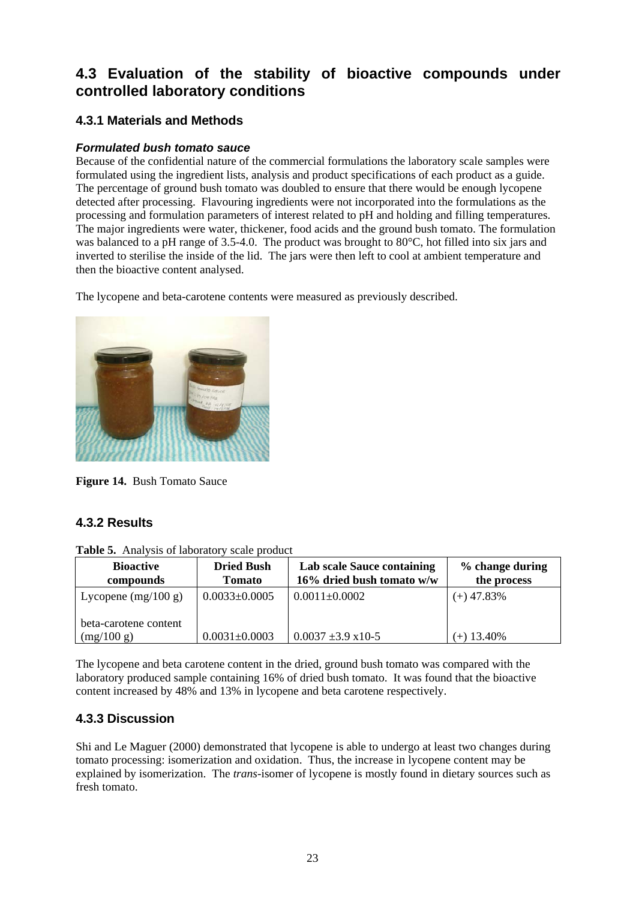#### **4.3 Evaluation of the stability of bioactive compounds under controlled laboratory conditions**

#### **4.3.1 Materials and Methods**

#### *Formulated bush tomato sauce*

Because of the confidential nature of the commercial formulations the laboratory scale samples were formulated using the ingredient lists, analysis and product specifications of each product as a guide. The percentage of ground bush tomato was doubled to ensure that there would be enough lycopene detected after processing. Flavouring ingredients were not incorporated into the formulations as the processing and formulation parameters of interest related to pH and holding and filling temperatures. The major ingredients were water, thickener, food acids and the ground bush tomato. The formulation was balanced to a pH range of 3.5-4.0. The product was brought to 80°C, hot filled into six jars and inverted to sterilise the inside of the lid. The jars were then left to cool at ambient temperature and then the bioactive content analysed.

The lycopene and beta-carotene contents were measured as previously described.



**Figure 14.** Bush Tomato Sauce

#### **4.3.2 Results**

| <b>Bioactive</b><br>compounds       | <b>Dried Bush</b><br><b>Tomato</b> | <b>Lab scale Sauce containing</b><br>16% dried bush tomato w/w | % change during<br>the process |
|-------------------------------------|------------------------------------|----------------------------------------------------------------|--------------------------------|
| Lycopene $(mg/100 g)$               | $0.0033 \pm 0.0005$                | $0.0011 \pm 0.0002$                                            | $(+)$ 47.83%                   |
| beta-carotene content<br>(mg/100 g) | $0.0031 \pm 0.0003$                | $0.0037 \pm 3.9 \times 10^{-5}$                                | $(+)$ 13.40%                   |

The lycopene and beta carotene content in the dried, ground bush tomato was compared with the laboratory produced sample containing 16% of dried bush tomato. It was found that the bioactive content increased by 48% and 13% in lycopene and beta carotene respectively.

#### **4.3.3 Discussion**

Shi and Le Maguer (2000) demonstrated that lycopene is able to undergo at least two changes during tomato processing: isomerization and oxidation. Thus, the increase in lycopene content may be explained by isomerization. The *trans*-isomer of lycopene is mostly found in dietary sources such as fresh tomato.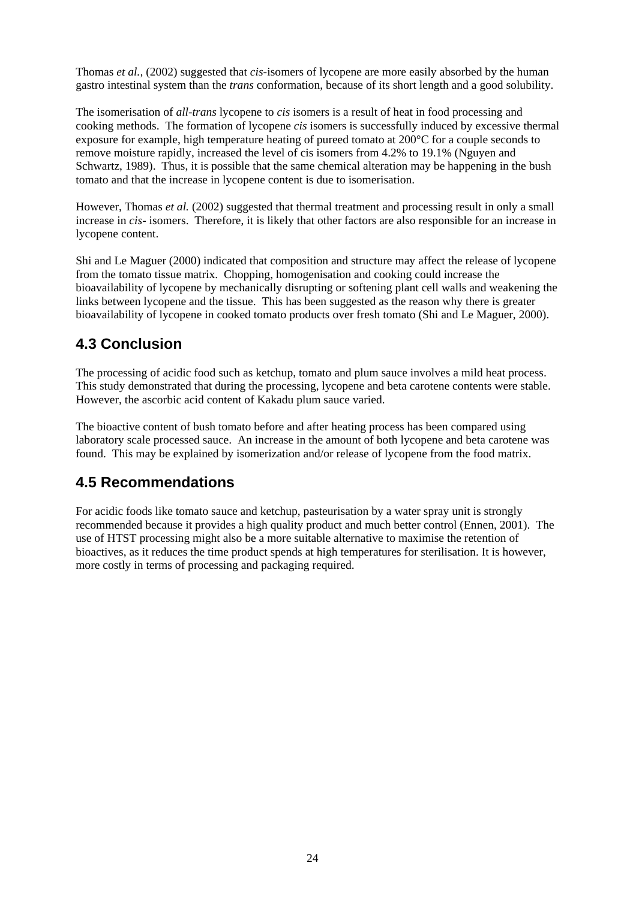Thomas *et al.,* (2002) suggested that *cis*-isomers of lycopene are more easily absorbed by the human gastro intestinal system than the *trans* conformation, because of its short length and a good solubility.

The isomerisation of *all-trans* lycopene to *cis* isomers is a result of heat in food processing and cooking methods. The formation of lycopene *cis* isomers is successfully induced by excessive thermal exposure for example, high temperature heating of pureed tomato at 200°C for a couple seconds to remove moisture rapidly, increased the level of cis isomers from 4.2% to 19.1% (Nguyen and Schwartz, 1989). Thus, it is possible that the same chemical alteration may be happening in the bush tomato and that the increase in lycopene content is due to isomerisation.

However, Thomas *et al.* (2002) suggested that thermal treatment and processing result in only a small increase in *cis-* isomers. Therefore, it is likely that other factors are also responsible for an increase in lycopene content.

Shi and Le Maguer (2000) indicated that composition and structure may affect the release of lycopene from the tomato tissue matrix. Chopping, homogenisation and cooking could increase the bioavailability of lycopene by mechanically disrupting or softening plant cell walls and weakening the links between lycopene and the tissue. This has been suggested as the reason why there is greater bioavailability of lycopene in cooked tomato products over fresh tomato (Shi and Le Maguer, 2000).

#### **4.3 Conclusion**

The processing of acidic food such as ketchup, tomato and plum sauce involves a mild heat process. This study demonstrated that during the processing, lycopene and beta carotene contents were stable. However, the ascorbic acid content of Kakadu plum sauce varied.

The bioactive content of bush tomato before and after heating process has been compared using laboratory scale processed sauce. An increase in the amount of both lycopene and beta carotene was found. This may be explained by isomerization and/or release of lycopene from the food matrix.

#### **4.5 Recommendations**

For acidic foods like tomato sauce and ketchup, pasteurisation by a water spray unit is strongly recommended because it provides a high quality product and much better control (Ennen, 2001). The use of HTST processing might also be a more suitable alternative to maximise the retention of bioactives, as it reduces the time product spends at high temperatures for sterilisation. It is however, more costly in terms of processing and packaging required.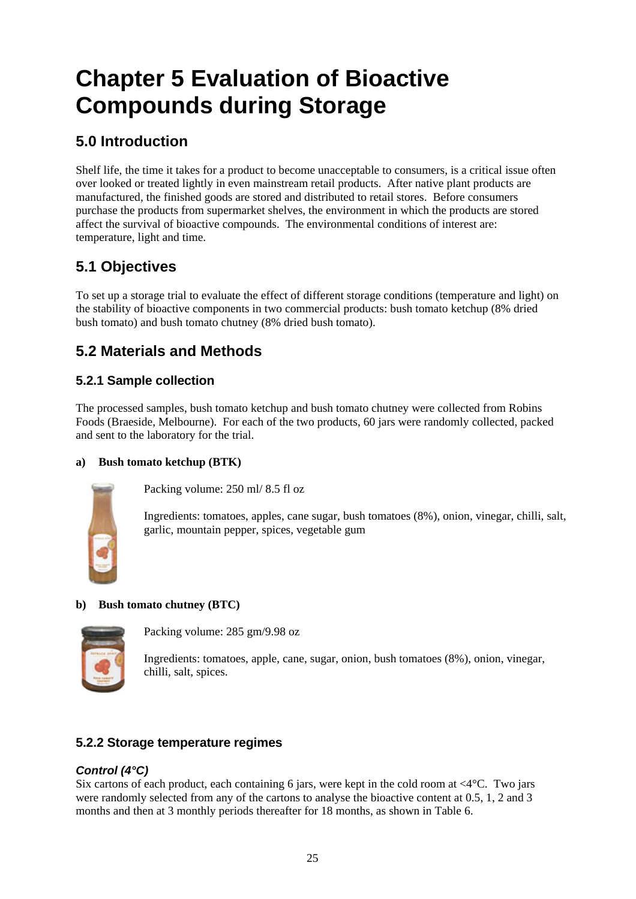## **Chapter 5 Evaluation of Bioactive Compounds during Storage**

#### **5.0 Introduction**

Shelf life, the time it takes for a product to become unacceptable to consumers, is a critical issue often over looked or treated lightly in even mainstream retail products. After native plant products are manufactured, the finished goods are stored and distributed to retail stores. Before consumers purchase the products from supermarket shelves, the environment in which the products are stored affect the survival of bioactive compounds. The environmental conditions of interest are: temperature, light and time.

#### **5.1 Objectives**

To set up a storage trial to evaluate the effect of different storage conditions (temperature and light) on the stability of bioactive components in two commercial products: bush tomato ketchup (8% dried bush tomato) and bush tomato chutney (8% dried bush tomato).

#### **5.2 Materials and Methods**

#### **5.2.1 Sample collection**

The processed samples, bush tomato ketchup and bush tomato chutney were collected from Robins Foods (Braeside, Melbourne). For each of the two products, 60 jars were randomly collected, packed and sent to the laboratory for the trial.

#### **a) Bush tomato ketchup (BTK)**



Packing volume: 250 ml/ 8.5 fl oz

Ingredients: tomatoes, apples, cane sugar, bush tomatoes (8%), onion, vinegar, chilli, salt, garlic, mountain pepper, spices, vegetable gum

#### **b) Bush tomato chutney (BTC)**



Packing volume: 285 gm/9.98 oz

Ingredients: tomatoes, apple, cane, sugar, onion, bush tomatoes (8%), onion, vinegar, chilli, salt, spices.

#### **5.2.2 Storage temperature regimes**

#### *Control (4°C)*

Six cartons of each product, each containing 6 jars, were kept in the cold room at  $\langle 4^{\circ}C$ . Two jars were randomly selected from any of the cartons to analyse the bioactive content at 0.5, 1, 2 and 3 months and then at 3 monthly periods thereafter for 18 months, as shown in Table 6.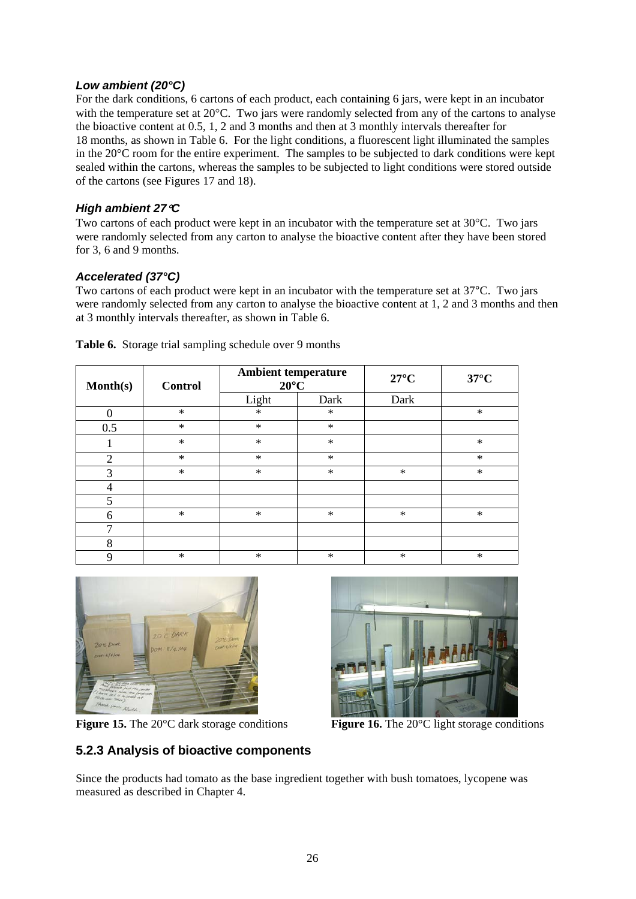#### *Low ambient (20°C)*

For the dark conditions, 6 cartons of each product, each containing 6 jars, were kept in an incubator with the temperature set at 20 °C. Two jars were randomly selected from any of the cartons to analyse the bioactive content at 0.5, 1, 2 and 3 months and then at 3 monthly intervals thereafter for 18 months, as shown in Table 6. For the light conditions, a fluorescent light illuminated the samples in the 20°C room for the entire experiment. The samples to be subjected to dark conditions were kept sealed within the cartons, whereas the samples to be subjected to light conditions were stored outside of the cartons (see Figures 17 and 18).

#### *High ambient 27*°*C*

Two cartons of each product were kept in an incubator with the temperature set at 30°C. Two jars were randomly selected from any carton to analyse the bioactive content after they have been stored for 3, 6 and 9 months.

#### *Accelerated (37°C)*

Two cartons of each product were kept in an incubator with the temperature set at 37°C. Two jars were randomly selected from any carton to analyse the bioactive content at 1, 2 and 3 months and then at 3 monthly intervals thereafter, as shown in Table 6.

| Month(s)       | <b>Control</b> | <b>Ambient temperature</b><br>$20^{\circ}$ C |        | $27^{\circ}$ C | $37^{\circ}$ C |
|----------------|----------------|----------------------------------------------|--------|----------------|----------------|
|                |                | Light                                        | Dark   | Dark           |                |
| $\Omega$       | $\ast$         | $\ast$                                       | $\ast$ |                | $\ast$         |
| 0.5            | $\ast$         | $\ast$                                       | $\ast$ |                |                |
|                | $\ast$         | $\ast$                                       | $\ast$ |                | $\ast$         |
| $\overline{2}$ | $\ast$         | $\ast$                                       | $\ast$ |                | $\ast$         |
| 3              | $\ast$         | $\ast$                                       | $\ast$ | $\ast$         | $\ast$         |
| 4              |                |                                              |        |                |                |
| 5              |                |                                              |        |                |                |
| 6              | $\ast$         | $\ast$                                       | $\ast$ | $\ast$         | $\ast$         |
| ┑              |                |                                              |        |                |                |
| 8              |                |                                              |        |                |                |
| 9              | $\ast$         | $\ast$                                       | $\ast$ | $\ast$         | $\ast$         |

**Table 6.** Storage trial sampling schedule over 9 months



**Figure 15.** The 20<sup>o</sup>C dark storage conditions **Figure 16.** The 20<sup>o</sup>C light storage conditions

#### **5.2.3 Analysis of bioactive components**

Since the products had tomato as the base ingredient together with bush tomatoes, lycopene was measured as described in Chapter 4.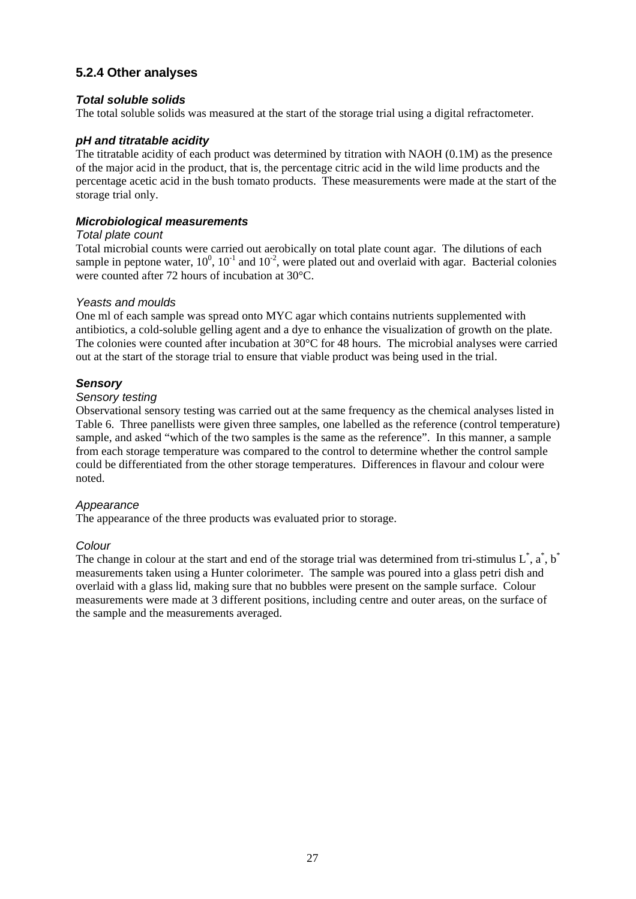#### **5.2.4 Other analyses**

#### *Total soluble solids*

The total soluble solids was measured at the start of the storage trial using a digital refractometer.

#### *pH and titratable acidity*

The titratable acidity of each product was determined by titration with NAOH (0.1M) as the presence of the major acid in the product, that is, the percentage citric acid in the wild lime products and the percentage acetic acid in the bush tomato products. These measurements were made at the start of the storage trial only.

#### *Microbiological measurements*

#### *Total plate count*

Total microbial counts were carried out aerobically on total plate count agar. The dilutions of each sample in peptone water,  $10^0$ ,  $10^{-1}$  and  $10^{-2}$ , were plated out and overlaid with agar. Bacterial colonies were counted after 72 hours of incubation at 30°C.

#### *Yeasts and moulds*

One ml of each sample was spread onto MYC agar which contains nutrients supplemented with antibiotics, a cold-soluble gelling agent and a dye to enhance the visualization of growth on the plate. The colonies were counted after incubation at 30°C for 48 hours. The microbial analyses were carried out at the start of the storage trial to ensure that viable product was being used in the trial.

#### *Sensory*

#### *Sensory testing*

Observational sensory testing was carried out at the same frequency as the chemical analyses listed in Table 6. Three panellists were given three samples, one labelled as the reference (control temperature) sample, and asked "which of the two samples is the same as the reference". In this manner, a sample from each storage temperature was compared to the control to determine whether the control sample could be differentiated from the other storage temperatures. Differences in flavour and colour were noted.

#### *Appearance*

The appearance of the three products was evaluated prior to storage.

#### *Colour*

The change in colour at the start and end of the storage trial was determined from tri-stimulus  $L^*$ ,  $\alpha^*$ ,  $\beta^*$ measurements taken using a Hunter colorimeter. The sample was poured into a glass petri dish and overlaid with a glass lid, making sure that no bubbles were present on the sample surface. Colour measurements were made at 3 different positions, including centre and outer areas, on the surface of the sample and the measurements averaged.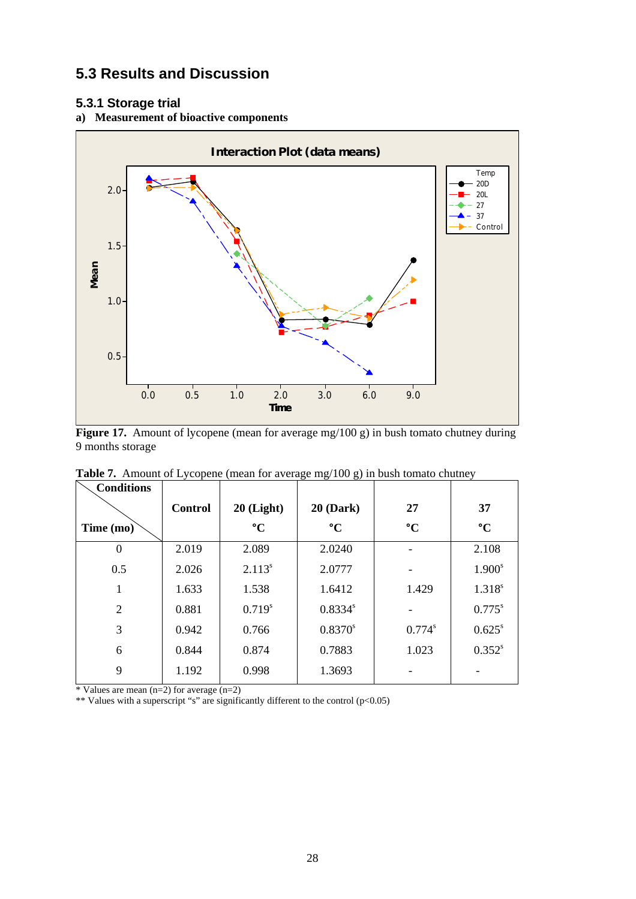#### **5.3 Results and Discussion**

#### **5.3.1 Storage trial**

#### **a) Measurement of bioactive components**



Figure 17. Amount of lycopene (mean for average mg/100 g) in bush tomato chutney during 9 months storage

| <b>Conditions</b> |                |                    |                 |                          |                 |
|-------------------|----------------|--------------------|-----------------|--------------------------|-----------------|
|                   | <b>Control</b> | $20$ (Light)       | $20$ (Dark)     | 27                       | 37              |
| Time (mo)         |                | $\rm ^{\circ}C$    | $\rm ^{\circ}C$ | $\rm ^{\circ}C$          | $\rm ^{\circ}C$ |
| $\Omega$          | 2.019          | 2.089              | 2.0240          | $\overline{\phantom{0}}$ | 2.108           |
| 0.5               | 2.026          | 2.113 <sup>s</sup> | 2.0777          | -                        | $1.900^{s}$     |
|                   | 1.633          | 1.538              | 1.6412          | 1.429                    | $1.318^{s}$     |
| $\overline{2}$    | 0.881          | $0.719^{s}$        | $0.8334^{s}$    |                          | $0.775^s$       |
| 3                 | 0.942          | 0.766              | $0.8370^{s}$    | $0.774^{s}$              | $0.625^{\rm s}$ |
| 6                 | 0.844          | 0.874              | 0.7883          | 1.023                    | $0.352^{s}$     |
| 9                 | 1.192          | 0.998              | 1.3693          |                          |                 |

**Table 7.** Amount of Lycopene (mean for average mg/100 g) in bush tomato chutney

\* Values are mean (n=2) for average (n=2)

\*\* Values with a superscript "s" are significantly different to the control (p<0.05)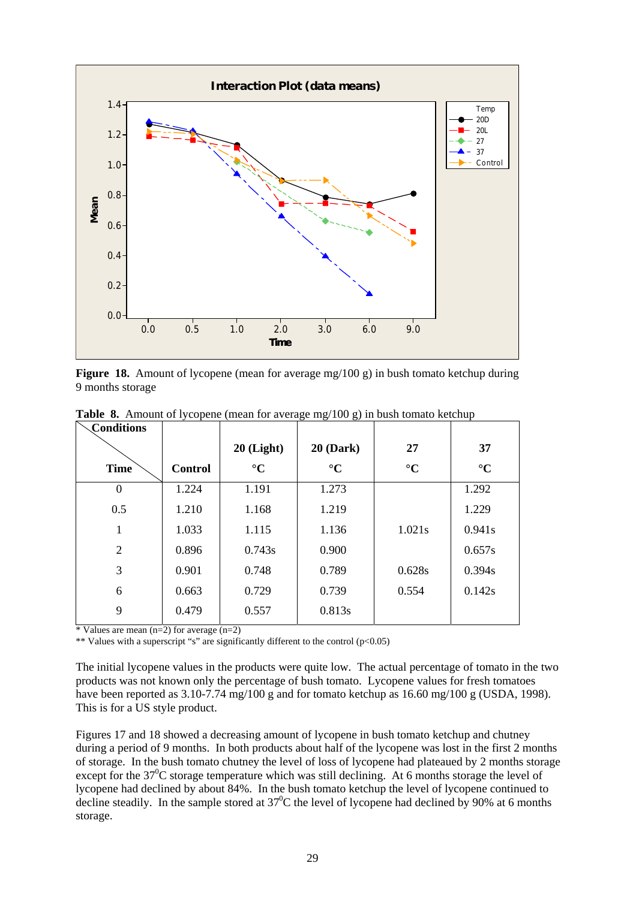

**Figure 18.** Amount of lycopene (mean for average mg/100 g) in bush tomato ketchup during 9 months storage

| Conditions     |                |                 |                 |                 |                 |
|----------------|----------------|-----------------|-----------------|-----------------|-----------------|
|                |                | $20$ (Light)    | $20$ (Dark)     | 27              | 37              |
| <b>Time</b>    | <b>Control</b> | $\rm ^{\circ}C$ | $\rm ^{\circ}C$ | $\rm ^{\circ}C$ | $\rm ^{\circ}C$ |
| $\overline{0}$ | 1.224          | 1.191           | 1.273           |                 | 1.292           |
| 0.5            | 1.210          | 1.168           | 1.219           |                 | 1.229           |
|                | 1.033          | 1.115           | 1.136           | 1.021s          | 0.941s          |
| $\overline{2}$ | 0.896          | 0.743s          | 0.900           |                 | 0.657s          |
| 3              | 0.901          | 0.748           | 0.789           | 0.628s          | 0.394s          |
| 6              | 0.663          | 0.729           | 0.739           | 0.554           | 0.142s          |
| 9              | 0.479          | 0.557           | 0.813s          |                 |                 |
|                |                |                 |                 |                 |                 |

**Table 8.** Amount of lycopene (mean for average mg/100 g) in bush tomato ketchup

\* Values are mean  $(n=2)$  for average  $(n=2)$ 

\*\* Values with a superscript "s" are significantly different to the control  $(p<0.05)$ 

The initial lycopene values in the products were quite low. The actual percentage of tomato in the two products was not known only the percentage of bush tomato. Lycopene values for fresh tomatoes have been reported as 3.10-7.74 mg/100 g and for tomato ketchup as 16.60 mg/100 g (USDA, 1998). This is for a US style product.

Figures 17 and 18 showed a decreasing amount of lycopene in bush tomato ketchup and chutney during a period of 9 months. In both products about half of the lycopene was lost in the first 2 months of storage. In the bush tomato chutney the level of loss of lycopene had plateaued by 2 months storage except for the  $37^{\circ}$ C storage temperature which was still declining. At 6 months storage the level of lycopene had declined by about 84%. In the bush tomato ketchup the level of lycopene continued to decline steadily. In the sample stored at  $37^{\circ}$ C the level of lycopene had declined by 90% at 6 months storage.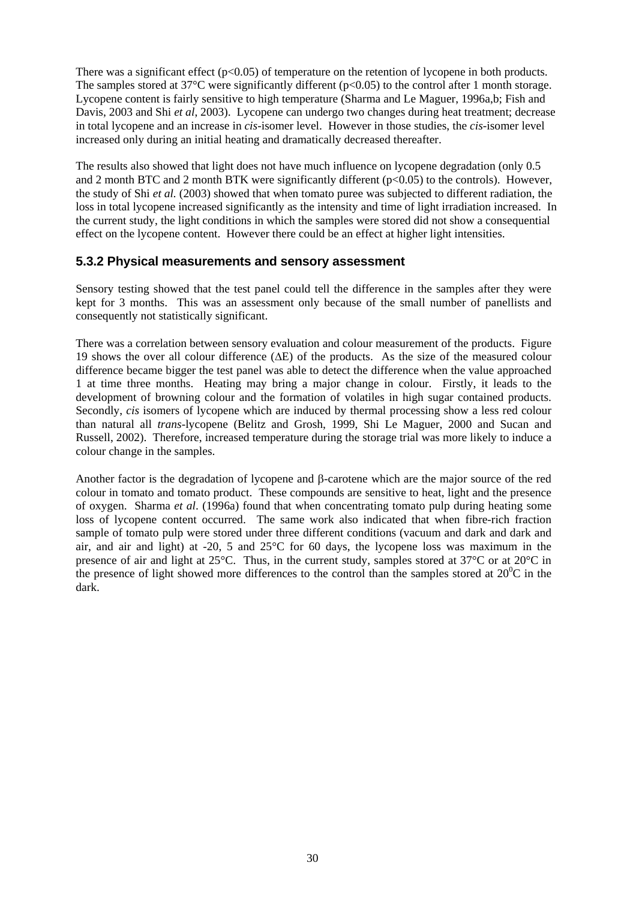There was a significant effect  $(p<0.05)$  of temperature on the retention of lycopene in both products. The samples stored at  $37^{\circ}$ C were significantly different (p<0.05) to the control after 1 month storage. Lycopene content is fairly sensitive to high temperature (Sharma and Le Maguer, 1996a,b; Fish and Davis, 2003 and Shi *et al*, 2003). Lycopene can undergo two changes during heat treatment; decrease in total lycopene and an increase in *cis*-isomer level. However in those studies, the *cis*-isomer level increased only during an initial heating and dramatically decreased thereafter.

The results also showed that light does not have much influence on lycopene degradation (only 0.5 and 2 month BTC and 2 month BTK were significantly different (p<0.05) to the controls). However, the study of Shi *et al.* (2003) showed that when tomato puree was subjected to different radiation, the loss in total lycopene increased significantly as the intensity and time of light irradiation increased. In the current study, the light conditions in which the samples were stored did not show a consequential effect on the lycopene content. However there could be an effect at higher light intensities.

#### **5.3.2 Physical measurements and sensory assessment**

Sensory testing showed that the test panel could tell the difference in the samples after they were kept for 3 months. This was an assessment only because of the small number of panellists and consequently not statistically significant.

There was a correlation between sensory evaluation and colour measurement of the products. Figure 19 shows the over all colour difference (∆E) of the products. As the size of the measured colour difference became bigger the test panel was able to detect the difference when the value approached 1 at time three months. Heating may bring a major change in colour. Firstly, it leads to the development of browning colour and the formation of volatiles in high sugar contained products. Secondly, *cis* isomers of lycopene which are induced by thermal processing show a less red colour than natural all *trans*-lycopene (Belitz and Grosh, 1999, Shi Le Maguer, 2000 and Sucan and Russell, 2002). Therefore, increased temperature during the storage trial was more likely to induce a colour change in the samples.

Another factor is the degradation of lycopene and β-carotene which are the major source of the red colour in tomato and tomato product. These compounds are sensitive to heat, light and the presence of oxygen. Sharma *et al*. (1996a) found that when concentrating tomato pulp during heating some loss of lycopene content occurred. The same work also indicated that when fibre-rich fraction sample of tomato pulp were stored under three different conditions (vacuum and dark and dark and air, and air and light) at  $-20$ , 5 and  $25^{\circ}$ C for 60 days, the lycopene loss was maximum in the presence of air and light at 25°C. Thus, in the current study, samples stored at 37°C or at 20°C in the presence of light showed more differences to the control than the samples stored at  $20^{\circ}$ C in the dark.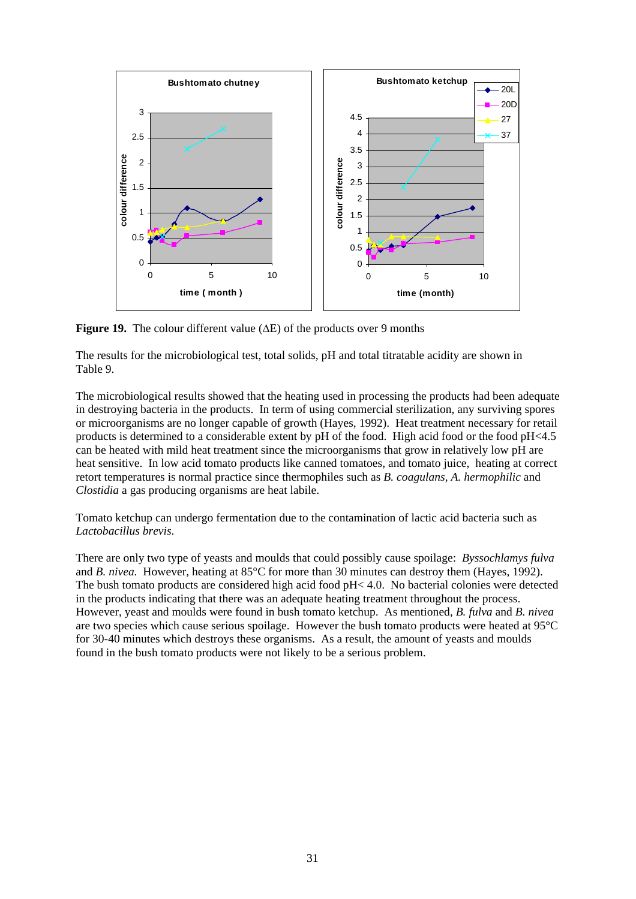

**Figure 19.** The colour different value (∆E) of the products over 9 months

The results for the microbiological test, total solids, pH and total titratable acidity are shown in Table 9.

The microbiological results showed that the heating used in processing the products had been adequate in destroying bacteria in the products. In term of using commercial sterilization, any surviving spores or microorganisms are no longer capable of growth (Hayes, 1992). Heat treatment necessary for retail products is determined to a considerable extent by pH of the food. High acid food or the food pH<4.5 can be heated with mild heat treatment since the microorganisms that grow in relatively low pH are heat sensitive. In low acid tomato products like canned tomatoes, and tomato juice, heating at correct retort temperatures is normal practice since thermophiles such as *B. coagulans, A. hermophilic* and *Clostidia* a gas producing organisms are heat labile.

Tomato ketchup can undergo fermentation due to the contamination of lactic acid bacteria such as *Lactobacillus brevis*.

There are only two type of yeasts and moulds that could possibly cause spoilage: *Byssochlamys fulva* and *B. nivea.* However, heating at 85°C for more than 30 minutes can destroy them (Hayes, 1992). The bush tomato products are considered high acid food pH< 4.0. No bacterial colonies were detected in the products indicating that there was an adequate heating treatment throughout the process. However, yeast and moulds were found in bush tomato ketchup. As mentioned, *B. fulva* and *B. nivea* are two species which cause serious spoilage. However the bush tomato products were heated at 95**°**C for 30-40 minutes which destroys these organisms. As a result, the amount of yeasts and moulds found in the bush tomato products were not likely to be a serious problem.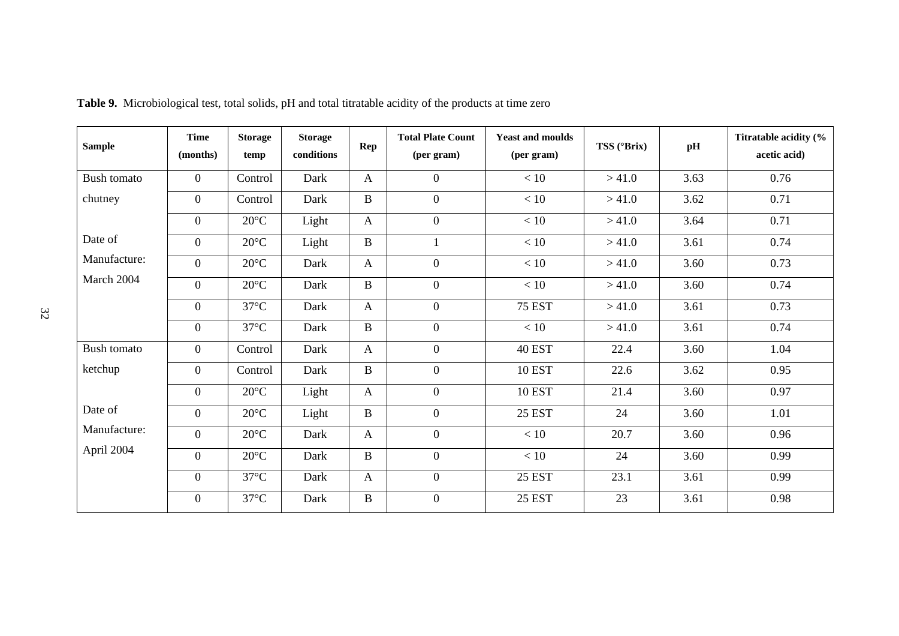| <b>Sample</b>      | <b>Time</b><br>(months) | <b>Storage</b><br>temp | <b>Storage</b><br>conditions | Rep          | <b>Total Plate Count</b><br>(per gram) | <b>Yeast and moulds</b><br>(per gram) | TSS (°Brix) | pH   | Titratable acidity (%<br>acetic acid) |
|--------------------|-------------------------|------------------------|------------------------------|--------------|----------------------------------------|---------------------------------------|-------------|------|---------------------------------------|
| Bush tomato        | $\overline{0}$          | Control                | Dark                         | $\mathbf{A}$ | $\overline{0}$                         | < 10                                  | >41.0       | 3.63 | 0.76                                  |
| chutney            | $\mathbf{0}$            | Control                | Dark                         | $\, {\bf B}$ | $\overline{0}$                         | < 10                                  | >41.0       | 3.62 | 0.71                                  |
|                    | $\mathbf{0}$            | $20^{\circ}$ C         | Light                        | $\mathbf{A}$ | $\boldsymbol{0}$                       | < 10                                  | >41.0       | 3.64 | 0.71                                  |
| Date of            | $\mathbf{0}$            | $20^{\circ}$ C         | Light                        | $\, {\bf B}$ | 1                                      | < 10                                  | >41.0       | 3.61 | 0.74                                  |
| Manufacture:       | $\overline{0}$          | $20^{\circ}$ C         | Dark                         | $\mathbf{A}$ | $\boldsymbol{0}$                       | < 10                                  | >41.0       | 3.60 | 0.73                                  |
| March 2004         | $\overline{0}$          | $20^{\circ}$ C         | Dark                         | $\, {\bf B}$ | $\overline{0}$                         | < 10                                  | >41.0       | 3.60 | 0.74                                  |
|                    | $\overline{0}$          | $37^{\circ}$ C         | Dark                         | $\mathbf{A}$ | $\overline{0}$                         | <b>75 EST</b>                         | >41.0       | 3.61 | 0.73                                  |
|                    | $\mathbf{0}$            | $37^{\circ}$ C         | Dark                         | $\, {\bf B}$ | $\overline{0}$                         | < 10                                  | >41.0       | 3.61 | 0.74                                  |
| <b>Bush tomato</b> | $\mathbf{0}$            | Control                | Dark                         | $\mathbf{A}$ | $\overline{0}$                         | <b>40 EST</b>                         | 22.4        | 3.60 | 1.04                                  |
| ketchup            | $\mathbf{0}$            | Control                | Dark                         | $\, {\bf B}$ | $\overline{0}$                         | <b>10 EST</b>                         | 22.6        | 3.62 | 0.95                                  |
|                    | $\mathbf{0}$            | $20^{\circ}$ C         | Light                        | $\mathbf{A}$ | $\overline{0}$                         | <b>10 EST</b>                         | 21.4        | 3.60 | 0.97                                  |
| Date of            | $\mathbf{0}$            | $20^{\circ}$ C         | Light                        | $\, {\bf B}$ | $\overline{0}$                         | <b>25 EST</b>                         | 24          | 3.60 | 1.01                                  |
| Manufacture:       | $\mathbf{0}$            | $20^{\circ}$ C         | Dark                         | $\mathbf{A}$ | $\overline{0}$                         | < 10                                  | 20.7        | 3.60 | 0.96                                  |
| April 2004         | $\mathbf{0}$            | $20^{\circ}$ C         | Dark                         | $\mathbf{B}$ | $\overline{0}$                         | < 10                                  | 24          | 3.60 | 0.99                                  |
|                    | $\mathbf{0}$            | $37^{\circ}$ C         | Dark                         | $\mathbf{A}$ | $\overline{0}$                         | <b>25 EST</b>                         | 23.1        | 3.61 | 0.99                                  |
|                    | $\mathbf{0}$            | $37^{\circ}$ C         | Dark                         | $\, {\bf B}$ | $\overline{0}$                         | <b>25 EST</b>                         | 23          | 3.61 | 0.98                                  |

**Table 9.** Microbiological test, total solids, pH and total titratable acidity of the products at time zero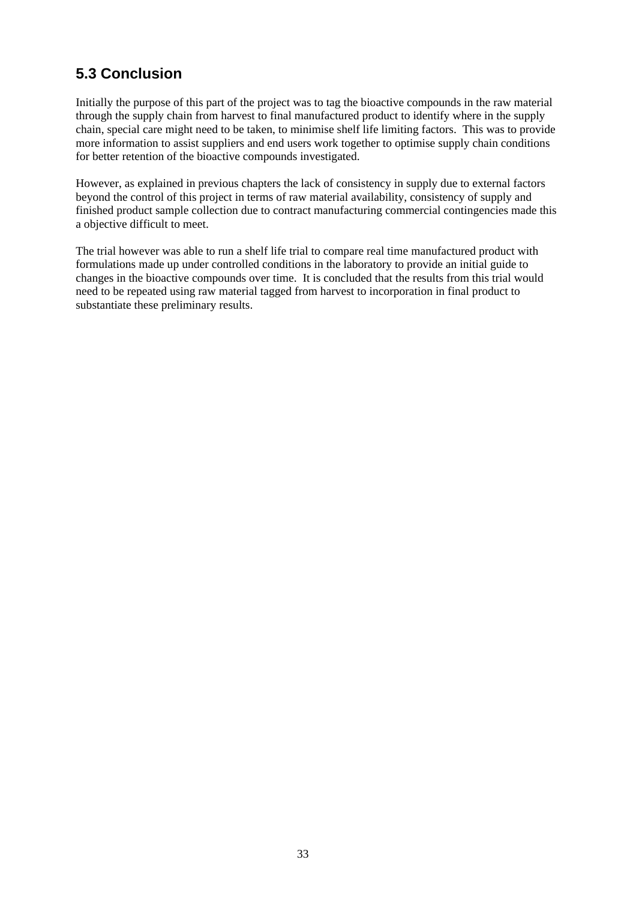#### **5.3 Conclusion**

Initially the purpose of this part of the project was to tag the bioactive compounds in the raw material through the supply chain from harvest to final manufactured product to identify where in the supply chain, special care might need to be taken, to minimise shelf life limiting factors. This was to provide more information to assist suppliers and end users work together to optimise supply chain conditions for better retention of the bioactive compounds investigated.

However, as explained in previous chapters the lack of consistency in supply due to external factors beyond the control of this project in terms of raw material availability, consistency of supply and finished product sample collection due to contract manufacturing commercial contingencies made this a objective difficult to meet.

The trial however was able to run a shelf life trial to compare real time manufactured product with formulations made up under controlled conditions in the laboratory to provide an initial guide to changes in the bioactive compounds over time. It is concluded that the results from this trial would need to be repeated using raw material tagged from harvest to incorporation in final product to substantiate these preliminary results.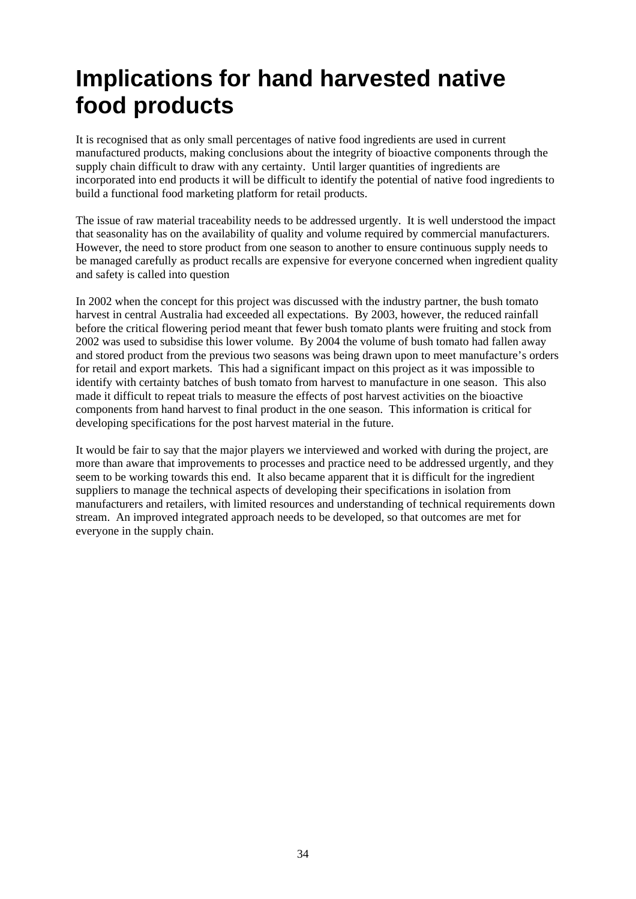## **Implications for hand harvested native food products**

It is recognised that as only small percentages of native food ingredients are used in current manufactured products, making conclusions about the integrity of bioactive components through the supply chain difficult to draw with any certainty. Until larger quantities of ingredients are incorporated into end products it will be difficult to identify the potential of native food ingredients to build a functional food marketing platform for retail products.

The issue of raw material traceability needs to be addressed urgently. It is well understood the impact that seasonality has on the availability of quality and volume required by commercial manufacturers. However, the need to store product from one season to another to ensure continuous supply needs to be managed carefully as product recalls are expensive for everyone concerned when ingredient quality and safety is called into question

In 2002 when the concept for this project was discussed with the industry partner, the bush tomato harvest in central Australia had exceeded all expectations. By 2003, however, the reduced rainfall before the critical flowering period meant that fewer bush tomato plants were fruiting and stock from 2002 was used to subsidise this lower volume. By 2004 the volume of bush tomato had fallen away and stored product from the previous two seasons was being drawn upon to meet manufacture's orders for retail and export markets. This had a significant impact on this project as it was impossible to identify with certainty batches of bush tomato from harvest to manufacture in one season. This also made it difficult to repeat trials to measure the effects of post harvest activities on the bioactive components from hand harvest to final product in the one season. This information is critical for developing specifications for the post harvest material in the future.

It would be fair to say that the major players we interviewed and worked with during the project, are more than aware that improvements to processes and practice need to be addressed urgently, and they seem to be working towards this end. It also became apparent that it is difficult for the ingredient suppliers to manage the technical aspects of developing their specifications in isolation from manufacturers and retailers, with limited resources and understanding of technical requirements down stream. An improved integrated approach needs to be developed, so that outcomes are met for everyone in the supply chain.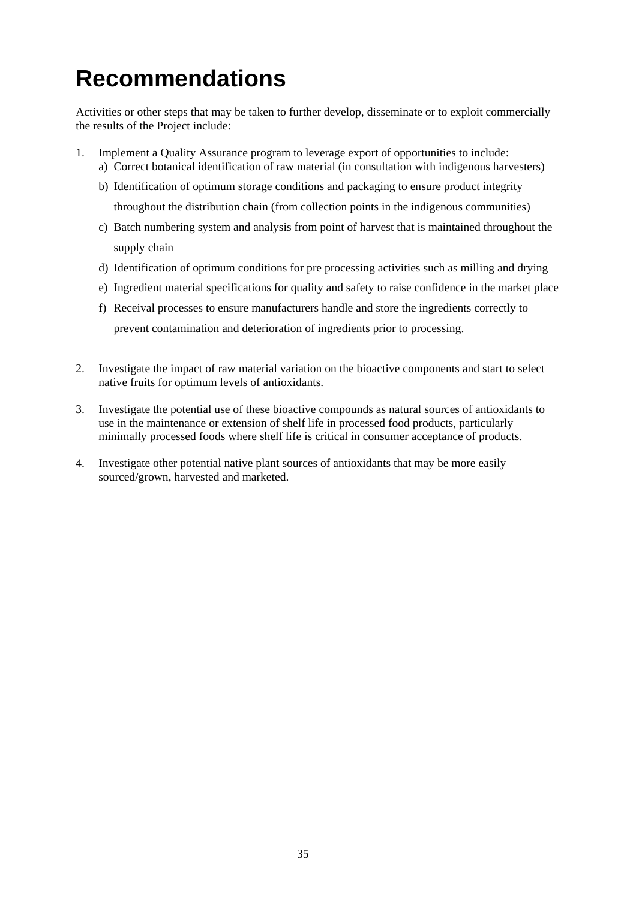## **Recommendations**

Activities or other steps that may be taken to further develop, disseminate or to exploit commercially the results of the Project include:

- 1. Implement a Quality Assurance program to leverage export of opportunities to include: a) Correct botanical identification of raw material (in consultation with indigenous harvesters)
	- b) Identification of optimum storage conditions and packaging to ensure product integrity throughout the distribution chain (from collection points in the indigenous communities)
	- c) Batch numbering system and analysis from point of harvest that is maintained throughout the supply chain
	- d) Identification of optimum conditions for pre processing activities such as milling and drying
	- e) Ingredient material specifications for quality and safety to raise confidence in the market place
	- f) Receival processes to ensure manufacturers handle and store the ingredients correctly to prevent contamination and deterioration of ingredients prior to processing.
- 2. Investigate the impact of raw material variation on the bioactive components and start to select native fruits for optimum levels of antioxidants.
- 3. Investigate the potential use of these bioactive compounds as natural sources of antioxidants to use in the maintenance or extension of shelf life in processed food products, particularly minimally processed foods where shelf life is critical in consumer acceptance of products.
- 4. Investigate other potential native plant sources of antioxidants that may be more easily sourced/grown, harvested and marketed.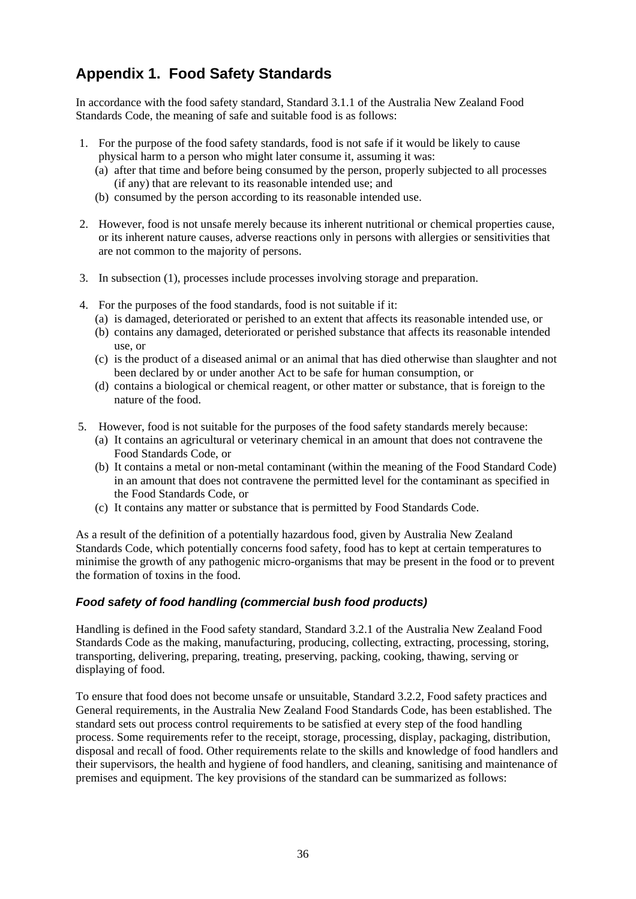#### **Appendix 1. Food Safety Standards**

In accordance with the food safety standard, Standard 3.1.1 of the Australia New Zealand Food Standards Code, the meaning of safe and suitable food is as follows:

- 1. For the purpose of the food safety standards, food is not safe if it would be likely to cause physical harm to a person who might later consume it, assuming it was:
	- (a) after that time and before being consumed by the person, properly subjected to all processes (if any) that are relevant to its reasonable intended use; and
	- (b) consumed by the person according to its reasonable intended use.
- 2. However, food is not unsafe merely because its inherent nutritional or chemical properties cause, or its inherent nature causes, adverse reactions only in persons with allergies or sensitivities that are not common to the majority of persons.
- 3. In subsection (1), processes include processes involving storage and preparation.
- 4. For the purposes of the food standards, food is not suitable if it:
	- (a) is damaged, deteriorated or perished to an extent that affects its reasonable intended use, or
	- (b) contains any damaged, deteriorated or perished substance that affects its reasonable intended use, or
	- (c) is the product of a diseased animal or an animal that has died otherwise than slaughter and not been declared by or under another Act to be safe for human consumption, or
	- (d) contains a biological or chemical reagent, or other matter or substance, that is foreign to the nature of the food.
- 5. However, food is not suitable for the purposes of the food safety standards merely because:
	- (a) It contains an agricultural or veterinary chemical in an amount that does not contravene the Food Standards Code, or
	- (b) It contains a metal or non-metal contaminant (within the meaning of the Food Standard Code) in an amount that does not contravene the permitted level for the contaminant as specified in the Food Standards Code, or
	- (c) It contains any matter or substance that is permitted by Food Standards Code.

As a result of the definition of a potentially hazardous food, given by Australia New Zealand Standards Code, which potentially concerns food safety, food has to kept at certain temperatures to minimise the growth of any pathogenic micro-organisms that may be present in the food or to prevent the formation of toxins in the food.

#### *Food safety of food handling (commercial bush food products)*

Handling is defined in the Food safety standard, Standard 3.2.1 of the Australia New Zealand Food Standards Code as the making, manufacturing, producing, collecting, extracting, processing, storing, transporting, delivering, preparing, treating, preserving, packing, cooking, thawing, serving or displaying of food.

To ensure that food does not become unsafe or unsuitable, Standard 3.2.2, Food safety practices and General requirements, in the Australia New Zealand Food Standards Code, has been established. The standard sets out process control requirements to be satisfied at every step of the food handling process. Some requirements refer to the receipt, storage, processing, display, packaging, distribution, disposal and recall of food. Other requirements relate to the skills and knowledge of food handlers and their supervisors, the health and hygiene of food handlers, and cleaning, sanitising and maintenance of premises and equipment. The key provisions of the standard can be summarized as follows: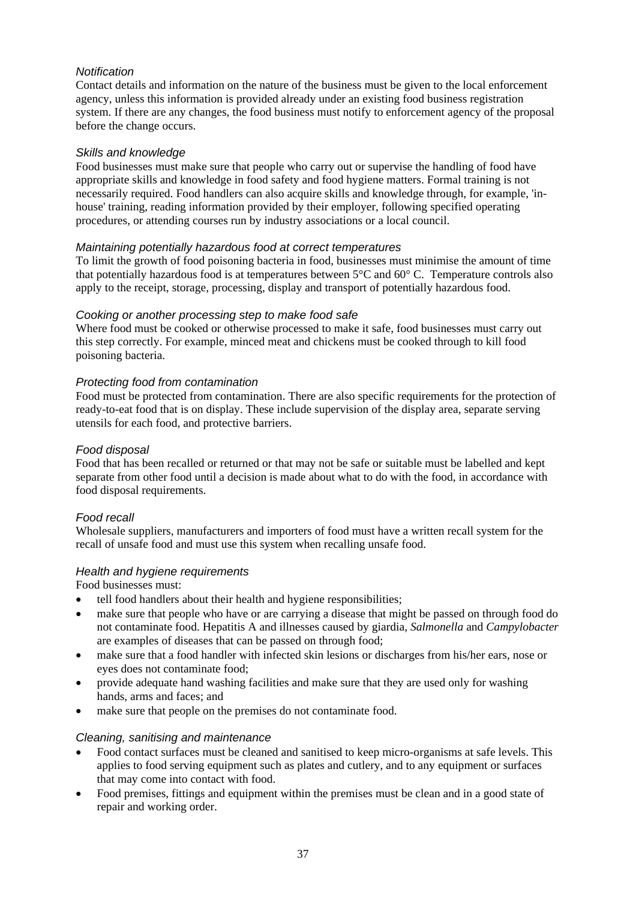#### *Notification*

Contact details and information on the nature of the business must be given to the local enforcement agency, unless this information is provided already under an existing food business registration system. If there are any changes, the food business must notify to enforcement agency of the proposal before the change occurs.

#### *Skills and knowledge*

Food businesses must make sure that people who carry out or supervise the handling of food have appropriate skills and knowledge in food safety and food hygiene matters. Formal training is not necessarily required. Food handlers can also acquire skills and knowledge through, for example, 'inhouse' training, reading information provided by their employer, following specified operating procedures, or attending courses run by industry associations or a local council.

#### *Maintaining potentially hazardous food at correct temperatures*

To limit the growth of food poisoning bacteria in food, businesses must minimise the amount of time that potentially hazardous food is at temperatures between 5°C and 60° C. Temperature controls also apply to the receipt, storage, processing, display and transport of potentially hazardous food.

#### *Cooking or another processing step to make food safe*

Where food must be cooked or otherwise processed to make it safe, food businesses must carry out this step correctly. For example, minced meat and chickens must be cooked through to kill food poisoning bacteria.

#### *Protecting food from contamination*

Food must be protected from contamination. There are also specific requirements for the protection of ready-to-eat food that is on display. These include supervision of the display area, separate serving utensils for each food, and protective barriers.

#### *Food disposal*

Food that has been recalled or returned or that may not be safe or suitable must be labelled and kept separate from other food until a decision is made about what to do with the food, in accordance with food disposal requirements.

#### *Food recall*

Wholesale suppliers, manufacturers and importers of food must have a written recall system for the recall of unsafe food and must use this system when recalling unsafe food.

#### *Health and hygiene requirements*

Food businesses must:

- tell food handlers about their health and hygiene responsibilities;
- make sure that people who have or are carrying a disease that might be passed on through food do not contaminate food. Hepatitis A and illnesses caused by giardia, *Salmonella* and *Campylobacter*  are examples of diseases that can be passed on through food;
- make sure that a food handler with infected skin lesions or discharges from his/her ears, nose or eyes does not contaminate food;
- provide adequate hand washing facilities and make sure that they are used only for washing hands, arms and faces; and
- make sure that people on the premises do not contaminate food.

#### *Cleaning, sanitising and maintenance*

- Food contact surfaces must be cleaned and sanitised to keep micro-organisms at safe levels. This applies to food serving equipment such as plates and cutlery, and to any equipment or surfaces that may come into contact with food.
- Food premises, fittings and equipment within the premises must be clean and in a good state of repair and working order.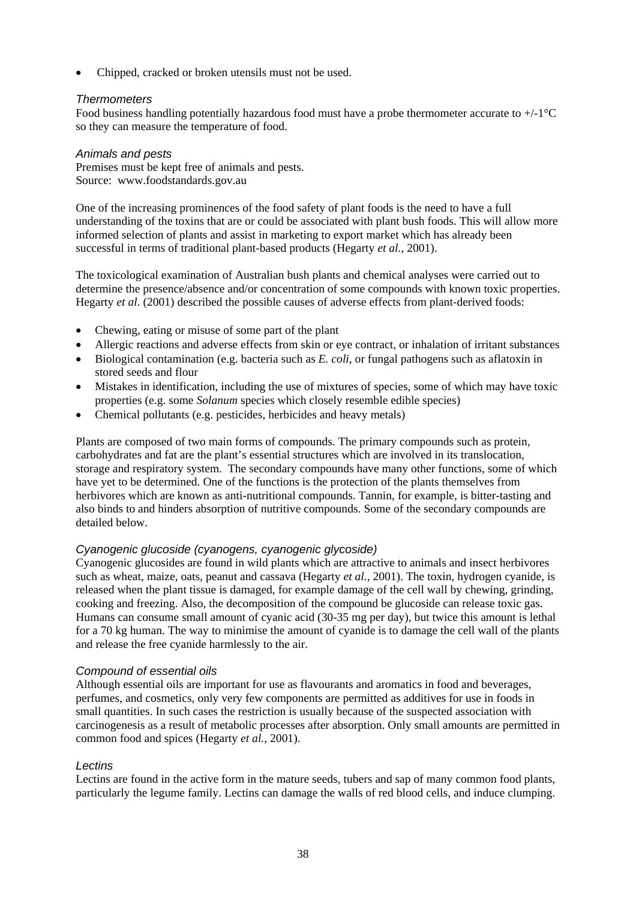• Chipped, cracked or broken utensils must not be used.

#### *Thermometers*

Food business handling potentially hazardous food must have a probe thermometer accurate to  $+/-1$ <sup>o</sup>C so they can measure the temperature of food.

#### *Animals and pests*

Premises must be kept free of animals and pests. Source: www.foodstandards.gov.au

One of the increasing prominences of the food safety of plant foods is the need to have a full understanding of the toxins that are or could be associated with plant bush foods. This will allow more informed selection of plants and assist in marketing to export market which has already been successful in terms of traditional plant-based products (Hegarty *et al.,* 2001).

The toxicological examination of Australian bush plants and chemical analyses were carried out to determine the presence/absence and/or concentration of some compounds with known toxic properties. Hegarty *et al*. (2001) described the possible causes of adverse effects from plant-derived foods:

- Chewing, eating or misuse of some part of the plant
- Allergic reactions and adverse effects from skin or eye contract, or inhalation of irritant substances
- Biological contamination (e.g. bacteria such as *E. coli*, or fungal pathogens such as aflatoxin in stored seeds and flour
- Mistakes in identification, including the use of mixtures of species, some of which may have toxic properties (e.g. some *Solanum* species which closely resemble edible species)
- Chemical pollutants (e.g. pesticides, herbicides and heavy metals)

Plants are composed of two main forms of compounds. The primary compounds such as protein, carbohydrates and fat are the plant's essential structures which are involved in its translocation, storage and respiratory system. The secondary compounds have many other functions, some of which have yet to be determined. One of the functions is the protection of the plants themselves from herbivores which are known as anti-nutritional compounds. Tannin, for example, is bitter-tasting and also binds to and hinders absorption of nutritive compounds. Some of the secondary compounds are detailed below.

#### *Cyanogenic glucoside (cyanogens, cyanogenic glycoside)*

Cyanogenic glucosides are found in wild plants which are attractive to animals and insect herbivores such as wheat, maize, oats, peanut and cassava (Hegarty *et al.*, 2001). The toxin, hydrogen cyanide, is released when the plant tissue is damaged, for example damage of the cell wall by chewing, grinding, cooking and freezing. Also, the decomposition of the compound be glucoside can release toxic gas. Humans can consume small amount of cyanic acid (30-35 mg per day), but twice this amount is lethal for a 70 kg human. The way to minimise the amount of cyanide is to damage the cell wall of the plants and release the free cyanide harmlessly to the air.

#### *Compound of essential oils*

Although essential oils are important for use as flavourants and aromatics in food and beverages, perfumes, and cosmetics, only very few components are permitted as additives for use in foods in small quantities. In such cases the restriction is usually because of the suspected association with carcinogenesis as a result of metabolic processes after absorption. Only small amounts are permitted in common food and spices (Hegarty *et al.*, 2001).

#### *Lectins*

Lectins are found in the active form in the mature seeds, tubers and sap of many common food plants, particularly the legume family. Lectins can damage the walls of red blood cells, and induce clumping.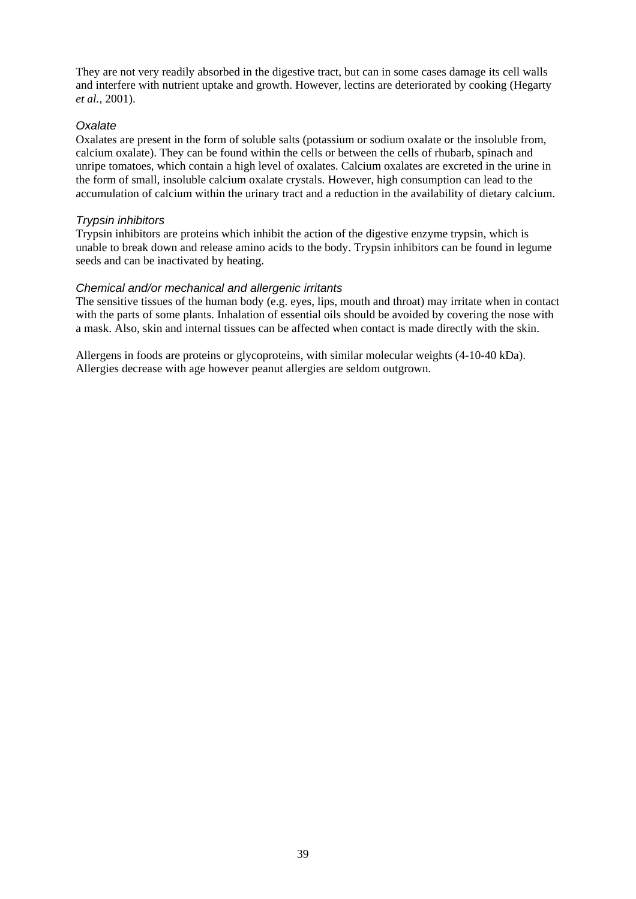They are not very readily absorbed in the digestive tract, but can in some cases damage its cell walls and interfere with nutrient uptake and growth. However, lectins are deteriorated by cooking (Hegarty *et al.,* 2001).

#### *Oxalate*

Oxalates are present in the form of soluble salts (potassium or sodium oxalate or the insoluble from, calcium oxalate). They can be found within the cells or between the cells of rhubarb, spinach and unripe tomatoes, which contain a high level of oxalates. Calcium oxalates are excreted in the urine in the form of small, insoluble calcium oxalate crystals. However, high consumption can lead to the accumulation of calcium within the urinary tract and a reduction in the availability of dietary calcium.

#### *Trypsin inhibitors*

Trypsin inhibitors are proteins which inhibit the action of the digestive enzyme trypsin, which is unable to break down and release amino acids to the body. Trypsin inhibitors can be found in legume seeds and can be inactivated by heating.

#### *Chemical and/or mechanical and allergenic irritants*

The sensitive tissues of the human body (e.g. eyes, lips, mouth and throat) may irritate when in contact with the parts of some plants. Inhalation of essential oils should be avoided by covering the nose with a mask. Also, skin and internal tissues can be affected when contact is made directly with the skin.

Allergens in foods are proteins or glycoproteins, with similar molecular weights (4-10-40 kDa). Allergies decrease with age however peanut allergies are seldom outgrown.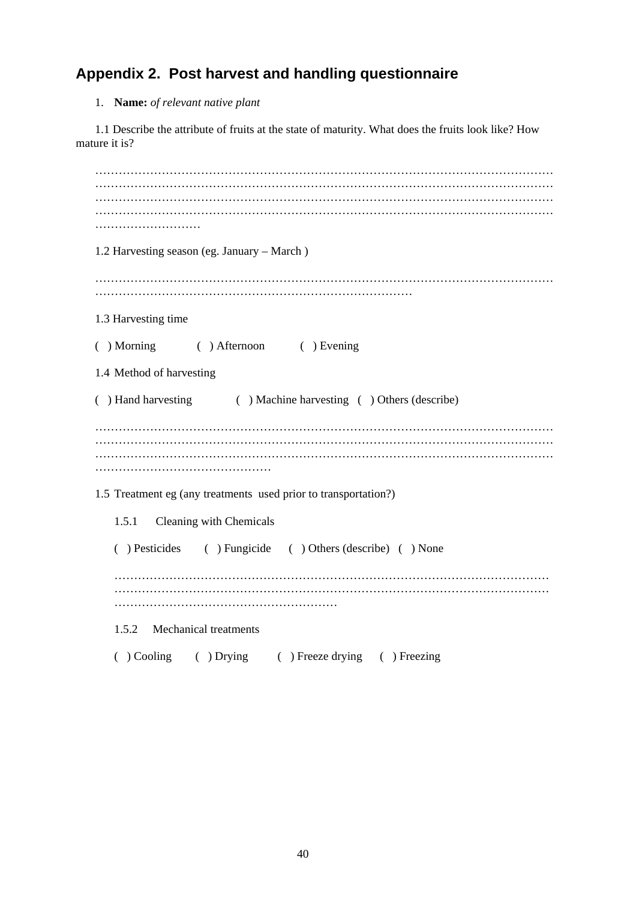## **Appendix 2. Post harvest and handling questionnaire**

#### 1. **Name:** *of relevant native plant*

1.1 Describe the attribute of fruits at the state of maturity. What does the fruits look like? How mature it is?

| 1.2 Harvesting season (eg. January - March)                      |
|------------------------------------------------------------------|
|                                                                  |
| 1.3 Harvesting time                                              |
| () Morning () Afternoon () Evening                               |
| 1.4 Method of harvesting                                         |
| ( ) Hand harvesting ( ) Machine harvesting ( ) Others (describe) |
|                                                                  |
|                                                                  |
| 1.5 Treatment eg (any treatments used prior to transportation?)  |
| 1.5.1 Cleaning with Chemicals                                    |
| () Pesticides () Fungicide () Others (describe) () None          |
|                                                                  |
|                                                                  |
| 1.5.2 Mechanical treatments                                      |
| ( ) Cooling ( ) Drying ( ) Freeze drying ( ) Freezing            |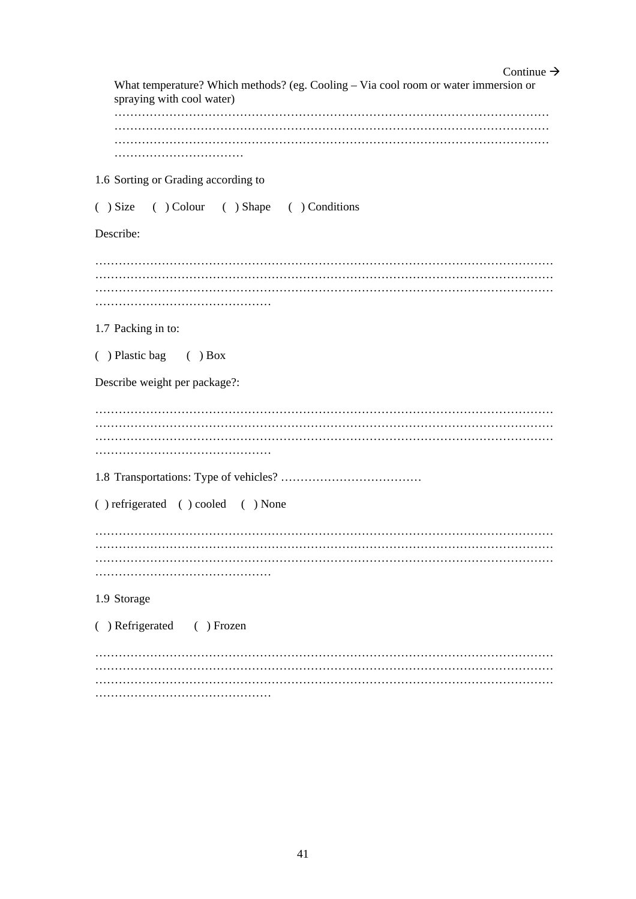| Continue $\rightarrow$                                                                                           |
|------------------------------------------------------------------------------------------------------------------|
| What temperature? Which methods? (eg. Cooling - Via cool room or water immersion or<br>spraying with cool water) |
|                                                                                                                  |
|                                                                                                                  |
|                                                                                                                  |
|                                                                                                                  |
| 1.6 Sorting or Grading according to                                                                              |
| () Size () Colour () Shape () Conditions                                                                         |
|                                                                                                                  |
| Describe:                                                                                                        |
|                                                                                                                  |
|                                                                                                                  |
|                                                                                                                  |
|                                                                                                                  |
| 1.7 Packing in to:                                                                                               |
|                                                                                                                  |
| $( )$ Plastic bag $( )$ Box                                                                                      |
| Describe weight per package?:                                                                                    |
|                                                                                                                  |
|                                                                                                                  |
|                                                                                                                  |
|                                                                                                                  |
|                                                                                                                  |
|                                                                                                                  |
| () refrigerated () cooled () None                                                                                |
|                                                                                                                  |
|                                                                                                                  |
|                                                                                                                  |
|                                                                                                                  |
| 1.9 Storage                                                                                                      |
|                                                                                                                  |
| () Refrigerated () Frozen                                                                                        |
|                                                                                                                  |
|                                                                                                                  |
|                                                                                                                  |
|                                                                                                                  |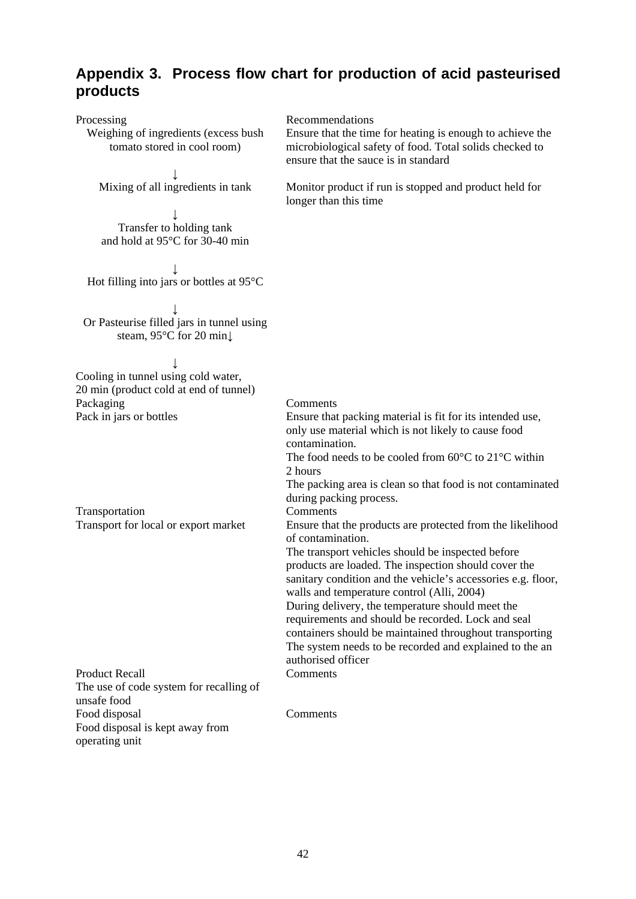#### **Appendix 3. Process flow chart for production of acid pasteurised products**

| Processing                                                          | Recommendations                                                                                                      |
|---------------------------------------------------------------------|----------------------------------------------------------------------------------------------------------------------|
| Weighing of ingredients (excess bush<br>tomato stored in cool room) | Ensure that the time for heating is enough to achieve the<br>microbiological safety of food. Total solids checked to |
|                                                                     | ensure that the sauce is in standard                                                                                 |
|                                                                     |                                                                                                                      |
| Mixing of all ingredients in tank                                   | Monitor product if run is stopped and product held for<br>longer than this time                                      |
|                                                                     |                                                                                                                      |
| Transfer to holding tank<br>and hold at 95°C for 30-40 min          |                                                                                                                      |
|                                                                     |                                                                                                                      |
| Hot filling into jars or bottles at $95^{\circ}$ C                  |                                                                                                                      |
|                                                                     |                                                                                                                      |
| Or Pasteurise filled jars in tunnel using                           |                                                                                                                      |
| steam, 95°C for 20 min↓                                             |                                                                                                                      |
|                                                                     |                                                                                                                      |
| Cooling in tunnel using cold water,                                 |                                                                                                                      |
| 20 min (product cold at end of tunnel)                              |                                                                                                                      |
| Packaging                                                           | Comments                                                                                                             |
| Pack in jars or bottles                                             | Ensure that packing material is fit for its intended use,                                                            |
|                                                                     | only use material which is not likely to cause food                                                                  |
|                                                                     | contamination.<br>The food needs to be cooled from $60^{\circ}$ C to $21^{\circ}$ C within                           |
|                                                                     | 2 hours                                                                                                              |
|                                                                     | The packing area is clean so that food is not contaminated                                                           |
|                                                                     | during packing process.                                                                                              |
| Transportation                                                      | Comments                                                                                                             |
| Transport for local or export market                                | Ensure that the products are protected from the likelihood                                                           |
|                                                                     | of contamination.                                                                                                    |
|                                                                     | The transport vehicles should be inspected before<br>products are loaded. The inspection should cover the            |
|                                                                     | sanitary condition and the vehicle's accessories e.g. floor,                                                         |
|                                                                     | walls and temperature control (Alli, 2004)                                                                           |
|                                                                     | During delivery, the temperature should meet the                                                                     |
|                                                                     | requirements and should be recorded. Lock and seal                                                                   |
|                                                                     | containers should be maintained throughout transporting                                                              |
|                                                                     | The system needs to be recorded and explained to the an<br>authorised officer                                        |
| <b>Product Recall</b>                                               | Comments                                                                                                             |
| The use of code system for recalling of<br>unsafe food              |                                                                                                                      |
| Food disposal                                                       | Comments                                                                                                             |
| Food disposal is kept away from                                     |                                                                                                                      |
| operating unit                                                      |                                                                                                                      |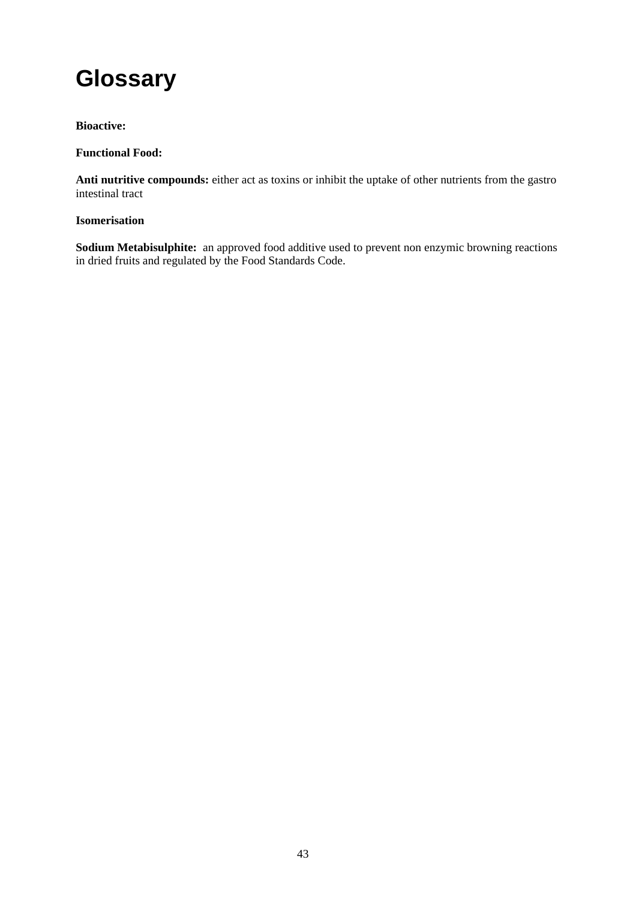## **Glossary**

#### **Bioactive:**

#### **Functional Food:**

**Anti nutritive compounds:** either act as toxins or inhibit the uptake of other nutrients from the gastro intestinal tract

#### **Isomerisation**

**Sodium Metabisulphite:** an approved food additive used to prevent non enzymic browning reactions in dried fruits and regulated by the Food Standards Code.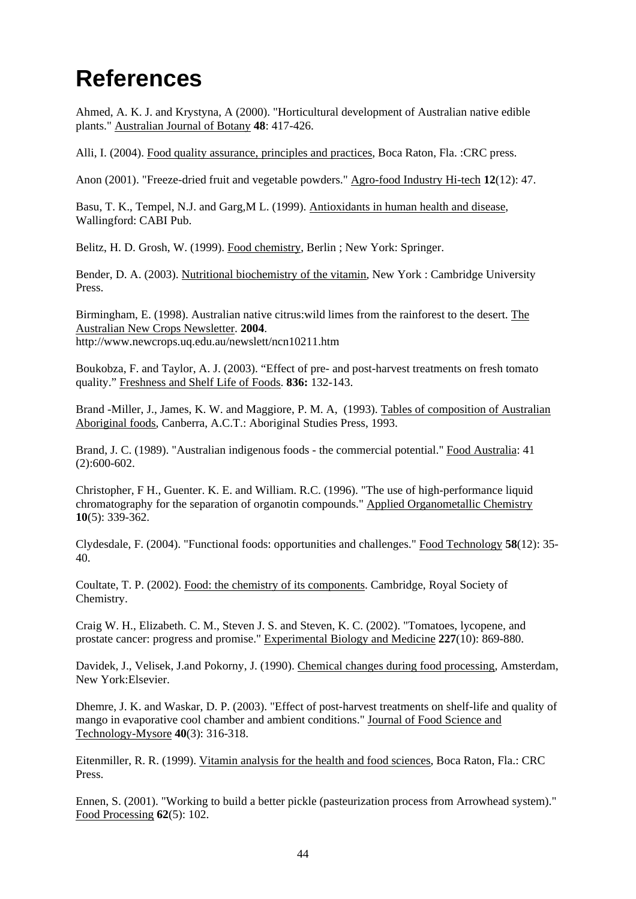## **References**

Ahmed, A. K. J. and Krystyna, A (2000). "Horticultural development of Australian native edible plants." Australian Journal of Botany **48**: 417-426.

Alli, I. (2004). Food quality assurance, principles and practices, Boca Raton, Fla. :CRC press.

Anon (2001). "Freeze-dried fruit and vegetable powders." Agro-food Industry Hi-tech **12**(12): 47.

Basu, T. K., Tempel, N.J. and Garg,M L. (1999). Antioxidants in human health and disease, Wallingford: CABI Pub.

Belitz, H. D. Grosh, W. (1999). Food chemistry, Berlin ; New York: Springer.

Bender, D. A. (2003). Nutritional biochemistry of the vitamin, New York : Cambridge University Press.

Birmingham, E. (1998). Australian native citrus:wild limes from the rainforest to the desert. The Australian New Crops Newsletter. **2004**. http://www.newcrops.uq.edu.au/newslett/ncn10211.htm

Boukobza, F. and Taylor, A. J. (2003). "Effect of pre- and post-harvest treatments on fresh tomato quality." Freshness and Shelf Life of Foods. **836:** 132-143.

Brand -Miller, J., James, K. W. and Maggiore, P. M. A, (1993). Tables of composition of Australian Aboriginal foods, Canberra, A.C.T.: Aboriginal Studies Press, 1993.

Brand, J. C. (1989). "Australian indigenous foods - the commercial potential." Food Australia: 41  $(2):600-602.$ 

Christopher, F H., Guenter. K. E. and William. R.C. (1996). "The use of high-performance liquid chromatography for the separation of organotin compounds." Applied Organometallic Chemistry **10**(5): 339-362.

Clydesdale, F. (2004). "Functional foods: opportunities and challenges." Food Technology **58**(12): 35- 40.

Coultate, T. P. (2002). Food: the chemistry of its components. Cambridge, Royal Society of Chemistry.

Craig W. H., Elizabeth. C. M., Steven J. S. and Steven, K. C. (2002). "Tomatoes, lycopene, and prostate cancer: progress and promise." Experimental Biology and Medicine **227**(10): 869-880.

Davidek, J., Velisek, J.and Pokorny, J. (1990). Chemical changes during food processing, Amsterdam, New York:Elsevier.

Dhemre, J. K. and Waskar, D. P. (2003). "Effect of post-harvest treatments on shelf-life and quality of mango in evaporative cool chamber and ambient conditions." Journal of Food Science and Technology-Mysore **40**(3): 316-318.

Eitenmiller, R. R. (1999). Vitamin analysis for the health and food sciences, Boca Raton, Fla.: CRC Press.

Ennen, S. (2001). "Working to build a better pickle (pasteurization process from Arrowhead system)." Food Processing **62**(5): 102.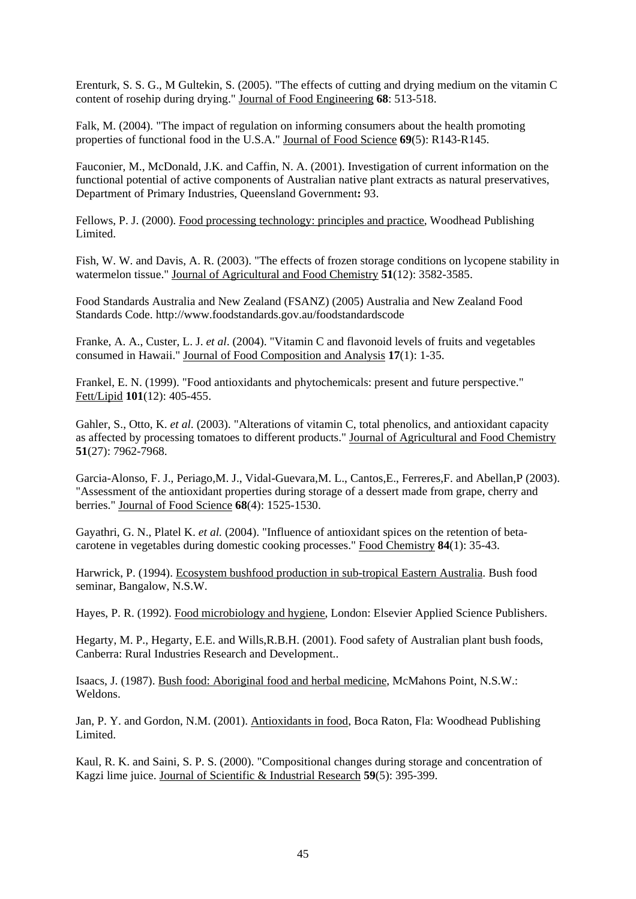Erenturk, S. S. G., M Gultekin, S. (2005). "The effects of cutting and drying medium on the vitamin C content of rosehip during drying." Journal of Food Engineering **68**: 513-518.

Falk, M. (2004). "The impact of regulation on informing consumers about the health promoting properties of functional food in the U.S.A." Journal of Food Science **69**(5): R143-R145.

Fauconier, M., McDonald, J.K. and Caffin, N. A. (2001). Investigation of current information on the functional potential of active components of Australian native plant extracts as natural preservatives, Department of Primary Industries, Queensland Government**:** 93.

Fellows, P. J. (2000). Food processing technology: principles and practice, Woodhead Publishing Limited.

Fish, W. W. and Davis, A. R. (2003). "The effects of frozen storage conditions on lycopene stability in watermelon tissue." Journal of Agricultural and Food Chemistry **51**(12): 3582-3585.

Food Standards Australia and New Zealand (FSANZ) (2005) Australia and New Zealand Food Standards Code. http://www.foodstandards.gov.au/foodstandardscode

Franke, A. A., Custer, L. J. *et al*. (2004). "Vitamin C and flavonoid levels of fruits and vegetables consumed in Hawaii." Journal of Food Composition and Analysis **17**(1): 1-35.

Frankel, E. N. (1999). "Food antioxidants and phytochemicals: present and future perspective." Fett/Lipid **101**(12): 405-455.

Gahler, S., Otto, K. *et al*. (2003). "Alterations of vitamin C, total phenolics, and antioxidant capacity as affected by processing tomatoes to different products." Journal of Agricultural and Food Chemistry **51**(27): 7962-7968.

Garcia-Alonso, F. J., Periago,M. J., Vidal-Guevara,M. L., Cantos,E., Ferreres,F. and Abellan,P (2003). "Assessment of the antioxidant properties during storage of a dessert made from grape, cherry and berries." Journal of Food Science **68**(4): 1525-1530.

Gayathri, G. N., Platel K. *et al.* (2004). "Influence of antioxidant spices on the retention of betacarotene in vegetables during domestic cooking processes." Food Chemistry **84**(1): 35-43.

Harwrick, P. (1994). Ecosystem bushfood production in sub-tropical Eastern Australia. Bush food seminar, Bangalow, N.S.W.

Hayes, P. R. (1992). Food microbiology and hygiene, London: Elsevier Applied Science Publishers.

Hegarty, M. P., Hegarty, E.E. and Wills,R.B.H. (2001). Food safety of Australian plant bush foods, Canberra: Rural Industries Research and Development..

Isaacs, J. (1987). Bush food: Aboriginal food and herbal medicine, McMahons Point, N.S.W.: Weldons.

Jan, P. Y. and Gordon, N.M. (2001). Antioxidants in food, Boca Raton, Fla: Woodhead Publishing Limited.

Kaul, R. K. and Saini, S. P. S. (2000). "Compositional changes during storage and concentration of Kagzi lime juice. Journal of Scientific & Industrial Research **59**(5): 395-399.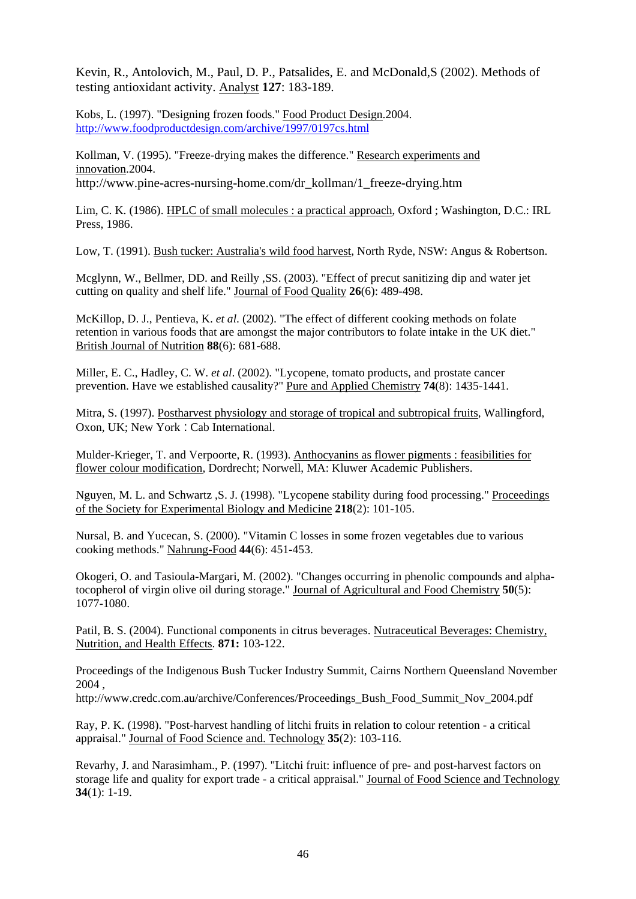Kevin, R., Antolovich, M., Paul, D. P., Patsalides, E. and McDonald,S (2002). Methods of testing antioxidant activity. Analyst **127**: 183-189.

Kobs, L. (1997). "Designing frozen foods." Food Product Design.2004. http://www.foodproductdesign.com/archive/1997/0197cs.html

Kollman, V. (1995). "Freeze-drying makes the difference." Research experiments and innovation.2004. http://www.pine-acres-nursing-home.com/dr\_kollman/1\_freeze-drying.htm

Lim, C. K. (1986). HPLC of small molecules : a practical approach, Oxford ; Washington, D.C.: IRL

Press, 1986.

Low, T. (1991). Bush tucker: Australia's wild food harvest, North Ryde, NSW: Angus & Robertson.

Mcglynn, W., Bellmer, DD. and Reilly ,SS. (2003). "Effect of precut sanitizing dip and water jet cutting on quality and shelf life." Journal of Food Quality **26**(6): 489-498.

McKillop, D. J., Pentieva, K. *et al*. (2002). "The effect of different cooking methods on folate retention in various foods that are amongst the major contributors to folate intake in the UK diet." British Journal of Nutrition **88**(6): 681-688.

Miller, E. C., Hadley, C. W. *et al*. (2002). "Lycopene, tomato products, and prostate cancer prevention. Have we established causality?" Pure and Applied Chemistry **74**(8): 1435-1441.

Mitra, S. (1997). Postharvest physiology and storage of tropical and subtropical fruits, Wallingford, Oxon, UK; New York : Cab International.

Mulder-Krieger, T. and Verpoorte, R. (1993). Anthocyanins as flower pigments : feasibilities for flower colour modification, Dordrecht; Norwell, MA: Kluwer Academic Publishers.

Nguyen, M. L. and Schwartz ,S. J. (1998). "Lycopene stability during food processing." Proceedings of the Society for Experimental Biology and Medicine **218**(2): 101-105.

Nursal, B. and Yucecan, S. (2000). "Vitamin C losses in some frozen vegetables due to various cooking methods." Nahrung-Food **44**(6): 451-453.

Okogeri, O. and Tasioula-Margari, M. (2002). "Changes occurring in phenolic compounds and alphatocopherol of virgin olive oil during storage." Journal of Agricultural and Food Chemistry **50**(5): 1077-1080.

Patil, B. S. (2004). Functional components in citrus beverages. Nutraceutical Beverages: Chemistry, Nutrition, and Health Effects. **871:** 103-122.

Proceedings of the Indigenous Bush Tucker Industry Summit, Cairns Northern Queensland November 2004 ,

http://www.credc.com.au/archive/Conferences/Proceedings\_Bush\_Food\_Summit\_Nov\_2004.pdf

Ray, P. K. (1998). "Post-harvest handling of litchi fruits in relation to colour retention - a critical appraisal." Journal of Food Science and. Technology **35**(2): 103-116.

Revarhy, J. and Narasimham., P. (1997). "Litchi fruit: influence of pre- and post-harvest factors on storage life and quality for export trade - a critical appraisal." Journal of Food Science and Technology **34**(1): 1-19.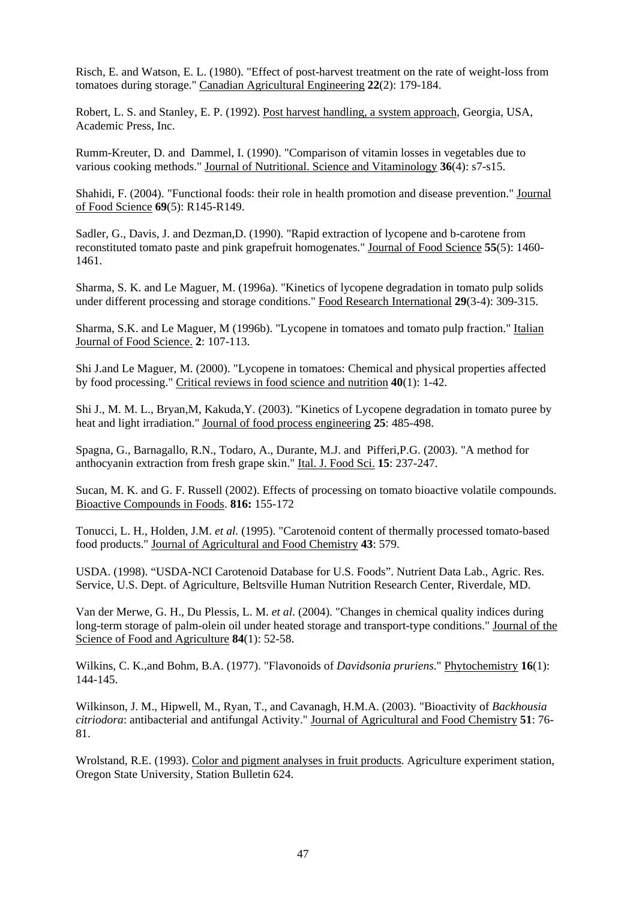Risch, E. and Watson, E. L. (1980). "Effect of post-harvest treatment on the rate of weight-loss from tomatoes during storage." Canadian Agricultural Engineering **22**(2): 179-184.

Robert, L. S. and Stanley, E. P. (1992). Post harvest handling, a system approach, Georgia, USA, Academic Press, Inc.

Rumm-Kreuter, D. and Dammel, I. (1990). "Comparison of vitamin losses in vegetables due to various cooking methods." Journal of Nutritional. Science and Vitaminology **36**(4): s7-s15.

Shahidi, F. (2004). "Functional foods: their role in health promotion and disease prevention." Journal of Food Science **69**(5): R145-R149.

Sadler, G., Davis, J. and Dezman,D. (1990). "Rapid extraction of lycopene and b-carotene from reconstituted tomato paste and pink grapefruit homogenates." Journal of Food Science **55**(5): 1460- 1461.

Sharma, S. K. and Le Maguer, M. (1996a). "Kinetics of lycopene degradation in tomato pulp solids under different processing and storage conditions." Food Research International **29**(3-4): 309-315.

Sharma, S.K. and Le Maguer, M (1996b). "Lycopene in tomatoes and tomato pulp fraction." Italian Journal of Food Science. **2**: 107-113.

Shi J.and Le Maguer, M. (2000). "Lycopene in tomatoes: Chemical and physical properties affected by food processing." Critical reviews in food science and nutrition **40**(1): 1-42.

Shi J., M. M. L., Bryan,M, Kakuda,Y. (2003). "Kinetics of Lycopene degradation in tomato puree by heat and light irradiation." Journal of food process engineering **25**: 485-498.

Spagna, G., Barnagallo, R.N., Todaro, A., Durante, M.J. and Pifferi,P.G. (2003). "A method for anthocyanin extraction from fresh grape skin." Ital. J. Food Sci. **15**: 237-247.

Sucan, M. K. and G. F. Russell (2002). Effects of processing on tomato bioactive volatile compounds. Bioactive Compounds in Foods. **816:** 155-172

Tonucci, L. H., Holden, J.M. *et al.* (1995). "Carotenoid content of thermally processed tomato-based food products." Journal of Agricultural and Food Chemistry **43**: 579.

USDA. (1998). "USDA-NCI Carotenoid Database for U.S. Foods". Nutrient Data Lab., Agric. Res. Service, U.S. Dept. of Agriculture, Beltsville Human Nutrition Research Center, Riverdale, MD.

Van der Merwe, G. H., Du Plessis, L. M. *et al*. (2004). "Changes in chemical quality indices during long-term storage of palm-olein oil under heated storage and transport-type conditions." Journal of the Science of Food and Agriculture **84**(1): 52-58.

Wilkins, C. K.,and Bohm, B.A. (1977). "Flavonoids of *Davidsonia pruriens*." Phytochemistry **16**(1): 144-145.

Wilkinson, J. M., Hipwell, M., Ryan, T., and Cavanagh, H.M.A. (2003). "Bioactivity of *Backhousia citriodora*: antibacterial and antifungal Activity." Journal of Agricultural and Food Chemistry **51**: 76- 81.

Wrolstand, R.E. (1993). Color and pigment analyses in fruit products. Agriculture experiment station, Oregon State University, Station Bulletin 624.